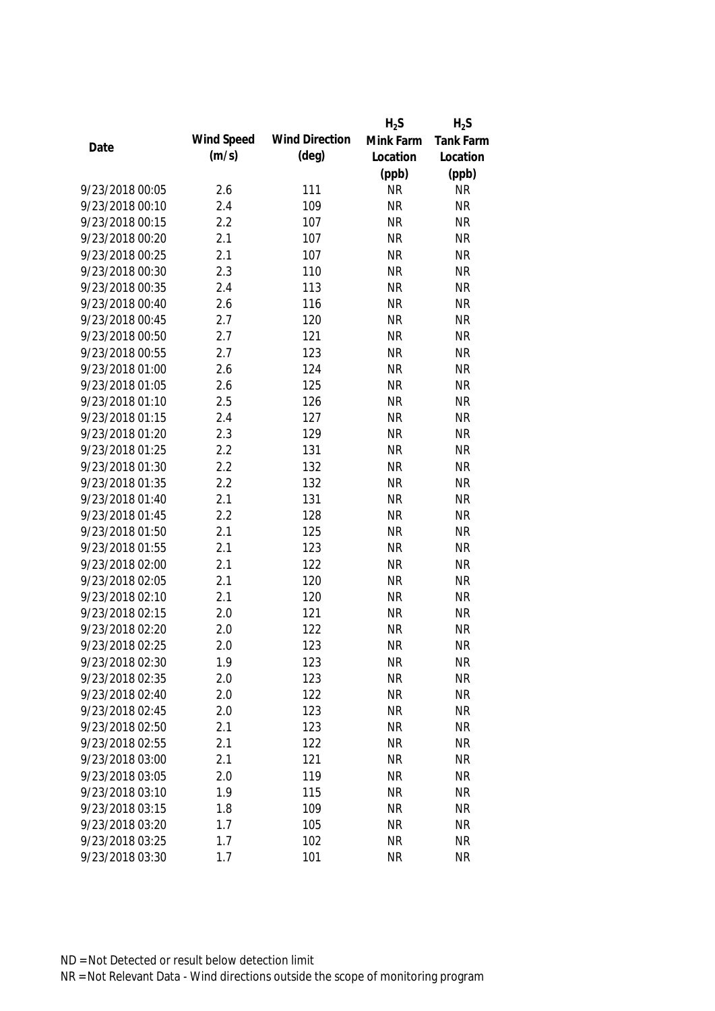|                 |            |                       | $H_2S$    | $H_2S$    |
|-----------------|------------|-----------------------|-----------|-----------|
|                 | Wind Speed | <b>Wind Direction</b> | Mink Farm | Tank Farm |
| Date            | (m/s)      | $(\text{deg})$        | Location  | Location  |
|                 |            |                       | (ppb)     | (ppb)     |
| 9/23/2018 00:05 | 2.6        | 111                   | <b>NR</b> | <b>NR</b> |
| 9/23/2018 00:10 | 2.4        | 109                   | <b>NR</b> | <b>NR</b> |
| 9/23/2018 00:15 | 2.2        | 107                   | <b>NR</b> | <b>NR</b> |
| 9/23/2018 00:20 | 2.1        | 107                   | <b>NR</b> | <b>NR</b> |
| 9/23/2018 00:25 | 2.1        | 107                   | <b>NR</b> | <b>NR</b> |
| 9/23/2018 00:30 | 2.3        | 110                   | <b>NR</b> | <b>NR</b> |
| 9/23/2018 00:35 | 2.4        | 113                   | <b>NR</b> | <b>NR</b> |
| 9/23/2018 00:40 | 2.6        | 116                   | <b>NR</b> | <b>NR</b> |
| 9/23/2018 00:45 | 2.7        | 120                   | <b>NR</b> | <b>NR</b> |
| 9/23/2018 00:50 | 2.7        | 121                   | <b>NR</b> | <b>NR</b> |
| 9/23/2018 00:55 | 2.7        | 123                   | <b>NR</b> | <b>NR</b> |
| 9/23/2018 01:00 | 2.6        | 124                   | <b>NR</b> | <b>NR</b> |
| 9/23/2018 01:05 | 2.6        | 125                   | <b>NR</b> | <b>NR</b> |
| 9/23/2018 01:10 | 2.5        | 126                   | <b>NR</b> | <b>NR</b> |
| 9/23/2018 01:15 | 2.4        | 127                   | <b>NR</b> | <b>NR</b> |
| 9/23/2018 01:20 | 2.3        | 129                   | <b>NR</b> | <b>NR</b> |
| 9/23/2018 01:25 | 2.2        | 131                   | <b>NR</b> | <b>NR</b> |
| 9/23/2018 01:30 | 2.2        | 132                   | <b>NR</b> | <b>NR</b> |
| 9/23/2018 01:35 | 2.2        | 132                   | <b>NR</b> | <b>NR</b> |
| 9/23/2018 01:40 | 2.1        | 131                   | <b>NR</b> | <b>NR</b> |
| 9/23/2018 01:45 | 2.2        | 128                   | <b>NR</b> | <b>NR</b> |
| 9/23/2018 01:50 | 2.1        | 125                   | <b>NR</b> | <b>NR</b> |
| 9/23/2018 01:55 | 2.1        | 123                   | <b>NR</b> | <b>NR</b> |
| 9/23/2018 02:00 | 2.1        | 122                   | <b>NR</b> | <b>NR</b> |
| 9/23/2018 02:05 | 2.1        | 120                   | <b>NR</b> | <b>NR</b> |
| 9/23/2018 02:10 | 2.1        | 120                   | <b>NR</b> | <b>NR</b> |
| 9/23/2018 02:15 | 2.0        | 121                   | <b>NR</b> | <b>NR</b> |
| 9/23/2018 02:20 | 2.0        | 122                   | <b>NR</b> | <b>NR</b> |
| 9/23/2018 02:25 | 2.0        | 123                   | <b>NR</b> | <b>NR</b> |
| 9/23/2018 02:30 | 1.9        | 123                   | <b>NR</b> | <b>NR</b> |
| 9/23/2018 02:35 | 2.0        | 123                   | <b>NR</b> | <b>NR</b> |
| 9/23/2018 02:40 | 2.0        | 122                   | <b>NR</b> | <b>NR</b> |
| 9/23/2018 02:45 | 2.0        | 123                   | <b>NR</b> | <b>NR</b> |
| 9/23/2018 02:50 | 2.1        | 123                   | <b>NR</b> | <b>NR</b> |
| 9/23/2018 02:55 | 2.1        | 122                   | <b>NR</b> | <b>NR</b> |
| 9/23/2018 03:00 | 2.1        | 121                   | <b>NR</b> | <b>NR</b> |
| 9/23/2018 03:05 | 2.0        | 119                   | <b>NR</b> | <b>NR</b> |
| 9/23/2018 03:10 | 1.9        | 115                   | <b>NR</b> | <b>NR</b> |
| 9/23/2018 03:15 | 1.8        | 109                   | <b>NR</b> | <b>NR</b> |
| 9/23/2018 03:20 | 1.7        | 105                   | <b>NR</b> | <b>NR</b> |
| 9/23/2018 03:25 | 1.7        | 102                   | <b>NR</b> | <b>NR</b> |
| 9/23/2018 03:30 | 1.7        | 101                   | <b>NR</b> | <b>NR</b> |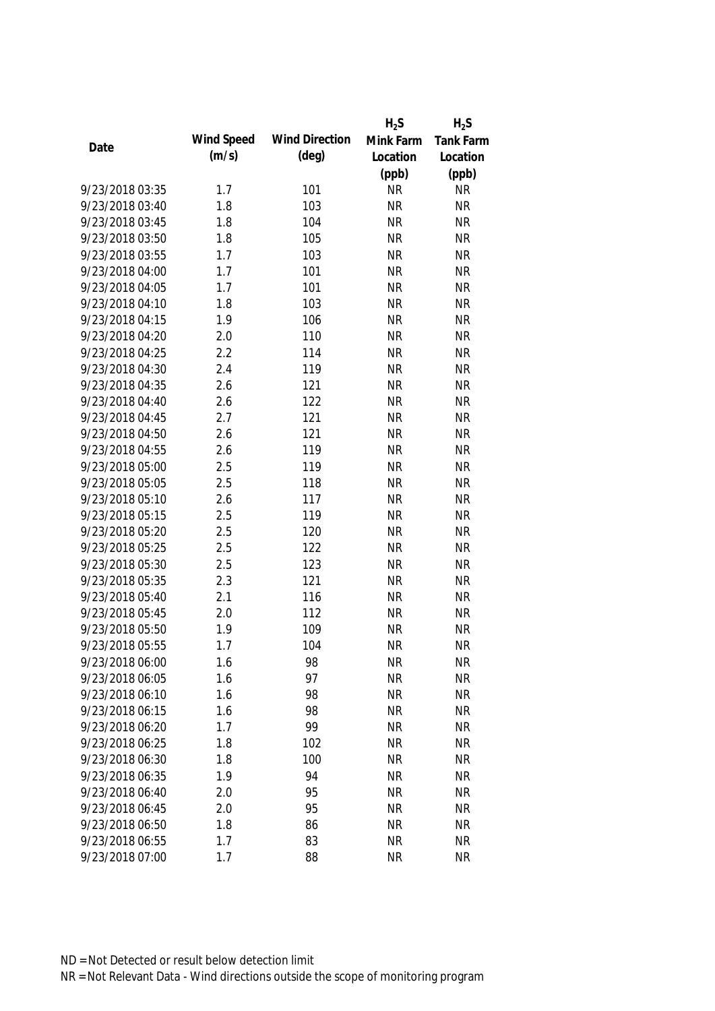|                 |            |                       | $H_2S$    | $H_2S$           |
|-----------------|------------|-----------------------|-----------|------------------|
|                 | Wind Speed | <b>Wind Direction</b> | Mink Farm | <b>Tank Farm</b> |
| Date            | (m/s)      | $(\text{deg})$        | Location  | Location         |
|                 |            |                       | (ppb)     | (ppb)            |
| 9/23/2018 03:35 | 1.7        | 101                   | <b>NR</b> | <b>NR</b>        |
| 9/23/2018 03:40 | 1.8        | 103                   | <b>NR</b> | <b>NR</b>        |
| 9/23/2018 03:45 | 1.8        | 104                   | <b>NR</b> | <b>NR</b>        |
| 9/23/2018 03:50 | 1.8        | 105                   | <b>NR</b> | <b>NR</b>        |
| 9/23/2018 03:55 | 1.7        | 103                   | <b>NR</b> | <b>NR</b>        |
| 9/23/2018 04:00 | 1.7        | 101                   | <b>NR</b> | <b>NR</b>        |
| 9/23/2018 04:05 | 1.7        | 101                   | <b>NR</b> | <b>NR</b>        |
| 9/23/2018 04:10 | 1.8        | 103                   | <b>NR</b> | <b>NR</b>        |
| 9/23/2018 04:15 | 1.9        | 106                   | <b>NR</b> | <b>NR</b>        |
| 9/23/2018 04:20 | 2.0        | 110                   | <b>NR</b> | <b>NR</b>        |
| 9/23/2018 04:25 | 2.2        | 114                   | <b>NR</b> | <b>NR</b>        |
| 9/23/2018 04:30 | 2.4        | 119                   | <b>NR</b> | <b>NR</b>        |
| 9/23/2018 04:35 | 2.6        | 121                   | <b>NR</b> | <b>NR</b>        |
| 9/23/2018 04:40 | 2.6        | 122                   | <b>NR</b> | <b>NR</b>        |
| 9/23/2018 04:45 | 2.7        | 121                   | <b>NR</b> | <b>NR</b>        |
| 9/23/2018 04:50 | 2.6        | 121                   | <b>NR</b> | <b>NR</b>        |
| 9/23/2018 04:55 | 2.6        | 119                   | <b>NR</b> | <b>NR</b>        |
| 9/23/2018 05:00 | 2.5        | 119                   | <b>NR</b> | <b>NR</b>        |
| 9/23/2018 05:05 | 2.5        | 118                   | <b>NR</b> | <b>NR</b>        |
| 9/23/2018 05:10 | 2.6        | 117                   | <b>NR</b> | <b>NR</b>        |
| 9/23/2018 05:15 | 2.5        | 119                   | <b>NR</b> | <b>NR</b>        |
| 9/23/2018 05:20 | 2.5        | 120                   | <b>NR</b> | <b>NR</b>        |
| 9/23/2018 05:25 | 2.5        | 122                   | <b>NR</b> | <b>NR</b>        |
| 9/23/2018 05:30 | 2.5        | 123                   | <b>NR</b> | <b>NR</b>        |
| 9/23/2018 05:35 | 2.3        | 121                   | <b>NR</b> | <b>NR</b>        |
| 9/23/2018 05:40 | 2.1        | 116                   | <b>NR</b> | <b>NR</b>        |
| 9/23/2018 05:45 | 2.0        | 112                   | <b>NR</b> | <b>NR</b>        |
| 9/23/2018 05:50 | 1.9        | 109                   | <b>NR</b> | <b>NR</b>        |
| 9/23/2018 05:55 | 1.7        | 104                   | <b>NR</b> | <b>NR</b>        |
| 9/23/2018 06:00 | 1.6        | 98                    | <b>NR</b> | <b>NR</b>        |
| 9/23/2018 06:05 | 1.6        | 97                    | <b>NR</b> | <b>NR</b>        |
| 9/23/2018 06:10 | 1.6        | 98                    | <b>NR</b> | <b>NR</b>        |
| 9/23/2018 06:15 | 1.6        | 98                    | <b>NR</b> | <b>NR</b>        |
| 9/23/2018 06:20 | 1.7        | 99                    | <b>NR</b> | <b>NR</b>        |
| 9/23/2018 06:25 | 1.8        | 102                   | <b>NR</b> | <b>NR</b>        |
| 9/23/2018 06:30 | 1.8        | 100                   | <b>NR</b> | <b>NR</b>        |
| 9/23/2018 06:35 | 1.9        | 94                    | <b>NR</b> | <b>NR</b>        |
| 9/23/2018 06:40 | 2.0        | 95                    | <b>NR</b> | <b>NR</b>        |
| 9/23/2018 06:45 | 2.0        | 95                    | <b>NR</b> | <b>NR</b>        |
| 9/23/2018 06:50 | 1.8        | 86                    | <b>NR</b> | <b>NR</b>        |
| 9/23/2018 06:55 | 1.7        | 83                    | <b>NR</b> | <b>NR</b>        |
| 9/23/2018 07:00 | 1.7        | 88                    | <b>NR</b> | <b>NR</b>        |
|                 |            |                       |           |                  |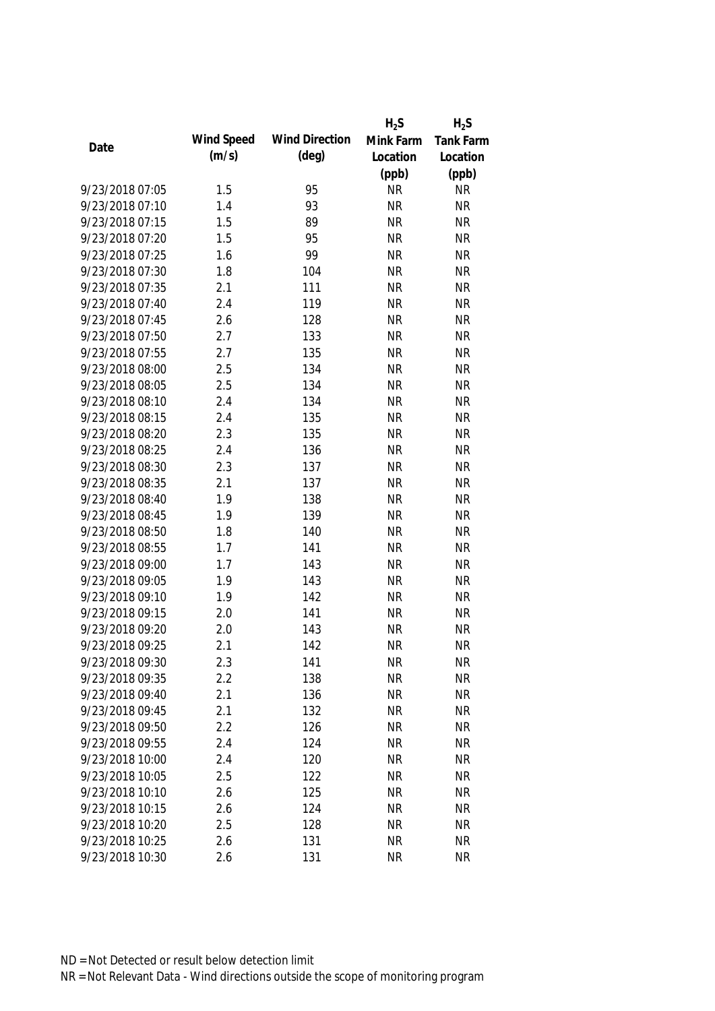|                 |            |                       | $H_2S$    | $H_2S$           |
|-----------------|------------|-----------------------|-----------|------------------|
|                 | Wind Speed | <b>Wind Direction</b> | Mink Farm | <b>Tank Farm</b> |
| Date            | (m/s)      | $(\text{deg})$        | Location  | Location         |
|                 |            |                       | (ppb)     | (ppb)            |
| 9/23/2018 07:05 | 1.5        | 95                    | <b>NR</b> | <b>NR</b>        |
| 9/23/2018 07:10 | 1.4        | 93                    | <b>NR</b> | <b>NR</b>        |
| 9/23/2018 07:15 | 1.5        | 89                    | <b>NR</b> | <b>NR</b>        |
| 9/23/2018 07:20 | 1.5        | 95                    | <b>NR</b> | <b>NR</b>        |
| 9/23/2018 07:25 | 1.6        | 99                    | <b>NR</b> | <b>NR</b>        |
| 9/23/2018 07:30 | 1.8        | 104                   | <b>NR</b> | <b>NR</b>        |
| 9/23/2018 07:35 | 2.1        | 111                   | <b>NR</b> | <b>NR</b>        |
| 9/23/2018 07:40 | 2.4        | 119                   | <b>NR</b> | <b>NR</b>        |
| 9/23/2018 07:45 | 2.6        | 128                   | <b>NR</b> | <b>NR</b>        |
| 9/23/2018 07:50 | 2.7        | 133                   | <b>NR</b> | <b>NR</b>        |
| 9/23/2018 07:55 | 2.7        | 135                   | <b>NR</b> | <b>NR</b>        |
| 9/23/2018 08:00 | 2.5        | 134                   | <b>NR</b> | <b>NR</b>        |
| 9/23/2018 08:05 | 2.5        | 134                   | <b>NR</b> | <b>NR</b>        |
| 9/23/2018 08:10 | 2.4        | 134                   | <b>NR</b> | <b>NR</b>        |
| 9/23/2018 08:15 | 2.4        | 135                   | <b>NR</b> | <b>NR</b>        |
| 9/23/2018 08:20 | 2.3        | 135                   | <b>NR</b> | <b>NR</b>        |
| 9/23/2018 08:25 | 2.4        | 136                   | <b>NR</b> | <b>NR</b>        |
| 9/23/2018 08:30 | 2.3        | 137                   | <b>NR</b> | <b>NR</b>        |
| 9/23/2018 08:35 | 2.1        | 137                   | <b>NR</b> | <b>NR</b>        |
| 9/23/2018 08:40 | 1.9        | 138                   | <b>NR</b> | <b>NR</b>        |
| 9/23/2018 08:45 | 1.9        | 139                   | <b>NR</b> | <b>NR</b>        |
| 9/23/2018 08:50 | 1.8        | 140                   | <b>NR</b> | <b>NR</b>        |
| 9/23/2018 08:55 | 1.7        | 141                   | <b>NR</b> | <b>NR</b>        |
| 9/23/2018 09:00 | 1.7        | 143                   | <b>NR</b> | <b>NR</b>        |
| 9/23/2018 09:05 | 1.9        | 143                   | <b>NR</b> | <b>NR</b>        |
| 9/23/2018 09:10 | 1.9        | 142                   | <b>NR</b> | <b>NR</b>        |
| 9/23/2018 09:15 | 2.0        | 141                   | <b>NR</b> | <b>NR</b>        |
| 9/23/2018 09:20 | 2.0        | 143                   | <b>NR</b> | <b>NR</b>        |
| 9/23/2018 09:25 | 2.1        | 142                   | <b>NR</b> | <b>NR</b>        |
| 9/23/2018 09:30 | 2.3        | 141                   | <b>NR</b> | <b>NR</b>        |
| 9/23/2018 09:35 | 2.2        | 138                   | <b>NR</b> | <b>NR</b>        |
| 9/23/2018 09:40 | 2.1        | 136                   | <b>NR</b> | <b>NR</b>        |
| 9/23/2018 09:45 | 2.1        | 132                   | <b>NR</b> | <b>NR</b>        |
| 9/23/2018 09:50 | 2.2        | 126                   | <b>NR</b> | <b>NR</b>        |
| 9/23/2018 09:55 | 2.4        | 124                   | <b>NR</b> | <b>NR</b>        |
| 9/23/2018 10:00 | 2.4        | 120                   | <b>NR</b> | <b>NR</b>        |
| 9/23/2018 10:05 | 2.5        | 122                   | <b>NR</b> | <b>NR</b>        |
| 9/23/2018 10:10 | 2.6        | 125                   | <b>NR</b> | <b>NR</b>        |
| 9/23/2018 10:15 | 2.6        | 124                   | <b>NR</b> | <b>NR</b>        |
| 9/23/2018 10:20 | 2.5        | 128                   | <b>NR</b> | <b>NR</b>        |
| 9/23/2018 10:25 | 2.6        | 131                   | <b>NR</b> | <b>NR</b>        |
| 9/23/2018 10:30 | 2.6        | 131                   | <b>NR</b> | <b>NR</b>        |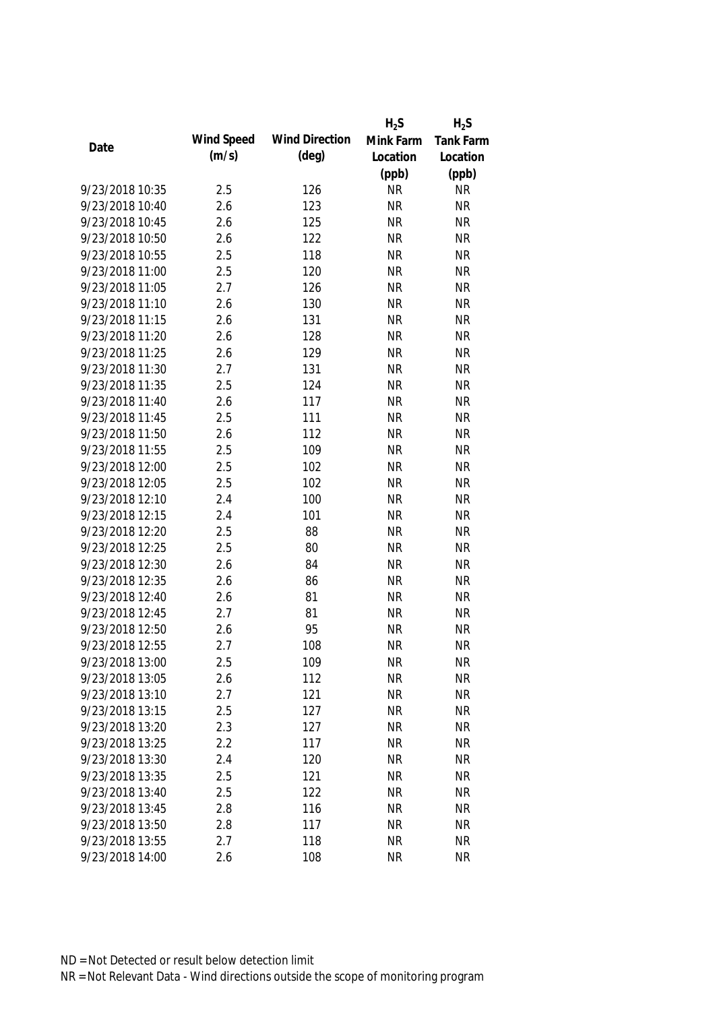|                 |            |                       | $H_2S$    | $H_2S$    |
|-----------------|------------|-----------------------|-----------|-----------|
|                 | Wind Speed | <b>Wind Direction</b> | Mink Farm | Tank Farm |
| Date            | (m/s)      | $(\text{deg})$        | Location  | Location  |
|                 |            |                       | (ppb)     | (ppb)     |
| 9/23/2018 10:35 | 2.5        | 126                   | <b>NR</b> | <b>NR</b> |
| 9/23/2018 10:40 | 2.6        | 123                   | <b>NR</b> | <b>NR</b> |
| 9/23/2018 10:45 | 2.6        | 125                   | <b>NR</b> | <b>NR</b> |
| 9/23/2018 10:50 | 2.6        | 122                   | <b>NR</b> | <b>NR</b> |
| 9/23/2018 10:55 | 2.5        | 118                   | <b>NR</b> | <b>NR</b> |
| 9/23/2018 11:00 | 2.5        | 120                   | <b>NR</b> | <b>NR</b> |
| 9/23/2018 11:05 | 2.7        | 126                   | <b>NR</b> | <b>NR</b> |
| 9/23/2018 11:10 | 2.6        | 130                   | <b>NR</b> | <b>NR</b> |
| 9/23/2018 11:15 | 2.6        | 131                   | <b>NR</b> | <b>NR</b> |
| 9/23/2018 11:20 | 2.6        | 128                   | <b>NR</b> | <b>NR</b> |
| 9/23/2018 11:25 | 2.6        | 129                   | <b>NR</b> | <b>NR</b> |
| 9/23/2018 11:30 | 2.7        | 131                   | <b>NR</b> | <b>NR</b> |
| 9/23/2018 11:35 | 2.5        | 124                   | <b>NR</b> | <b>NR</b> |
| 9/23/2018 11:40 | 2.6        | 117                   | <b>NR</b> | <b>NR</b> |
| 9/23/2018 11:45 | 2.5        | 111                   | <b>NR</b> | <b>NR</b> |
| 9/23/2018 11:50 | 2.6        | 112                   | <b>NR</b> | <b>NR</b> |
| 9/23/2018 11:55 | 2.5        | 109                   | <b>NR</b> | <b>NR</b> |
| 9/23/2018 12:00 | 2.5        | 102                   | <b>NR</b> | <b>NR</b> |
| 9/23/2018 12:05 | 2.5        | 102                   | <b>NR</b> | <b>NR</b> |
| 9/23/2018 12:10 | 2.4        | 100                   | <b>NR</b> | <b>NR</b> |
| 9/23/2018 12:15 | 2.4        | 101                   | <b>NR</b> | <b>NR</b> |
| 9/23/2018 12:20 | 2.5        | 88                    | <b>NR</b> | <b>NR</b> |
| 9/23/2018 12:25 | 2.5        | 80                    | <b>NR</b> | <b>NR</b> |
| 9/23/2018 12:30 | 2.6        | 84                    | <b>NR</b> | <b>NR</b> |
| 9/23/2018 12:35 | 2.6        | 86                    | <b>NR</b> | <b>NR</b> |
| 9/23/2018 12:40 | 2.6        | 81                    | <b>NR</b> | <b>NR</b> |
| 9/23/2018 12:45 | 2.7        | 81                    | <b>NR</b> | <b>NR</b> |
| 9/23/2018 12:50 | 2.6        | 95                    | <b>NR</b> | <b>NR</b> |
| 9/23/2018 12:55 | 2.7        | 108                   | <b>NR</b> | <b>NR</b> |
| 9/23/2018 13:00 | 2.5        | 109                   | <b>NR</b> | <b>NR</b> |
| 9/23/2018 13:05 | 2.6        | 112                   | <b>NR</b> | <b>NR</b> |
| 9/23/2018 13:10 | 2.7        | 121                   | <b>NR</b> | <b>NR</b> |
| 9/23/2018 13:15 | 2.5        | 127                   | <b>NR</b> | <b>NR</b> |
| 9/23/2018 13:20 | 2.3        | 127                   | <b>NR</b> | <b>NR</b> |
| 9/23/2018 13:25 | 2.2        | 117                   | <b>NR</b> | <b>NR</b> |
| 9/23/2018 13:30 | 2.4        | 120                   | <b>NR</b> | <b>NR</b> |
| 9/23/2018 13:35 | 2.5        |                       | <b>NR</b> | <b>NR</b> |
|                 |            | 121                   |           |           |
| 9/23/2018 13:40 | 2.5        | 122                   | <b>NR</b> | <b>NR</b> |
| 9/23/2018 13:45 | 2.8        | 116                   | <b>NR</b> | <b>NR</b> |
| 9/23/2018 13:50 | 2.8        | 117                   | <b>NR</b> | <b>NR</b> |
| 9/23/2018 13:55 | 2.7        | 118                   | <b>NR</b> | <b>NR</b> |
| 9/23/2018 14:00 | 2.6        | 108                   | <b>NR</b> | <b>NR</b> |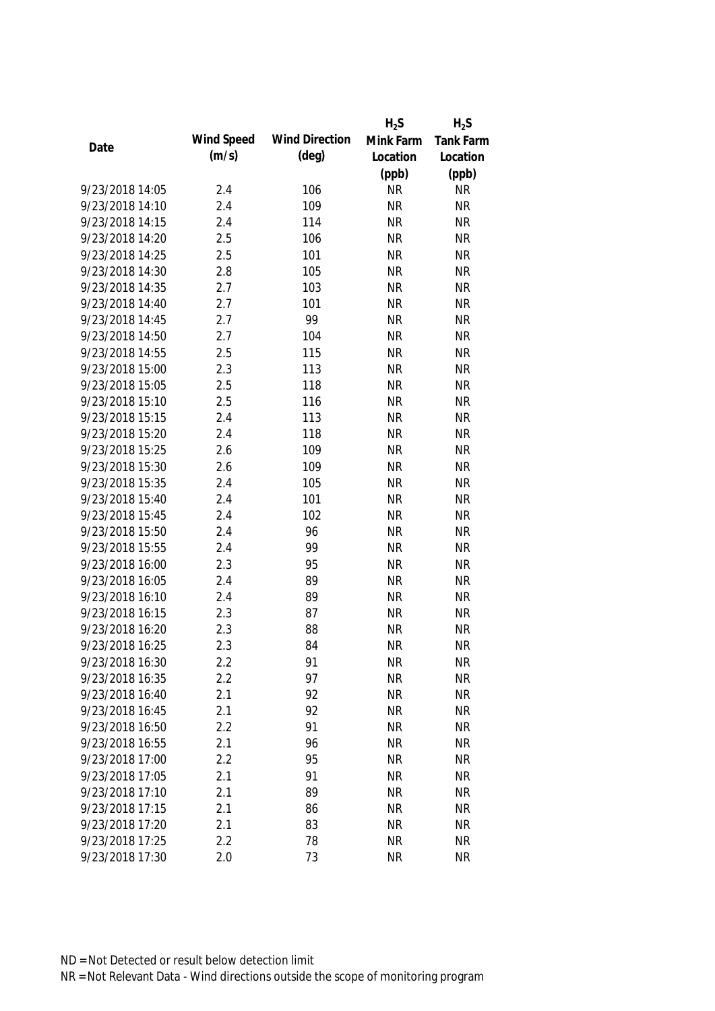|                 |            |                       | $H_2S$    | $H_2S$    |
|-----------------|------------|-----------------------|-----------|-----------|
|                 | Wind Speed | <b>Wind Direction</b> | Mink Farm | Tank Farm |
| Date            | (m/s)      | $(\text{deg})$        | Location  | Location  |
|                 |            |                       | (ppb)     | (ppb)     |
| 9/23/2018 14:05 | 2.4        | 106                   | <b>NR</b> | <b>NR</b> |
| 9/23/2018 14:10 | 2.4        | 109                   | <b>NR</b> | <b>NR</b> |
| 9/23/2018 14:15 | 2.4        | 114                   | <b>NR</b> | <b>NR</b> |
| 9/23/2018 14:20 | 2.5        | 106                   | <b>NR</b> | <b>NR</b> |
| 9/23/2018 14:25 | 2.5        | 101                   | <b>NR</b> | <b>NR</b> |
| 9/23/2018 14:30 | 2.8        | 105                   | <b>NR</b> | <b>NR</b> |
| 9/23/2018 14:35 | 2.7        | 103                   | <b>NR</b> | <b>NR</b> |
| 9/23/2018 14:40 | 2.7        | 101                   | <b>NR</b> | <b>NR</b> |
| 9/23/2018 14:45 | 2.7        | 99                    | <b>NR</b> | <b>NR</b> |
| 9/23/2018 14:50 | 2.7        | 104                   | <b>NR</b> | <b>NR</b> |
| 9/23/2018 14:55 | 2.5        | 115                   | <b>NR</b> | <b>NR</b> |
| 9/23/2018 15:00 | 2.3        | 113                   | <b>NR</b> | <b>NR</b> |
| 9/23/2018 15:05 | 2.5        | 118                   | <b>NR</b> | <b>NR</b> |
| 9/23/2018 15:10 | 2.5        | 116                   | <b>NR</b> | <b>NR</b> |
| 9/23/2018 15:15 | 2.4        | 113                   | <b>NR</b> | <b>NR</b> |
| 9/23/2018 15:20 | 2.4        | 118                   | <b>NR</b> | <b>NR</b> |
| 9/23/2018 15:25 | 2.6        | 109                   | <b>NR</b> | <b>NR</b> |
| 9/23/2018 15:30 | 2.6        | 109                   | <b>NR</b> | <b>NR</b> |
| 9/23/2018 15:35 | 2.4        | 105                   | <b>NR</b> | <b>NR</b> |
| 9/23/2018 15:40 | 2.4        | 101                   | <b>NR</b> | <b>NR</b> |
| 9/23/2018 15:45 | 2.4        | 102                   | <b>NR</b> | <b>NR</b> |
| 9/23/2018 15:50 | 2.4        | 96                    | <b>NR</b> | <b>NR</b> |
| 9/23/2018 15:55 | 2.4        | 99                    | <b>NR</b> | <b>NR</b> |
| 9/23/2018 16:00 | 2.3        | 95                    | <b>NR</b> | <b>NR</b> |
| 9/23/2018 16:05 | 2.4        | 89                    | <b>NR</b> | <b>NR</b> |
| 9/23/2018 16:10 | 2.4        | 89                    | <b>NR</b> | <b>NR</b> |
| 9/23/2018 16:15 | 2.3        | 87                    | <b>NR</b> | <b>NR</b> |
| 9/23/2018 16:20 | 2.3        | 88                    | <b>NR</b> | <b>NR</b> |
| 9/23/2018 16:25 | 2.3        | 84                    | <b>NR</b> | <b>NR</b> |
| 9/23/2018 16:30 | 2.2        | 91                    | <b>NR</b> | <b>NR</b> |
| 9/23/2018 16:35 | 2.2        | 97                    | <b>NR</b> | <b>NR</b> |
| 9/23/2018 16:40 | 2.1        | 92                    | <b>NR</b> | <b>NR</b> |
| 9/23/2018 16:45 | 2.1        | 92                    | <b>NR</b> | <b>NR</b> |
| 9/23/2018 16:50 | 2.2        | 91                    | <b>NR</b> | <b>NR</b> |
| 9/23/2018 16:55 | 2.1        | 96                    | <b>NR</b> | <b>NR</b> |
| 9/23/2018 17:00 | 2.2        | 95                    | <b>NR</b> | <b>NR</b> |
| 9/23/2018 17:05 | 2.1        | 91                    | <b>NR</b> | <b>NR</b> |
| 9/23/2018 17:10 | 2.1        | 89                    | <b>NR</b> | <b>NR</b> |
| 9/23/2018 17:15 | 2.1        | 86                    | <b>NR</b> | <b>NR</b> |
| 9/23/2018 17:20 | 2.1        | 83                    | <b>NR</b> | <b>NR</b> |
| 9/23/2018 17:25 | 2.2        | 78                    | <b>NR</b> | <b>NR</b> |
| 9/23/2018 17:30 | 2.0        | 73                    | <b>NR</b> | <b>NR</b> |
|                 |            |                       |           |           |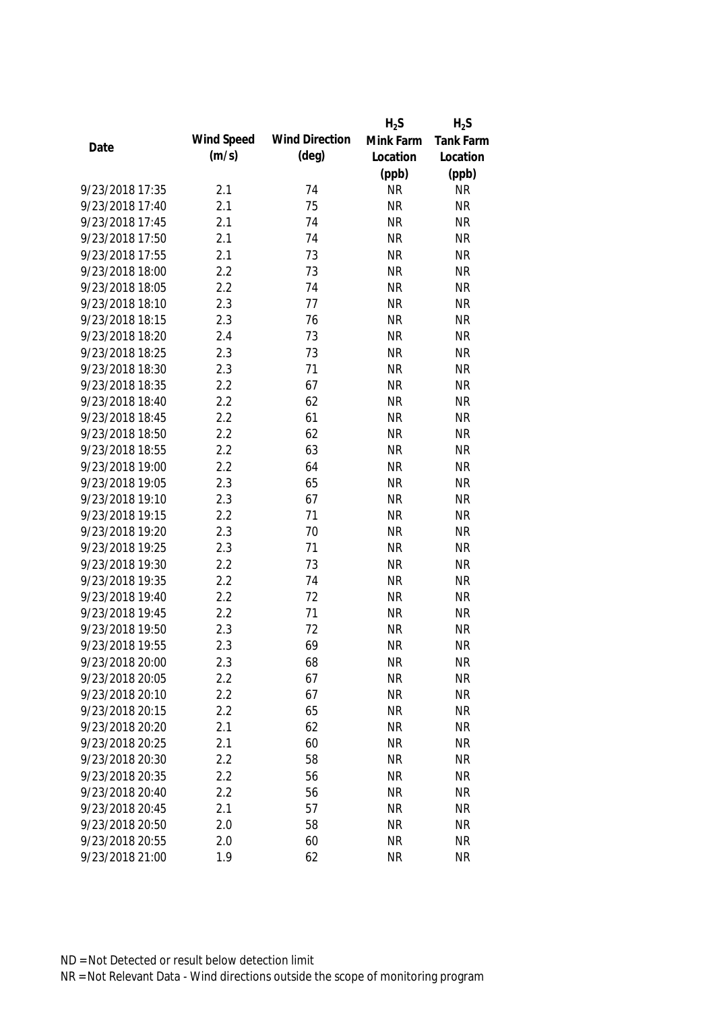|                 |            |                       | $H_2S$    | $H_2S$    |
|-----------------|------------|-----------------------|-----------|-----------|
|                 | Wind Speed | <b>Wind Direction</b> | Mink Farm | Tank Farm |
| Date            | (m/s)      | $(\text{deg})$        | Location  | Location  |
|                 |            |                       | (ppb)     | (ppb)     |
| 9/23/2018 17:35 | 2.1        | 74                    | <b>NR</b> | <b>NR</b> |
| 9/23/2018 17:40 | 2.1        | 75                    | <b>NR</b> | <b>NR</b> |
| 9/23/2018 17:45 | 2.1        | 74                    | <b>NR</b> | <b>NR</b> |
| 9/23/2018 17:50 | 2.1        | 74                    | <b>NR</b> | <b>NR</b> |
| 9/23/2018 17:55 | 2.1        | 73                    | <b>NR</b> | <b>NR</b> |
| 9/23/2018 18:00 | 2.2        | 73                    | <b>NR</b> | <b>NR</b> |
| 9/23/2018 18:05 | 2.2        | 74                    | <b>NR</b> | <b>NR</b> |
| 9/23/2018 18:10 | 2.3        | 77                    | <b>NR</b> | <b>NR</b> |
| 9/23/2018 18:15 | 2.3        | 76                    | <b>NR</b> | <b>NR</b> |
| 9/23/2018 18:20 | 2.4        | 73                    | <b>NR</b> | <b>NR</b> |
| 9/23/2018 18:25 | 2.3        | 73                    | <b>NR</b> | <b>NR</b> |
| 9/23/2018 18:30 | 2.3        | 71                    | <b>NR</b> | <b>NR</b> |
| 9/23/2018 18:35 | 2.2        | 67                    | <b>NR</b> | <b>NR</b> |
| 9/23/2018 18:40 | 2.2        | 62                    | <b>NR</b> | <b>NR</b> |
| 9/23/2018 18:45 | 2.2        | 61                    | <b>NR</b> | <b>NR</b> |
| 9/23/2018 18:50 | 2.2        | 62                    | <b>NR</b> | <b>NR</b> |
| 9/23/2018 18:55 | 2.2        | 63                    | <b>NR</b> | <b>NR</b> |
| 9/23/2018 19:00 | 2.2        | 64                    | <b>NR</b> | <b>NR</b> |
| 9/23/2018 19:05 | 2.3        | 65                    | <b>NR</b> | <b>NR</b> |
| 9/23/2018 19:10 | 2.3        | 67                    | <b>NR</b> | <b>NR</b> |
| 9/23/2018 19:15 | 2.2        | 71                    | <b>NR</b> | <b>NR</b> |
| 9/23/2018 19:20 | 2.3        | 70                    | <b>NR</b> | <b>NR</b> |
| 9/23/2018 19:25 | 2.3        | 71                    | <b>NR</b> | <b>NR</b> |
| 9/23/2018 19:30 | 2.2        | 73                    | <b>NR</b> | <b>NR</b> |
| 9/23/2018 19:35 | 2.2        | 74                    | <b>NR</b> | <b>NR</b> |
| 9/23/2018 19:40 | 2.2        | 72                    | <b>NR</b> | <b>NR</b> |
| 9/23/2018 19:45 | 2.2        | 71                    | <b>NR</b> | <b>NR</b> |
| 9/23/2018 19:50 | 2.3        | 72                    | <b>NR</b> | <b>NR</b> |
| 9/23/2018 19:55 | 2.3        | 69                    | <b>NR</b> | <b>NR</b> |
| 9/23/2018 20:00 | 2.3        | 68                    | <b>NR</b> | <b>NR</b> |
| 9/23/2018 20:05 | 2.2        | 67                    | <b>NR</b> | <b>NR</b> |
| 9/23/2018 20:10 | 2.2        | 67                    | <b>NR</b> | <b>NR</b> |
| 9/23/2018 20:15 | 2.2        | 65                    | <b>NR</b> | <b>NR</b> |
| 9/23/2018 20:20 | 2.1        | 62                    | <b>NR</b> | <b>NR</b> |
| 9/23/2018 20:25 | 2.1        | 60                    | <b>NR</b> | <b>NR</b> |
| 9/23/2018 20:30 | 2.2        | 58                    | <b>NR</b> | <b>NR</b> |
| 9/23/2018 20:35 | 2.2        | 56                    | <b>NR</b> | <b>NR</b> |
| 9/23/2018 20:40 | 2.2        |                       | <b>NR</b> | <b>NR</b> |
|                 |            | 56                    |           |           |
| 9/23/2018 20:45 | 2.1        | 57                    | <b>NR</b> | <b>NR</b> |
| 9/23/2018 20:50 | 2.0        | 58                    | <b>NR</b> | <b>NR</b> |
| 9/23/2018 20:55 | 2.0        | 60                    | <b>NR</b> | <b>NR</b> |
| 9/23/2018 21:00 | 1.9        | 62                    | <b>NR</b> | <b>NR</b> |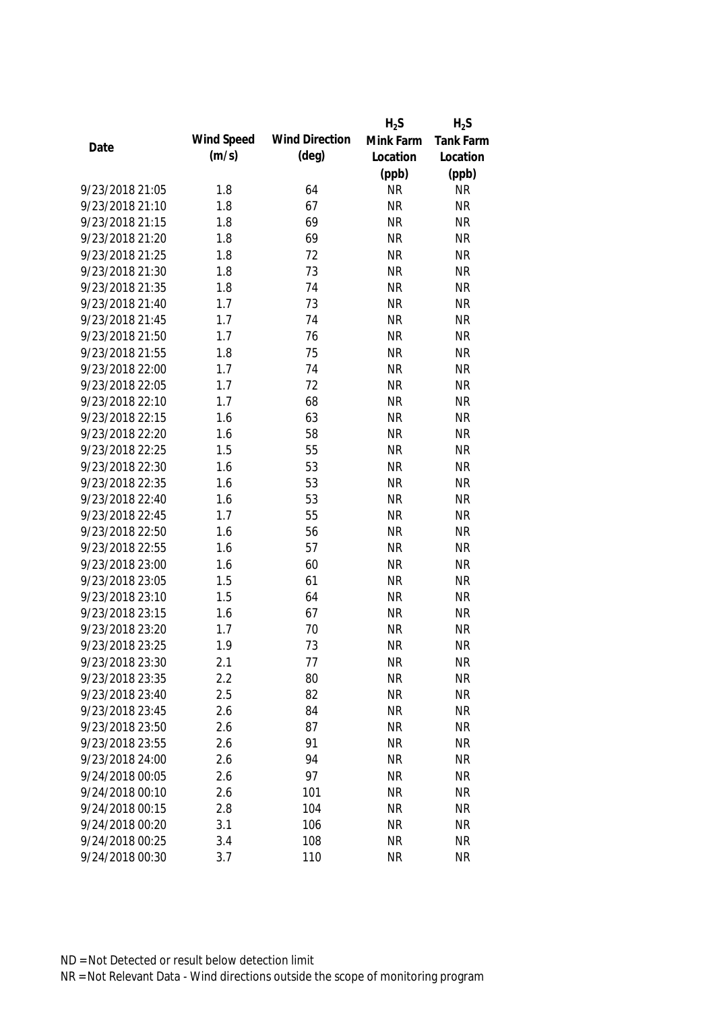|                 |            |                       | $H_2S$    | $H_2S$    |
|-----------------|------------|-----------------------|-----------|-----------|
|                 | Wind Speed | <b>Wind Direction</b> | Mink Farm | Tank Farm |
| Date            | (m/s)      | $(\text{deg})$        | Location  | Location  |
|                 |            |                       | (ppb)     | (ppb)     |
| 9/23/2018 21:05 | 1.8        | 64                    | <b>NR</b> | <b>NR</b> |
| 9/23/2018 21:10 | 1.8        | 67                    | <b>NR</b> | <b>NR</b> |
| 9/23/2018 21:15 | 1.8        | 69                    | <b>NR</b> | <b>NR</b> |
| 9/23/2018 21:20 | 1.8        | 69                    | <b>NR</b> | <b>NR</b> |
| 9/23/2018 21:25 | 1.8        | 72                    | <b>NR</b> | <b>NR</b> |
| 9/23/2018 21:30 | 1.8        | 73                    | <b>NR</b> | <b>NR</b> |
| 9/23/2018 21:35 | 1.8        | 74                    | <b>NR</b> | <b>NR</b> |
| 9/23/2018 21:40 | 1.7        | 73                    | <b>NR</b> | <b>NR</b> |
| 9/23/2018 21:45 | 1.7        | 74                    | <b>NR</b> | <b>NR</b> |
| 9/23/2018 21:50 | 1.7        | 76                    | <b>NR</b> | <b>NR</b> |
| 9/23/2018 21:55 | 1.8        | 75                    | <b>NR</b> | <b>NR</b> |
| 9/23/2018 22:00 | 1.7        | 74                    | <b>NR</b> | <b>NR</b> |
| 9/23/2018 22:05 | 1.7        | 72                    | <b>NR</b> | <b>NR</b> |
| 9/23/2018 22:10 | 1.7        | 68                    | <b>NR</b> | <b>NR</b> |
| 9/23/2018 22:15 | 1.6        | 63                    | <b>NR</b> | <b>NR</b> |
| 9/23/2018 22:20 | 1.6        | 58                    | <b>NR</b> | <b>NR</b> |
| 9/23/2018 22:25 | 1.5        | 55                    | <b>NR</b> | <b>NR</b> |
| 9/23/2018 22:30 | 1.6        | 53                    | <b>NR</b> | <b>NR</b> |
| 9/23/2018 22:35 | 1.6        | 53                    | <b>NR</b> | <b>NR</b> |
| 9/23/2018 22:40 | 1.6        | 53                    | <b>NR</b> | <b>NR</b> |
| 9/23/2018 22:45 | 1.7        | 55                    | <b>NR</b> | <b>NR</b> |
| 9/23/2018 22:50 | 1.6        | 56                    | <b>NR</b> | <b>NR</b> |
| 9/23/2018 22:55 | 1.6        | 57                    | <b>NR</b> | <b>NR</b> |
| 9/23/2018 23:00 | 1.6        | 60                    | <b>NR</b> | <b>NR</b> |
| 9/23/2018 23:05 | 1.5        | 61                    | <b>NR</b> | <b>NR</b> |
| 9/23/2018 23:10 | 1.5        | 64                    | <b>NR</b> | <b>NR</b> |
| 9/23/2018 23:15 | 1.6        | 67                    | <b>NR</b> | <b>NR</b> |
| 9/23/2018 23:20 | 1.7        | 70                    | <b>NR</b> | <b>NR</b> |
| 9/23/2018 23:25 | 1.9        | 73                    | <b>NR</b> | <b>NR</b> |
| 9/23/2018 23:30 | 2.1        | 77                    | <b>NR</b> | <b>NR</b> |
| 9/23/2018 23:35 | 2.2        | 80                    | <b>NR</b> | <b>NR</b> |
| 9/23/2018 23:40 | 2.5        | 82                    | <b>NR</b> | <b>NR</b> |
| 9/23/2018 23:45 | 2.6        | 84                    | <b>NR</b> | <b>NR</b> |
| 9/23/2018 23:50 | 2.6        | 87                    | <b>NR</b> | <b>NR</b> |
| 9/23/2018 23:55 | 2.6        | 91                    | <b>NR</b> | <b>NR</b> |
| 9/23/2018 24:00 | 2.6        | 94                    | <b>NR</b> | <b>NR</b> |
| 9/24/2018 00:05 | 2.6        | 97                    | <b>NR</b> | <b>NR</b> |
| 9/24/2018 00:10 | 2.6        | 101                   | <b>NR</b> | <b>NR</b> |
| 9/24/2018 00:15 | 2.8        | 104                   | <b>NR</b> | <b>NR</b> |
| 9/24/2018 00:20 | 3.1        | 106                   | <b>NR</b> | <b>NR</b> |
| 9/24/2018 00:25 | 3.4        | 108                   | <b>NR</b> | <b>NR</b> |
| 9/24/2018 00:30 | 3.7        | 110                   | <b>NR</b> | <b>NR</b> |
|                 |            |                       |           |           |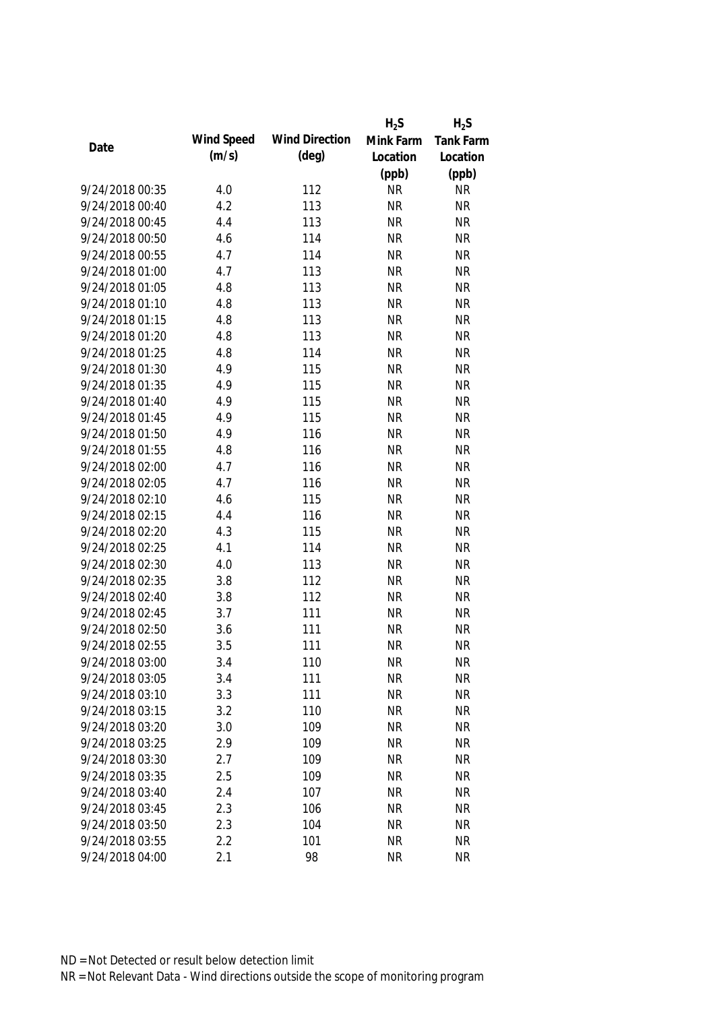|                 |            |                       | $H_2S$    | $H_2S$    |
|-----------------|------------|-----------------------|-----------|-----------|
|                 | Wind Speed | <b>Wind Direction</b> | Mink Farm | Tank Farm |
| Date            | (m/s)      | $(\text{deg})$        | Location  | Location  |
|                 |            |                       | (ppb)     | (ppb)     |
| 9/24/2018 00:35 | 4.0        | 112                   | <b>NR</b> | <b>NR</b> |
| 9/24/2018 00:40 | 4.2        | 113                   | <b>NR</b> | <b>NR</b> |
| 9/24/2018 00:45 | 4.4        | 113                   | <b>NR</b> | <b>NR</b> |
| 9/24/2018 00:50 | 4.6        | 114                   | <b>NR</b> | <b>NR</b> |
| 9/24/2018 00:55 | 4.7        | 114                   | <b>NR</b> | <b>NR</b> |
| 9/24/2018 01:00 | 4.7        | 113                   | <b>NR</b> | <b>NR</b> |
| 9/24/2018 01:05 | 4.8        | 113                   | <b>NR</b> | <b>NR</b> |
| 9/24/2018 01:10 | 4.8        | 113                   | <b>NR</b> | <b>NR</b> |
| 9/24/2018 01:15 | 4.8        | 113                   | <b>NR</b> | <b>NR</b> |
| 9/24/2018 01:20 | 4.8        | 113                   | <b>NR</b> | <b>NR</b> |
| 9/24/2018 01:25 | 4.8        | 114                   | <b>NR</b> | <b>NR</b> |
| 9/24/2018 01:30 | 4.9        | 115                   | <b>NR</b> | <b>NR</b> |
| 9/24/2018 01:35 | 4.9        | 115                   | <b>NR</b> | <b>NR</b> |
| 9/24/2018 01:40 | 4.9        | 115                   | <b>NR</b> | <b>NR</b> |
| 9/24/2018 01:45 | 4.9        | 115                   | <b>NR</b> | <b>NR</b> |
| 9/24/2018 01:50 | 4.9        | 116                   | <b>NR</b> | <b>NR</b> |
| 9/24/2018 01:55 | 4.8        | 116                   | <b>NR</b> | <b>NR</b> |
| 9/24/2018 02:00 | 4.7        | 116                   | <b>NR</b> | <b>NR</b> |
| 9/24/2018 02:05 | 4.7        | 116                   | <b>NR</b> | <b>NR</b> |
| 9/24/2018 02:10 | 4.6        | 115                   | <b>NR</b> | <b>NR</b> |
| 9/24/2018 02:15 | 4.4        | 116                   | <b>NR</b> | <b>NR</b> |
| 9/24/2018 02:20 | 4.3        | 115                   | <b>NR</b> | <b>NR</b> |
| 9/24/2018 02:25 | 4.1        | 114                   | <b>NR</b> | <b>NR</b> |
| 9/24/2018 02:30 | 4.0        | 113                   | <b>NR</b> | <b>NR</b> |
| 9/24/2018 02:35 | 3.8        | 112                   | <b>NR</b> | <b>NR</b> |
| 9/24/2018 02:40 | 3.8        | 112                   | <b>NR</b> | <b>NR</b> |
| 9/24/2018 02:45 | 3.7        | 111                   | <b>NR</b> | <b>NR</b> |
| 9/24/2018 02:50 | 3.6        | 111                   | <b>NR</b> | <b>NR</b> |
| 9/24/2018 02:55 | 3.5        | 111                   | <b>NR</b> | <b>NR</b> |
| 9/24/2018 03:00 | 3.4        | 110                   | <b>NR</b> | <b>NR</b> |
| 9/24/2018 03:05 | 3.4        | 111                   | <b>NR</b> | <b>NR</b> |
| 9/24/2018 03:10 | 3.3        | 111                   | <b>NR</b> | <b>NR</b> |
| 9/24/2018 03:15 | 3.2        | 110                   | <b>NR</b> | <b>NR</b> |
| 9/24/2018 03:20 | 3.0        | 109                   | <b>NR</b> | <b>NR</b> |
| 9/24/2018 03:25 | 2.9        | 109                   | <b>NR</b> | <b>NR</b> |
| 9/24/2018 03:30 | 2.7        | 109                   | <b>NR</b> | <b>NR</b> |
| 9/24/2018 03:35 | 2.5        | 109                   | <b>NR</b> | <b>NR</b> |
| 9/24/2018 03:40 | 2.4        | 107                   | <b>NR</b> | <b>NR</b> |
| 9/24/2018 03:45 | 2.3        | 106                   | <b>NR</b> | <b>NR</b> |
| 9/24/2018 03:50 | 2.3        | 104                   | <b>NR</b> | <b>NR</b> |
| 9/24/2018 03:55 | 2.2        | 101                   | <b>NR</b> | <b>NR</b> |
| 9/24/2018 04:00 | 2.1        | 98                    | <b>NR</b> | <b>NR</b> |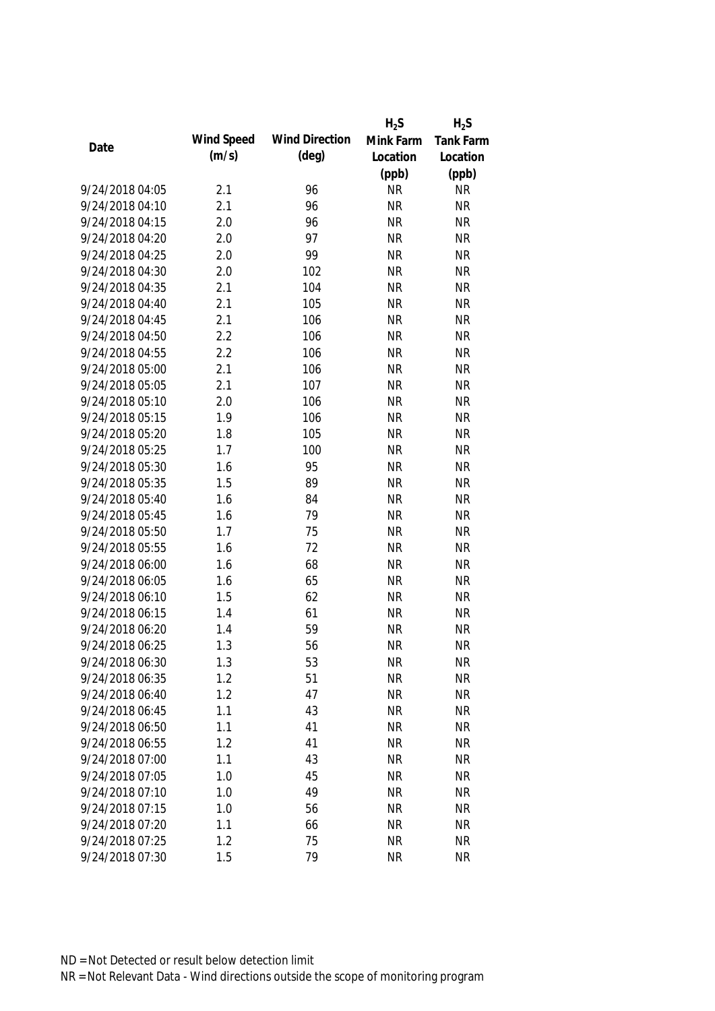|                 |            |                       | $H_2S$    | $H_2S$    |
|-----------------|------------|-----------------------|-----------|-----------|
|                 | Wind Speed | <b>Wind Direction</b> | Mink Farm | Tank Farm |
| Date            | (m/s)      | $(\text{deg})$        | Location  | Location  |
|                 |            |                       | (ppb)     | (ppb)     |
| 9/24/2018 04:05 | 2.1        | 96                    | <b>NR</b> | <b>NR</b> |
| 9/24/2018 04:10 | 2.1        | 96                    | <b>NR</b> | <b>NR</b> |
| 9/24/2018 04:15 | 2.0        | 96                    | <b>NR</b> | <b>NR</b> |
| 9/24/2018 04:20 | 2.0        | 97                    | <b>NR</b> | <b>NR</b> |
| 9/24/2018 04:25 | 2.0        | 99                    | <b>NR</b> | <b>NR</b> |
| 9/24/2018 04:30 | 2.0        | 102                   | <b>NR</b> | <b>NR</b> |
| 9/24/2018 04:35 | 2.1        | 104                   | <b>NR</b> | <b>NR</b> |
| 9/24/2018 04:40 | 2.1        | 105                   | <b>NR</b> | <b>NR</b> |
| 9/24/2018 04:45 | 2.1        | 106                   | <b>NR</b> | <b>NR</b> |
| 9/24/2018 04:50 | 2.2        | 106                   | <b>NR</b> | <b>NR</b> |
| 9/24/2018 04:55 | 2.2        | 106                   | <b>NR</b> | <b>NR</b> |
| 9/24/2018 05:00 | 2.1        | 106                   | <b>NR</b> | <b>NR</b> |
| 9/24/2018 05:05 | 2.1        | 107                   | <b>NR</b> | <b>NR</b> |
| 9/24/2018 05:10 | 2.0        | 106                   | <b>NR</b> | <b>NR</b> |
| 9/24/2018 05:15 | 1.9        | 106                   | <b>NR</b> | <b>NR</b> |
| 9/24/2018 05:20 | 1.8        | 105                   | <b>NR</b> | <b>NR</b> |
| 9/24/2018 05:25 | 1.7        | 100                   | <b>NR</b> | <b>NR</b> |
| 9/24/2018 05:30 | 1.6        | 95                    | <b>NR</b> | <b>NR</b> |
| 9/24/2018 05:35 | 1.5        | 89                    | <b>NR</b> | <b>NR</b> |
| 9/24/2018 05:40 | 1.6        | 84                    | <b>NR</b> | <b>NR</b> |
| 9/24/2018 05:45 | 1.6        | 79                    | <b>NR</b> | <b>NR</b> |
| 9/24/2018 05:50 | 1.7        | 75                    | <b>NR</b> | <b>NR</b> |
| 9/24/2018 05:55 | 1.6        | 72                    | <b>NR</b> | <b>NR</b> |
| 9/24/2018 06:00 | 1.6        | 68                    | <b>NR</b> | <b>NR</b> |
| 9/24/2018 06:05 | 1.6        | 65                    | <b>NR</b> | <b>NR</b> |
| 9/24/2018 06:10 | 1.5        | 62                    | <b>NR</b> | <b>NR</b> |
| 9/24/2018 06:15 | 1.4        | 61                    | <b>NR</b> | <b>NR</b> |
| 9/24/2018 06:20 | 1.4        | 59                    | <b>NR</b> | <b>NR</b> |
| 9/24/2018 06:25 | 1.3        | 56                    | <b>NR</b> | <b>NR</b> |
| 9/24/2018 06:30 | 1.3        | 53                    | <b>NR</b> | <b>NR</b> |
| 9/24/2018 06:35 | 1.2        | 51                    | <b>NR</b> | <b>NR</b> |
| 9/24/2018 06:40 | 1.2        | 47                    | <b>NR</b> | <b>NR</b> |
| 9/24/2018 06:45 | 1.1        | 43                    | <b>NR</b> | <b>NR</b> |
| 9/24/2018 06:50 | 1.1        | 41                    | <b>NR</b> | <b>NR</b> |
| 9/24/2018 06:55 | 1.2        | 41                    | <b>NR</b> | <b>NR</b> |
| 9/24/2018 07:00 | 1.1        | 43                    | <b>NR</b> | <b>NR</b> |
| 9/24/2018 07:05 | 1.0        | 45                    | <b>NR</b> | <b>NR</b> |
| 9/24/2018 07:10 | 1.0        | 49                    | <b>NR</b> | <b>NR</b> |
| 9/24/2018 07:15 | 1.0        | 56                    | <b>NR</b> | <b>NR</b> |
| 9/24/2018 07:20 | 1.1        | 66                    | <b>NR</b> | <b>NR</b> |
| 9/24/2018 07:25 | 1.2        | 75                    | <b>NR</b> | <b>NR</b> |
| 9/24/2018 07:30 | 1.5        | 79                    | <b>NR</b> | <b>NR</b> |
|                 |            |                       |           |           |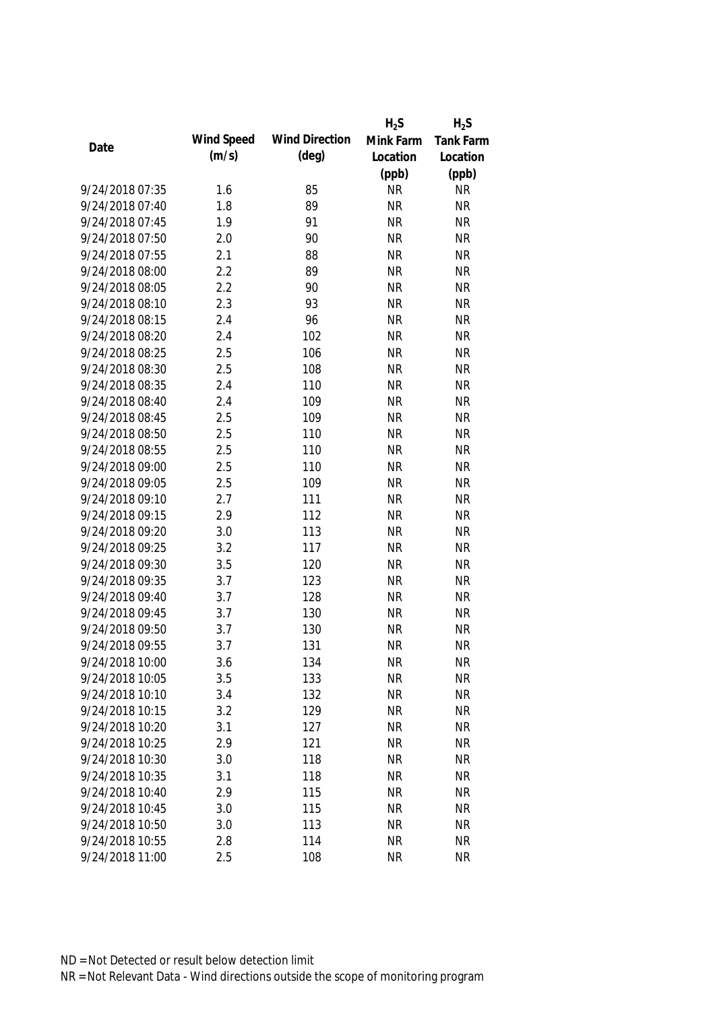|                 |            |                       | $H_2S$    | $H_2S$    |
|-----------------|------------|-----------------------|-----------|-----------|
|                 | Wind Speed | <b>Wind Direction</b> | Mink Farm | Tank Farm |
| Date            | (m/s)      | $(\text{deg})$        | Location  | Location  |
|                 |            |                       | (ppb)     | (ppb)     |
| 9/24/2018 07:35 | 1.6        | 85                    | <b>NR</b> | <b>NR</b> |
| 9/24/2018 07:40 | 1.8        | 89                    | <b>NR</b> | <b>NR</b> |
| 9/24/2018 07:45 | 1.9        | 91                    | <b>NR</b> | <b>NR</b> |
| 9/24/2018 07:50 | 2.0        | 90                    | <b>NR</b> | <b>NR</b> |
| 9/24/2018 07:55 | 2.1        | 88                    | <b>NR</b> | <b>NR</b> |
| 9/24/2018 08:00 | 2.2        | 89                    | <b>NR</b> | <b>NR</b> |
| 9/24/2018 08:05 | 2.2        | 90                    | <b>NR</b> | <b>NR</b> |
| 9/24/2018 08:10 | 2.3        | 93                    | <b>NR</b> | <b>NR</b> |
| 9/24/2018 08:15 | 2.4        | 96                    | <b>NR</b> | <b>NR</b> |
| 9/24/2018 08:20 | 2.4        | 102                   | <b>NR</b> | <b>NR</b> |
| 9/24/2018 08:25 | 2.5        | 106                   | <b>NR</b> | <b>NR</b> |
| 9/24/2018 08:30 | 2.5        | 108                   | <b>NR</b> | <b>NR</b> |
| 9/24/2018 08:35 | 2.4        | 110                   | <b>NR</b> | <b>NR</b> |
| 9/24/2018 08:40 | 2.4        | 109                   | <b>NR</b> | <b>NR</b> |
| 9/24/2018 08:45 | 2.5        | 109                   | <b>NR</b> | <b>NR</b> |
| 9/24/2018 08:50 | 2.5        | 110                   | <b>NR</b> | <b>NR</b> |
| 9/24/2018 08:55 | 2.5        | 110                   | <b>NR</b> | <b>NR</b> |
| 9/24/2018 09:00 | 2.5        | 110                   | <b>NR</b> | <b>NR</b> |
| 9/24/2018 09:05 | 2.5        | 109                   | <b>NR</b> | <b>NR</b> |
| 9/24/2018 09:10 | 2.7        | 111                   | <b>NR</b> | <b>NR</b> |
| 9/24/2018 09:15 | 2.9        | 112                   | <b>NR</b> | <b>NR</b> |
| 9/24/2018 09:20 | 3.0        | 113                   | <b>NR</b> | <b>NR</b> |
| 9/24/2018 09:25 | 3.2        | 117                   | <b>NR</b> | <b>NR</b> |
| 9/24/2018 09:30 | 3.5        | 120                   | <b>NR</b> | <b>NR</b> |
| 9/24/2018 09:35 | 3.7        | 123                   | <b>NR</b> | <b>NR</b> |
| 9/24/2018 09:40 | 3.7        | 128                   | <b>NR</b> | <b>NR</b> |
| 9/24/2018 09:45 | 3.7        | 130                   | <b>NR</b> | <b>NR</b> |
| 9/24/2018 09:50 | 3.7        | 130                   | <b>NR</b> | <b>NR</b> |
| 9/24/2018 09:55 | 3.7        | 131                   | <b>NR</b> | <b>NR</b> |
| 9/24/2018 10:00 | 3.6        | 134                   | <b>NR</b> | <b>NR</b> |
| 9/24/2018 10:05 | 3.5        | 133                   | <b>NR</b> | <b>NR</b> |
| 9/24/2018 10:10 | 3.4        | 132                   | <b>NR</b> | <b>NR</b> |
| 9/24/2018 10:15 | 3.2        | 129                   | <b>NR</b> | <b>NR</b> |
| 9/24/2018 10:20 | 3.1        | 127                   | <b>NR</b> | <b>NR</b> |
| 9/24/2018 10:25 | 2.9        | 121                   | <b>NR</b> | <b>NR</b> |
| 9/24/2018 10:30 | 3.0        | 118                   | <b>NR</b> | <b>NR</b> |
| 9/24/2018 10:35 | 3.1        | 118                   | <b>NR</b> | <b>NR</b> |
| 9/24/2018 10:40 | 2.9        | 115                   | <b>NR</b> | <b>NR</b> |
| 9/24/2018 10:45 | 3.0        | 115                   | <b>NR</b> | <b>NR</b> |
| 9/24/2018 10:50 | 3.0        | 113                   | <b>NR</b> | <b>NR</b> |
| 9/24/2018 10:55 | 2.8        | 114                   | <b>NR</b> | <b>NR</b> |
| 9/24/2018 11:00 | 2.5        | 108                   | <b>NR</b> | <b>NR</b> |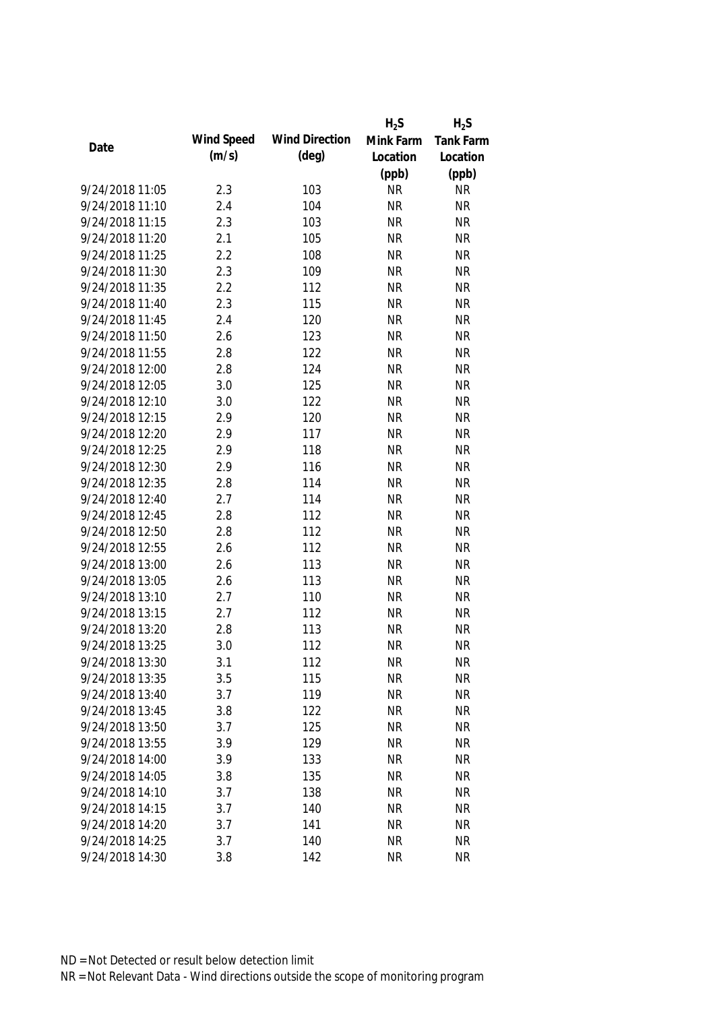|                 |            |                       | $H_2S$    | $H_2S$    |
|-----------------|------------|-----------------------|-----------|-----------|
|                 | Wind Speed | <b>Wind Direction</b> | Mink Farm | Tank Farm |
| Date            | (m/s)      | $(\text{deg})$        | Location  | Location  |
|                 |            |                       | (ppb)     | (ppb)     |
| 9/24/2018 11:05 | 2.3        | 103                   | <b>NR</b> | <b>NR</b> |
| 9/24/2018 11:10 | 2.4        | 104                   | <b>NR</b> | <b>NR</b> |
| 9/24/2018 11:15 | 2.3        | 103                   | <b>NR</b> | <b>NR</b> |
| 9/24/2018 11:20 | 2.1        | 105                   | <b>NR</b> | <b>NR</b> |
| 9/24/2018 11:25 | 2.2        | 108                   | <b>NR</b> | <b>NR</b> |
| 9/24/2018 11:30 | 2.3        | 109                   | <b>NR</b> | <b>NR</b> |
| 9/24/2018 11:35 | 2.2        | 112                   | <b>NR</b> | <b>NR</b> |
| 9/24/2018 11:40 | 2.3        | 115                   | <b>NR</b> | <b>NR</b> |
| 9/24/2018 11:45 | 2.4        | 120                   | <b>NR</b> | <b>NR</b> |
| 9/24/2018 11:50 | 2.6        | 123                   | <b>NR</b> | <b>NR</b> |
| 9/24/2018 11:55 | 2.8        | 122                   | <b>NR</b> | <b>NR</b> |
| 9/24/2018 12:00 | 2.8        | 124                   | <b>NR</b> | <b>NR</b> |
| 9/24/2018 12:05 | 3.0        | 125                   | <b>NR</b> | <b>NR</b> |
| 9/24/2018 12:10 | 3.0        | 122                   | <b>NR</b> | <b>NR</b> |
| 9/24/2018 12:15 | 2.9        | 120                   | <b>NR</b> | <b>NR</b> |
| 9/24/2018 12:20 | 2.9        | 117                   | <b>NR</b> | <b>NR</b> |
| 9/24/2018 12:25 | 2.9        | 118                   | <b>NR</b> | <b>NR</b> |
| 9/24/2018 12:30 | 2.9        | 116                   | <b>NR</b> | <b>NR</b> |
| 9/24/2018 12:35 | 2.8        | 114                   | <b>NR</b> | <b>NR</b> |
| 9/24/2018 12:40 | 2.7        | 114                   | <b>NR</b> | <b>NR</b> |
| 9/24/2018 12:45 | 2.8        | 112                   | <b>NR</b> | <b>NR</b> |
| 9/24/2018 12:50 | 2.8        | 112                   | <b>NR</b> | <b>NR</b> |
| 9/24/2018 12:55 | 2.6        | 112                   | <b>NR</b> | <b>NR</b> |
| 9/24/2018 13:00 | 2.6        | 113                   | <b>NR</b> | <b>NR</b> |
| 9/24/2018 13:05 | 2.6        | 113                   | <b>NR</b> | <b>NR</b> |
| 9/24/2018 13:10 | 2.7        | 110                   | <b>NR</b> | <b>NR</b> |
| 9/24/2018 13:15 | 2.7        | 112                   | <b>NR</b> | <b>NR</b> |
| 9/24/2018 13:20 | 2.8        | 113                   | <b>NR</b> | <b>NR</b> |
| 9/24/2018 13:25 | 3.0        | 112                   | <b>NR</b> | <b>NR</b> |
| 9/24/2018 13:30 | 3.1        | 112                   | <b>NR</b> | <b>NR</b> |
| 9/24/2018 13:35 | 3.5        | 115                   | <b>NR</b> | <b>NR</b> |
| 9/24/2018 13:40 | 3.7        | 119                   | <b>NR</b> | <b>NR</b> |
| 9/24/2018 13:45 | 3.8        | 122                   | <b>NR</b> | <b>NR</b> |
| 9/24/2018 13:50 | 3.7        | 125                   | <b>NR</b> | <b>NR</b> |
| 9/24/2018 13:55 | 3.9        | 129                   | <b>NR</b> | <b>NR</b> |
| 9/24/2018 14:00 | 3.9        | 133                   | <b>NR</b> | <b>NR</b> |
| 9/24/2018 14:05 | 3.8        | 135                   | <b>NR</b> | <b>NR</b> |
| 9/24/2018 14:10 | 3.7        | 138                   | <b>NR</b> | <b>NR</b> |
| 9/24/2018 14:15 | 3.7        | 140                   | <b>NR</b> | <b>NR</b> |
| 9/24/2018 14:20 |            |                       |           | <b>NR</b> |
|                 | 3.7        | 141                   | <b>NR</b> |           |
| 9/24/2018 14:25 | 3.7        | 140                   | <b>NR</b> | <b>NR</b> |
| 9/24/2018 14:30 | 3.8        | 142                   | <b>NR</b> | <b>NR</b> |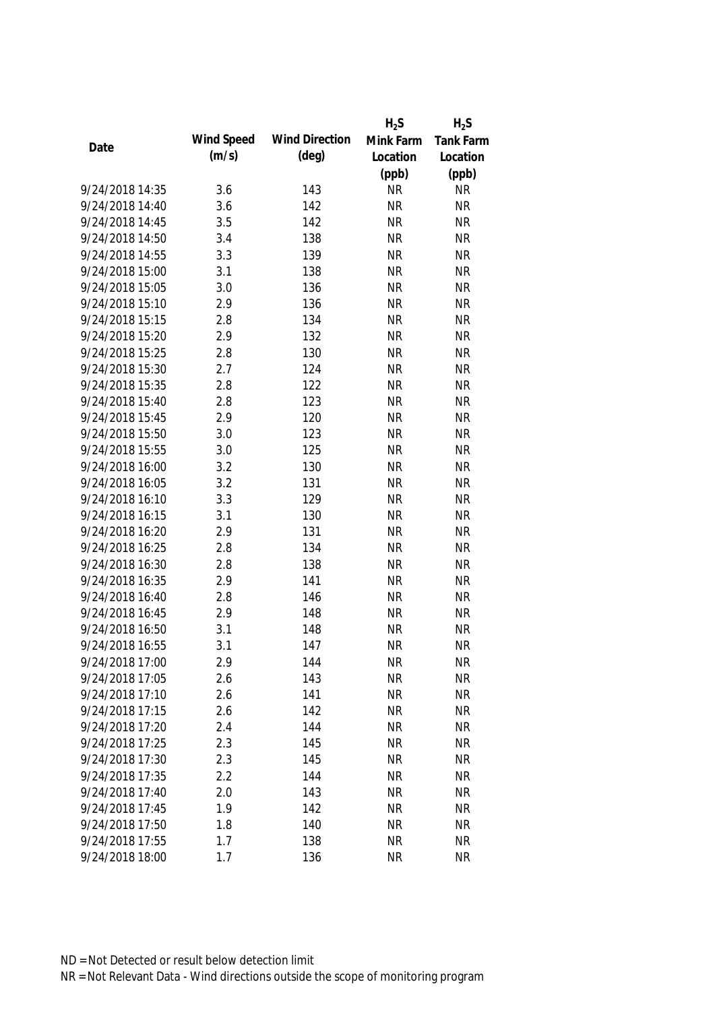|                 |            |                       | $H_2S$    | $H_2S$    |
|-----------------|------------|-----------------------|-----------|-----------|
| Date            | Wind Speed | <b>Wind Direction</b> | Mink Farm | Tank Farm |
|                 | (m/s)      | $(\text{deg})$        | Location  | Location  |
|                 |            |                       | (ppb)     | (ppb)     |
| 9/24/2018 14:35 | 3.6        | 143                   | <b>NR</b> | <b>NR</b> |
| 9/24/2018 14:40 | 3.6        | 142                   | <b>NR</b> | <b>NR</b> |
| 9/24/2018 14:45 | 3.5        | 142                   | <b>NR</b> | <b>NR</b> |
| 9/24/2018 14:50 | 3.4        | 138                   | <b>NR</b> | <b>NR</b> |
| 9/24/2018 14:55 | 3.3        | 139                   | <b>NR</b> | <b>NR</b> |
| 9/24/2018 15:00 | 3.1        | 138                   | <b>NR</b> | <b>NR</b> |
| 9/24/2018 15:05 | 3.0        | 136                   | <b>NR</b> | <b>NR</b> |
| 9/24/2018 15:10 | 2.9        | 136                   | <b>NR</b> | <b>NR</b> |
| 9/24/2018 15:15 | 2.8        | 134                   | <b>NR</b> | <b>NR</b> |
| 9/24/2018 15:20 | 2.9        | 132                   | <b>NR</b> | <b>NR</b> |
| 9/24/2018 15:25 | 2.8        | 130                   | <b>NR</b> | <b>NR</b> |
| 9/24/2018 15:30 | 2.7        | 124                   | <b>NR</b> | <b>NR</b> |
| 9/24/2018 15:35 | 2.8        | 122                   | <b>NR</b> | <b>NR</b> |
| 9/24/2018 15:40 | 2.8        | 123                   | <b>NR</b> | <b>NR</b> |
| 9/24/2018 15:45 | 2.9        | 120                   | <b>NR</b> | <b>NR</b> |
| 9/24/2018 15:50 | 3.0        | 123                   | <b>NR</b> | <b>NR</b> |
| 9/24/2018 15:55 | 3.0        | 125                   | <b>NR</b> | <b>NR</b> |
| 9/24/2018 16:00 | 3.2        | 130                   | <b>NR</b> | <b>NR</b> |
| 9/24/2018 16:05 | 3.2        | 131                   | <b>NR</b> | <b>NR</b> |
| 9/24/2018 16:10 | 3.3        | 129                   | <b>NR</b> | <b>NR</b> |
| 9/24/2018 16:15 | 3.1        | 130                   | <b>NR</b> | <b>NR</b> |
| 9/24/2018 16:20 | 2.9        | 131                   | <b>NR</b> | <b>NR</b> |
| 9/24/2018 16:25 | 2.8        | 134                   | <b>NR</b> | <b>NR</b> |
| 9/24/2018 16:30 | 2.8        | 138                   | <b>NR</b> | <b>NR</b> |
| 9/24/2018 16:35 | 2.9        | 141                   | <b>NR</b> | <b>NR</b> |
| 9/24/2018 16:40 | 2.8        | 146                   | <b>NR</b> | <b>NR</b> |
| 9/24/2018 16:45 | 2.9        | 148                   | <b>NR</b> | <b>NR</b> |
| 9/24/2018 16:50 | 3.1        | 148                   | <b>NR</b> | <b>NR</b> |
| 9/24/2018 16:55 | 3.1        | 147                   | <b>NR</b> | <b>NR</b> |
| 9/24/2018 17:00 | 2.9        | 144                   | <b>NR</b> | <b>NR</b> |
| 9/24/2018 17:05 | 2.6        | 143                   | <b>NR</b> | <b>NR</b> |
| 9/24/2018 17:10 | 2.6        | 141                   | <b>NR</b> | <b>NR</b> |
| 9/24/2018 17:15 | 2.6        | 142                   | <b>NR</b> | <b>NR</b> |
| 9/24/2018 17:20 | 2.4        | 144                   | <b>NR</b> | <b>NR</b> |
| 9/24/2018 17:25 | 2.3        | 145                   | <b>NR</b> | <b>NR</b> |
| 9/24/2018 17:30 | 2.3        | 145                   | <b>NR</b> | <b>NR</b> |
| 9/24/2018 17:35 | 2.2        | 144                   | <b>NR</b> | <b>NR</b> |
| 9/24/2018 17:40 | 2.0        | 143                   | <b>NR</b> | <b>NR</b> |
| 9/24/2018 17:45 | 1.9        | 142                   | <b>NR</b> | <b>NR</b> |
| 9/24/2018 17:50 | 1.8        | 140                   | <b>NR</b> | <b>NR</b> |
| 9/24/2018 17:55 | 1.7        | 138                   | <b>NR</b> | <b>NR</b> |
| 9/24/2018 18:00 | 1.7        | 136                   | <b>NR</b> | <b>NR</b> |
|                 |            |                       |           |           |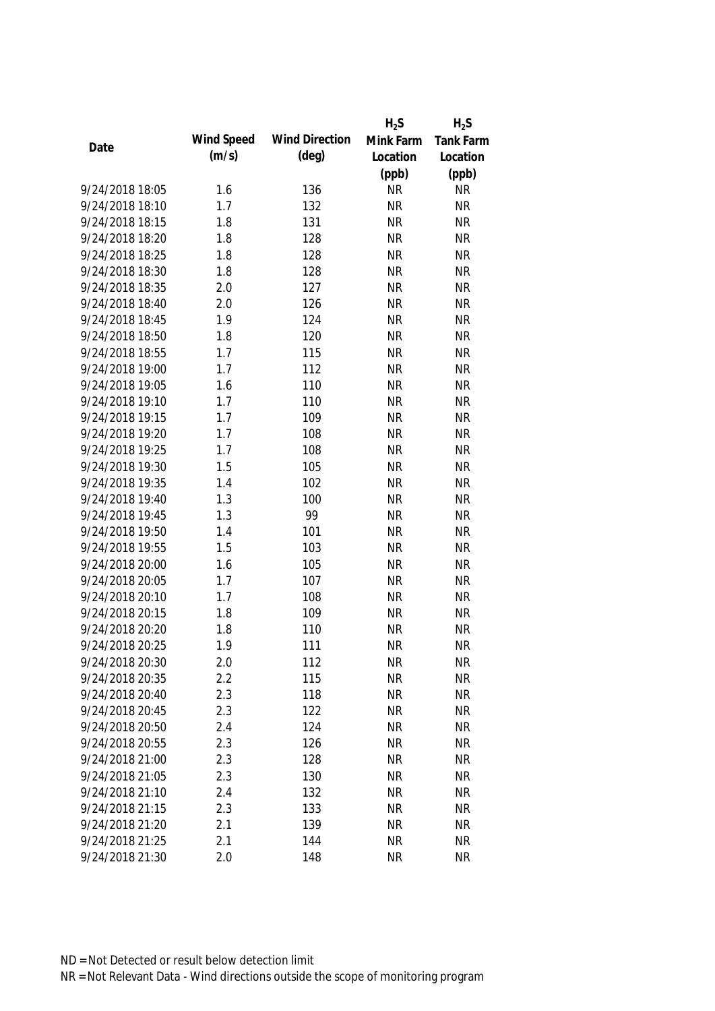|                 |            |                       | $H_2S$    | $H_2S$    |
|-----------------|------------|-----------------------|-----------|-----------|
|                 | Wind Speed | <b>Wind Direction</b> | Mink Farm | Tank Farm |
| Date            | (m/s)      | $(\text{deg})$        | Location  | Location  |
|                 |            |                       | (ppb)     | (ppb)     |
| 9/24/2018 18:05 | 1.6        | 136                   | <b>NR</b> | <b>NR</b> |
| 9/24/2018 18:10 | 1.7        | 132                   | <b>NR</b> | <b>NR</b> |
| 9/24/2018 18:15 | 1.8        | 131                   | <b>NR</b> | <b>NR</b> |
| 9/24/2018 18:20 | 1.8        | 128                   | <b>NR</b> | <b>NR</b> |
| 9/24/2018 18:25 | 1.8        | 128                   | <b>NR</b> | <b>NR</b> |
| 9/24/2018 18:30 | 1.8        | 128                   | <b>NR</b> | <b>NR</b> |
| 9/24/2018 18:35 | 2.0        | 127                   | <b>NR</b> | <b>NR</b> |
| 9/24/2018 18:40 | 2.0        | 126                   | <b>NR</b> | <b>NR</b> |
| 9/24/2018 18:45 | 1.9        | 124                   | <b>NR</b> | <b>NR</b> |
| 9/24/2018 18:50 | 1.8        | 120                   | <b>NR</b> | <b>NR</b> |
| 9/24/2018 18:55 | 1.7        | 115                   | <b>NR</b> | <b>NR</b> |
| 9/24/2018 19:00 | 1.7        | 112                   | <b>NR</b> | <b>NR</b> |
| 9/24/2018 19:05 | 1.6        | 110                   | <b>NR</b> | <b>NR</b> |
| 9/24/2018 19:10 | 1.7        | 110                   | <b>NR</b> | <b>NR</b> |
| 9/24/2018 19:15 | 1.7        | 109                   | <b>NR</b> | <b>NR</b> |
| 9/24/2018 19:20 | 1.7        | 108                   | <b>NR</b> | <b>NR</b> |
| 9/24/2018 19:25 | 1.7        | 108                   | <b>NR</b> | <b>NR</b> |
| 9/24/2018 19:30 | 1.5        | 105                   | <b>NR</b> | <b>NR</b> |
| 9/24/2018 19:35 | 1.4        | 102                   | <b>NR</b> | <b>NR</b> |
| 9/24/2018 19:40 | 1.3        | 100                   | <b>NR</b> | <b>NR</b> |
| 9/24/2018 19:45 | 1.3        | 99                    | <b>NR</b> | <b>NR</b> |
| 9/24/2018 19:50 | 1.4        | 101                   | <b>NR</b> | <b>NR</b> |
| 9/24/2018 19:55 | 1.5        | 103                   | <b>NR</b> | <b>NR</b> |
| 9/24/2018 20:00 | 1.6        | 105                   | <b>NR</b> | <b>NR</b> |
| 9/24/2018 20:05 | 1.7        | 107                   | <b>NR</b> | <b>NR</b> |
| 9/24/2018 20:10 | 1.7        | 108                   | <b>NR</b> | <b>NR</b> |
| 9/24/2018 20:15 | 1.8        | 109                   | <b>NR</b> | <b>NR</b> |
| 9/24/2018 20:20 | 1.8        | 110                   | <b>NR</b> | <b>NR</b> |
| 9/24/2018 20:25 | 1.9        | 111                   | <b>NR</b> | <b>NR</b> |
| 9/24/2018 20:30 | 2.0        | 112                   | <b>NR</b> | <b>NR</b> |
| 9/24/2018 20:35 | 2.2        | 115                   | <b>NR</b> | <b>NR</b> |
| 9/24/2018 20:40 | 2.3        | 118                   | <b>NR</b> | <b>NR</b> |
| 9/24/2018 20:45 | 2.3        | 122                   | <b>NR</b> | <b>NR</b> |
| 9/24/2018 20:50 |            |                       |           |           |
|                 | 2.4        | 124                   | <b>NR</b> | <b>NR</b> |
| 9/24/2018 20:55 | 2.3        | 126                   | <b>NR</b> | <b>NR</b> |
| 9/24/2018 21:00 | 2.3        | 128                   | <b>NR</b> | <b>NR</b> |
| 9/24/2018 21:05 | 2.3        | 130                   | <b>NR</b> | <b>NR</b> |
| 9/24/2018 21:10 | 2.4        | 132                   | <b>NR</b> | <b>NR</b> |
| 9/24/2018 21:15 | 2.3        | 133                   | <b>NR</b> | <b>NR</b> |
| 9/24/2018 21:20 | 2.1        | 139                   | <b>NR</b> | <b>NR</b> |
| 9/24/2018 21:25 | 2.1        | 144                   | <b>NR</b> | <b>NR</b> |
| 9/24/2018 21:30 | 2.0        | 148                   | <b>NR</b> | <b>NR</b> |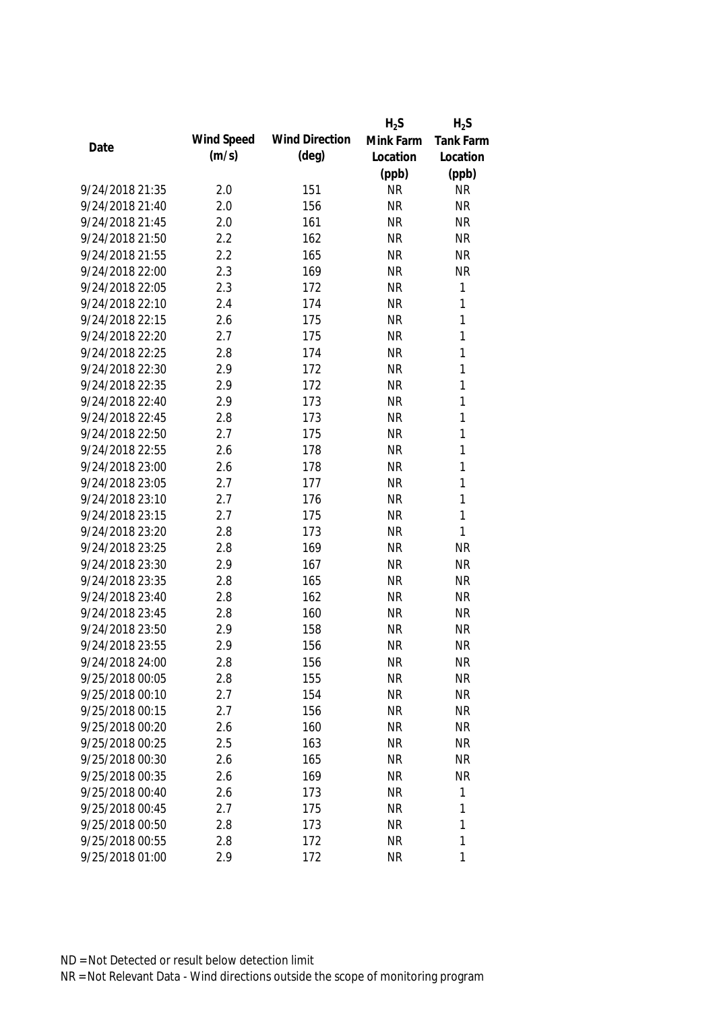|                 |            |                       | $H_2S$    | $H_2S$           |
|-----------------|------------|-----------------------|-----------|------------------|
| Date            | Wind Speed | <b>Wind Direction</b> | Mink Farm | <b>Tank Farm</b> |
|                 | (m/s)      | $(\text{deg})$        | Location  | Location         |
|                 |            |                       | (ppb)     | (ppb)            |
| 9/24/2018 21:35 | 2.0        | 151                   | <b>NR</b> | <b>NR</b>        |
| 9/24/2018 21:40 | 2.0        | 156                   | <b>NR</b> | <b>NR</b>        |
| 9/24/2018 21:45 | 2.0        | 161                   | <b>NR</b> | <b>NR</b>        |
| 9/24/2018 21:50 | 2.2        | 162                   | <b>NR</b> | <b>NR</b>        |
| 9/24/2018 21:55 | 2.2        | 165                   | <b>NR</b> | <b>NR</b>        |
| 9/24/2018 22:00 | 2.3        | 169                   | <b>NR</b> | <b>NR</b>        |
| 9/24/2018 22:05 | 2.3        | 172                   | <b>NR</b> | $\mathbf{1}$     |
| 9/24/2018 22:10 | 2.4        | 174                   | <b>NR</b> | 1                |
| 9/24/2018 22:15 | 2.6        | 175                   | <b>NR</b> | $\mathbf{1}$     |
| 9/24/2018 22:20 | 2.7        | 175                   | <b>NR</b> | 1                |
| 9/24/2018 22:25 | 2.8        | 174                   | <b>NR</b> | $\mathbf{1}$     |
| 9/24/2018 22:30 | 2.9        | 172                   | <b>NR</b> | $\mathbf{1}$     |
| 9/24/2018 22:35 | 2.9        | 172                   | <b>NR</b> | $\mathbf{1}$     |
| 9/24/2018 22:40 | 2.9        | 173                   | <b>NR</b> | $\mathbf{1}$     |
| 9/24/2018 22:45 | 2.8        | 173                   | <b>NR</b> | $\mathbf{1}$     |
| 9/24/2018 22:50 | 2.7        | 175                   | <b>NR</b> | $\mathbf{1}$     |
| 9/24/2018 22:55 | 2.6        | 178                   | <b>NR</b> | 1                |
| 9/24/2018 23:00 | 2.6        | 178                   | <b>NR</b> | 1                |
| 9/24/2018 23:05 | 2.7        | 177                   | <b>NR</b> | $\mathbf{1}$     |
| 9/24/2018 23:10 | 2.7        | 176                   | <b>NR</b> | $\mathbf{1}$     |
| 9/24/2018 23:15 | 2.7        | 175                   | <b>NR</b> | 1                |
| 9/24/2018 23:20 | 2.8        | 173                   | <b>NR</b> | 1                |
| 9/24/2018 23:25 | 2.8        | 169                   | <b>NR</b> | <b>NR</b>        |
| 9/24/2018 23:30 | 2.9        | 167                   | <b>NR</b> | <b>NR</b>        |
| 9/24/2018 23:35 | 2.8        | 165                   | <b>NR</b> | <b>NR</b>        |
| 9/24/2018 23:40 | 2.8        | 162                   | <b>NR</b> | <b>NR</b>        |
| 9/24/2018 23:45 | 2.8        | 160                   | <b>NR</b> | <b>NR</b>        |
| 9/24/2018 23:50 | 2.9        | 158                   | <b>NR</b> | <b>NR</b>        |
| 9/24/2018 23:55 | 2.9        | 156                   | <b>NR</b> | <b>NR</b>        |
| 9/24/2018 24:00 | 2.8        | 156                   | <b>NR</b> | <b>NR</b>        |
| 9/25/2018 00:05 | 2.8        | 155                   | <b>NR</b> | <b>NR</b>        |
| 9/25/2018 00:10 | 2.7        | 154                   | <b>NR</b> | <b>NR</b>        |
| 9/25/2018 00:15 | 2.7        | 156                   | <b>NR</b> | <b>NR</b>        |
| 9/25/2018 00:20 | 2.6        | 160                   | <b>NR</b> | <b>NR</b>        |
| 9/25/2018 00:25 | 2.5        | 163                   | <b>NR</b> | <b>NR</b>        |
| 9/25/2018 00:30 | 2.6        | 165                   | <b>NR</b> | <b>NR</b>        |
| 9/25/2018 00:35 | 2.6        | 169                   | <b>NR</b> | <b>NR</b>        |
| 9/25/2018 00:40 | 2.6        | 173                   | <b>NR</b> | 1                |
| 9/25/2018 00:45 | 2.7        | 175                   | <b>NR</b> | $\mathbf{1}$     |
| 9/25/2018 00:50 | 2.8        | 173                   | <b>NR</b> | 1                |
| 9/25/2018 00:55 | 2.8        | 172                   | <b>NR</b> | 1                |
| 9/25/2018 01:00 | 2.9        | 172                   | <b>NR</b> | 1                |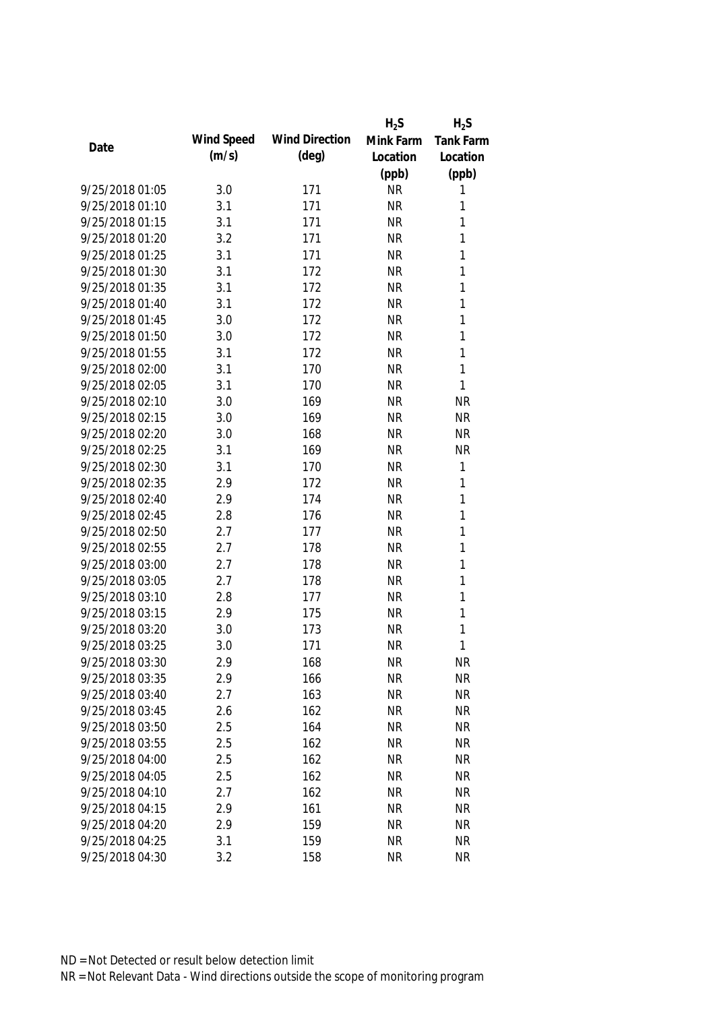|                 |            |                       | $H_2S$    | $H_2S$           |
|-----------------|------------|-----------------------|-----------|------------------|
| Date            | Wind Speed | <b>Wind Direction</b> | Mink Farm | <b>Tank Farm</b> |
|                 | (m/s)      | $(\text{deg})$        | Location  | Location         |
|                 |            |                       | (ppb)     | (ppb)            |
| 9/25/2018 01:05 | 3.0        | 171                   | <b>NR</b> | 1                |
| 9/25/2018 01:10 | 3.1        | 171                   | <b>NR</b> | 1                |
| 9/25/2018 01:15 | 3.1        | 171                   | <b>NR</b> | 1                |
| 9/25/2018 01:20 | 3.2        | 171                   | <b>NR</b> | 1                |
| 9/25/2018 01:25 | 3.1        | 171                   | <b>NR</b> | 1                |
| 9/25/2018 01:30 | 3.1        | 172                   | <b>NR</b> | 1                |
| 9/25/2018 01:35 | 3.1        | 172                   | <b>NR</b> | 1                |
| 9/25/2018 01:40 | 3.1        | 172                   | <b>NR</b> | 1                |
| 9/25/2018 01:45 | 3.0        | 172                   | <b>NR</b> | 1                |
| 9/25/2018 01:50 | 3.0        | 172                   | <b>NR</b> | 1                |
| 9/25/2018 01:55 | 3.1        | 172                   | <b>NR</b> | 1                |
| 9/25/2018 02:00 | 3.1        | 170                   | <b>NR</b> | 1                |
| 9/25/2018 02:05 | 3.1        | 170                   | <b>NR</b> | 1                |
| 9/25/2018 02:10 | 3.0        | 169                   | <b>NR</b> | <b>NR</b>        |
| 9/25/2018 02:15 | 3.0        | 169                   | <b>NR</b> | <b>NR</b>        |
| 9/25/2018 02:20 | 3.0        | 168                   | <b>NR</b> | <b>NR</b>        |
| 9/25/2018 02:25 | 3.1        | 169                   | <b>NR</b> | <b>NR</b>        |
| 9/25/2018 02:30 | 3.1        | 170                   | <b>NR</b> | 1                |
| 9/25/2018 02:35 | 2.9        | 172                   | <b>NR</b> | 1                |
| 9/25/2018 02:40 | 2.9        | 174                   | <b>NR</b> | 1                |
| 9/25/2018 02:45 | 2.8        | 176                   | <b>NR</b> | 1                |
| 9/25/2018 02:50 | 2.7        | 177                   | <b>NR</b> | 1                |
| 9/25/2018 02:55 | 2.7        | 178                   | <b>NR</b> | 1                |
| 9/25/2018 03:00 | 2.7        | 178                   | <b>NR</b> | 1                |
| 9/25/2018 03:05 | 2.7        | 178                   | <b>NR</b> | 1                |
| 9/25/2018 03:10 | 2.8        | 177                   | <b>NR</b> | 1                |
| 9/25/2018 03:15 | 2.9        | 175                   | <b>NR</b> | 1                |
| 9/25/2018 03:20 | 3.0        | 173                   | <b>NR</b> | 1                |
| 9/25/2018 03:25 | 3.0        | 171                   | <b>NR</b> | 1                |
| 9/25/2018 03:30 | 2.9        | 168                   | <b>NR</b> | <b>NR</b>        |
| 9/25/2018 03:35 | 2.9        | 166                   | <b>NR</b> | <b>NR</b>        |
| 9/25/2018 03:40 | 2.7        | 163                   | <b>NR</b> | <b>NR</b>        |
| 9/25/2018 03:45 | 2.6        | 162                   | <b>NR</b> | <b>NR</b>        |
| 9/25/2018 03:50 | 2.5        | 164                   | <b>NR</b> | <b>NR</b>        |
| 9/25/2018 03:55 | 2.5        | 162                   | <b>NR</b> | <b>NR</b>        |
| 9/25/2018 04:00 | 2.5        | 162                   | <b>NR</b> | <b>NR</b>        |
| 9/25/2018 04:05 | 2.5        | 162                   | <b>NR</b> | <b>NR</b>        |
| 9/25/2018 04:10 | 2.7        | 162                   | <b>NR</b> | <b>NR</b>        |
| 9/25/2018 04:15 | 2.9        | 161                   | <b>NR</b> | <b>NR</b>        |
| 9/25/2018 04:20 | 2.9        | 159                   | <b>NR</b> | <b>NR</b>        |
| 9/25/2018 04:25 | 3.1        | 159                   | <b>NR</b> | <b>NR</b>        |
| 9/25/2018 04:30 | 3.2        | 158                   | <b>NR</b> | <b>NR</b>        |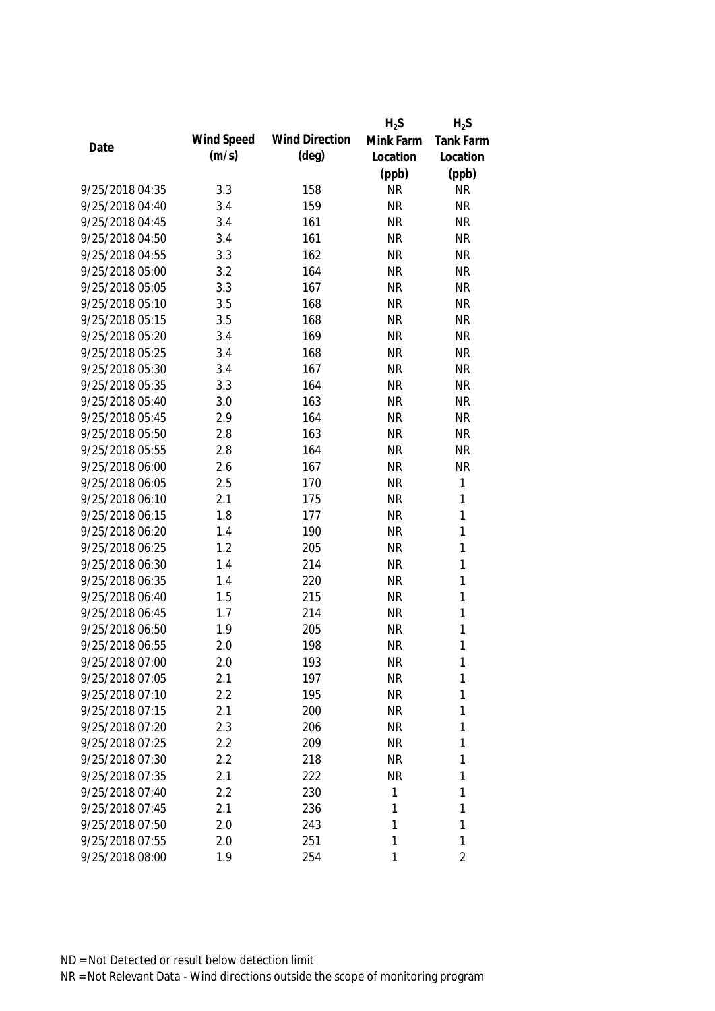|                 |            |                       | $H_2S$    | $H_2S$         |
|-----------------|------------|-----------------------|-----------|----------------|
| Date            | Wind Speed | <b>Wind Direction</b> | Mink Farm | Tank Farm      |
|                 | (m/s)      | $(\text{deg})$        | Location  | Location       |
|                 |            |                       | (ppb)     | (ppb)          |
| 9/25/2018 04:35 | 3.3        | 158                   | <b>NR</b> | <b>NR</b>      |
| 9/25/2018 04:40 | 3.4        | 159                   | <b>NR</b> | <b>NR</b>      |
| 9/25/2018 04:45 | 3.4        | 161                   | <b>NR</b> | <b>NR</b>      |
| 9/25/2018 04:50 | 3.4        | 161                   | <b>NR</b> | <b>NR</b>      |
| 9/25/2018 04:55 | 3.3        | 162                   | <b>NR</b> | <b>NR</b>      |
| 9/25/2018 05:00 | 3.2        | 164                   | <b>NR</b> | <b>NR</b>      |
| 9/25/2018 05:05 | 3.3        | 167                   | <b>NR</b> | <b>NR</b>      |
| 9/25/2018 05:10 | 3.5        | 168                   | <b>NR</b> | <b>NR</b>      |
| 9/25/2018 05:15 | 3.5        | 168                   | <b>NR</b> | <b>NR</b>      |
| 9/25/2018 05:20 | 3.4        | 169                   | <b>NR</b> | <b>NR</b>      |
| 9/25/2018 05:25 | 3.4        | 168                   | <b>NR</b> | <b>NR</b>      |
| 9/25/2018 05:30 | 3.4        | 167                   | <b>NR</b> | <b>NR</b>      |
| 9/25/2018 05:35 | 3.3        | 164                   | <b>NR</b> | <b>NR</b>      |
| 9/25/2018 05:40 | 3.0        | 163                   | <b>NR</b> | <b>NR</b>      |
| 9/25/2018 05:45 | 2.9        | 164                   | <b>NR</b> | <b>NR</b>      |
| 9/25/2018 05:50 | 2.8        | 163                   | <b>NR</b> | <b>NR</b>      |
| 9/25/2018 05:55 | 2.8        | 164                   | <b>NR</b> | <b>NR</b>      |
| 9/25/2018 06:00 | 2.6        | 167                   | <b>NR</b> | <b>NR</b>      |
| 9/25/2018 06:05 | 2.5        | 170                   | <b>NR</b> | $\mathbf{1}$   |
| 9/25/2018 06:10 | 2.1        | 175                   | <b>NR</b> | 1              |
| 9/25/2018 06:15 | 1.8        | 177                   | <b>NR</b> | $\mathbf{1}$   |
| 9/25/2018 06:20 | 1.4        | 190                   | <b>NR</b> | $\mathbf{1}$   |
| 9/25/2018 06:25 | 1.2        | 205                   | <b>NR</b> | $\mathbf{1}$   |
| 9/25/2018 06:30 | 1.4        | 214                   | <b>NR</b> | $\mathbf{1}$   |
| 9/25/2018 06:35 | 1.4        | 220                   | <b>NR</b> | $\mathbf{1}$   |
| 9/25/2018 06:40 | 1.5        | 215                   | <b>NR</b> | $\mathbf{1}$   |
| 9/25/2018 06:45 | 1.7        | 214                   | <b>NR</b> | 1              |
| 9/25/2018 06:50 | 1.9        | 205                   | <b>NR</b> | 1              |
| 9/25/2018 06:55 | 2.0        | 198                   | <b>NR</b> | 1              |
| 9/25/2018 07:00 | 2.0        | 193                   | <b>NR</b> | 1              |
| 9/25/2018 07:05 | 2.1        | 197                   | <b>NR</b> | 1              |
| 9/25/2018 07:10 | $2.2\,$    | 195                   | <b>NR</b> | 1              |
| 9/25/2018 07:15 | 2.1        | 200                   | <b>NR</b> | 1              |
| 9/25/2018 07:20 | 2.3        | 206                   | <b>NR</b> | 1              |
| 9/25/2018 07:25 | 2.2        | 209                   | <b>NR</b> | 1              |
| 9/25/2018 07:30 | 2.2        | 218                   | <b>NR</b> | 1              |
| 9/25/2018 07:35 | 2.1        | 222                   | <b>NR</b> | 1              |
| 9/25/2018 07:40 | 2.2        | 230                   | 1         | 1              |
| 9/25/2018 07:45 | 2.1        | 236                   | 1         | 1              |
| 9/25/2018 07:50 | 2.0        | 243                   | 1         | 1              |
| 9/25/2018 07:55 | 2.0        | 251                   | 1         | 1              |
| 9/25/2018 08:00 | 1.9        | 254                   | 1         | $\overline{2}$ |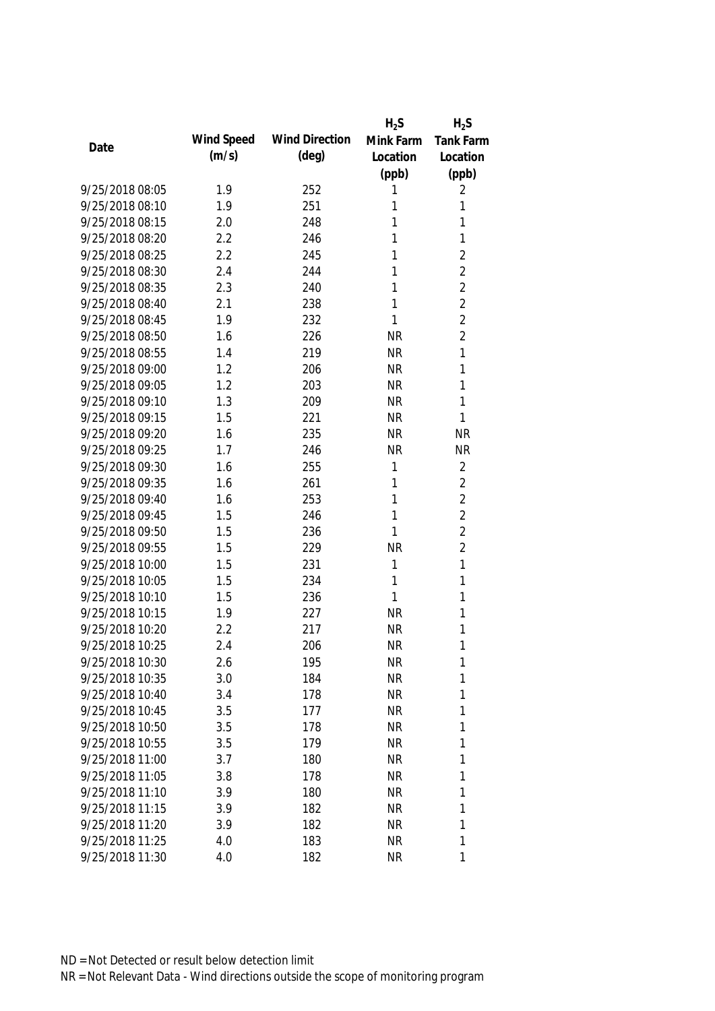|                 |            |                       | $H_2S$    | $H_2S$           |
|-----------------|------------|-----------------------|-----------|------------------|
| Date            | Wind Speed | <b>Wind Direction</b> | Mink Farm | <b>Tank Farm</b> |
|                 | (m/s)      | $(\text{deg})$        | Location  | Location         |
|                 |            |                       | (ppb)     | (ppb)            |
| 9/25/2018 08:05 | 1.9        | 252                   | 1         | 2                |
| 9/25/2018 08:10 | 1.9        | 251                   | 1         | 1                |
| 9/25/2018 08:15 | 2.0        | 248                   | 1         | 1                |
| 9/25/2018 08:20 | 2.2        | 246                   | 1         | 1                |
| 9/25/2018 08:25 | 2.2        | 245                   | 1         | $\overline{2}$   |
| 9/25/2018 08:30 | 2.4        | 244                   | 1         | $\overline{2}$   |
| 9/25/2018 08:35 | 2.3        | 240                   | 1         | $\overline{2}$   |
| 9/25/2018 08:40 | 2.1        | 238                   | 1         | $\overline{2}$   |
| 9/25/2018 08:45 | 1.9        | 232                   | 1         | $\overline{2}$   |
| 9/25/2018 08:50 | 1.6        | 226                   | <b>NR</b> | $\overline{2}$   |
| 9/25/2018 08:55 | 1.4        | 219                   | <b>NR</b> | 1                |
| 9/25/2018 09:00 | 1.2        | 206                   | <b>NR</b> | 1                |
| 9/25/2018 09:05 | 1.2        | 203                   | <b>NR</b> | 1                |
| 9/25/2018 09:10 | 1.3        | 209                   | <b>NR</b> | 1                |
| 9/25/2018 09:15 | 1.5        | 221                   | <b>NR</b> | 1                |
| 9/25/2018 09:20 | 1.6        | 235                   | <b>NR</b> | <b>NR</b>        |
| 9/25/2018 09:25 | 1.7        | 246                   | <b>NR</b> | <b>NR</b>        |
| 9/25/2018 09:30 | 1.6        | 255                   | 1         | $\overline{2}$   |
| 9/25/2018 09:35 | 1.6        | 261                   | 1         | $\overline{2}$   |
| 9/25/2018 09:40 | 1.6        | 253                   | 1         | $\overline{2}$   |
| 9/25/2018 09:45 | 1.5        | 246                   | 1         | $\overline{2}$   |
| 9/25/2018 09:50 | 1.5        | 236                   | 1         | $\overline{2}$   |
| 9/25/2018 09:55 | 1.5        | 229                   | <b>NR</b> | $\overline{2}$   |
| 9/25/2018 10:00 | 1.5        | 231                   | 1         | 1                |
| 9/25/2018 10:05 | 1.5        | 234                   | 1         | 1                |
| 9/25/2018 10:10 | 1.5        | 236                   | 1         | 1                |
| 9/25/2018 10:15 | 1.9        | 227                   | <b>NR</b> | 1                |
| 9/25/2018 10:20 | 2.2        | 217                   | <b>NR</b> | 1                |
| 9/25/2018 10:25 | 2.4        | 206                   | <b>NR</b> | 1                |
| 9/25/2018 10:30 | 2.6        | 195                   | <b>NR</b> | 1                |
| 9/25/2018 10:35 | 3.0        | 184                   | <b>NR</b> | 1                |
| 9/25/2018 10:40 | 3.4        | 178                   | <b>NR</b> | 1                |
| 9/25/2018 10:45 | 3.5        | 177                   | <b>NR</b> | 1                |
| 9/25/2018 10:50 | 3.5        | 178                   | <b>NR</b> | 1                |
| 9/25/2018 10:55 | 3.5        | 179                   | <b>NR</b> | 1                |
| 9/25/2018 11:00 | 3.7        | 180                   | <b>NR</b> | 1                |
| 9/25/2018 11:05 | 3.8        | 178                   | <b>NR</b> | 1                |
| 9/25/2018 11:10 | 3.9        | 180                   | <b>NR</b> | 1                |
| 9/25/2018 11:15 | 3.9        | 182                   | <b>NR</b> | 1                |
| 9/25/2018 11:20 | 3.9        | 182                   | <b>NR</b> | 1                |
| 9/25/2018 11:25 | 4.0        | 183                   | <b>NR</b> | 1                |
| 9/25/2018 11:30 | 4.0        | 182                   | <b>NR</b> | 1                |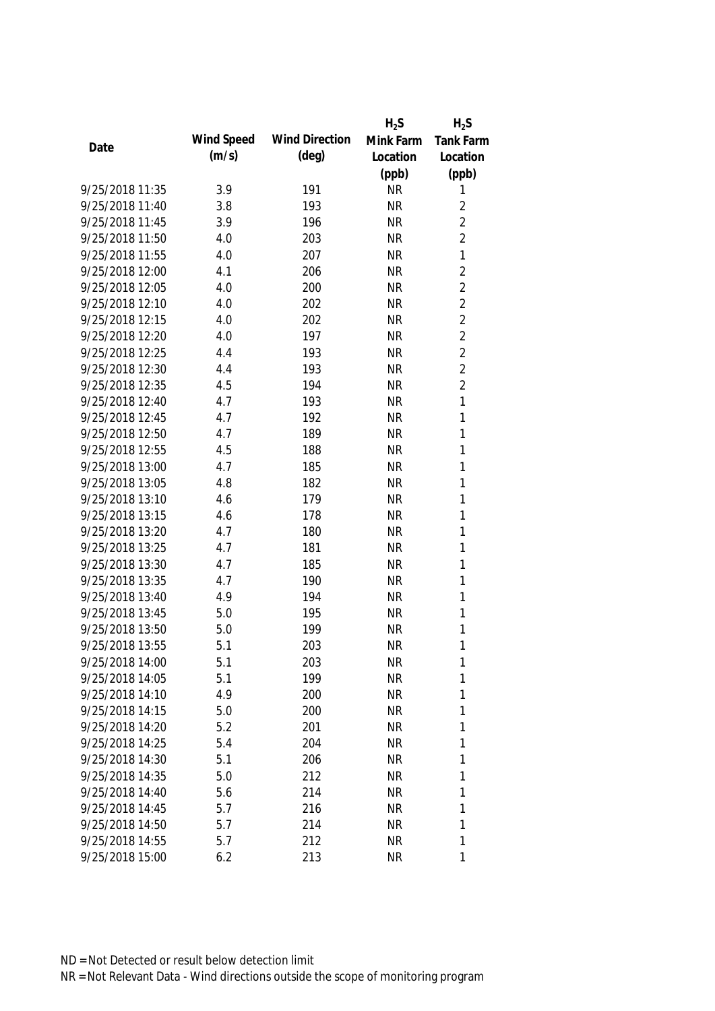|                 |            |                       | $H_2S$    | $H_2S$           |
|-----------------|------------|-----------------------|-----------|------------------|
| Date            | Wind Speed | <b>Wind Direction</b> | Mink Farm | <b>Tank Farm</b> |
|                 | (m/s)      | $(\text{deg})$        | Location  | Location         |
|                 |            |                       | (ppb)     | (ppb)            |
| 9/25/2018 11:35 | 3.9        | 191                   | <b>NR</b> | 1                |
| 9/25/2018 11:40 | 3.8        | 193                   | <b>NR</b> | $\overline{2}$   |
| 9/25/2018 11:45 | 3.9        | 196                   | <b>NR</b> | $\overline{2}$   |
| 9/25/2018 11:50 | 4.0        | 203                   | <b>NR</b> | $\overline{2}$   |
| 9/25/2018 11:55 | 4.0        | 207                   | <b>NR</b> | $\mathbf{1}$     |
| 9/25/2018 12:00 | 4.1        | 206                   | <b>NR</b> | $\sqrt{2}$       |
| 9/25/2018 12:05 | 4.0        | 200                   | <b>NR</b> | $\overline{2}$   |
| 9/25/2018 12:10 | 4.0        | 202                   | <b>NR</b> | $\overline{2}$   |
| 9/25/2018 12:15 | 4.0        | 202                   | <b>NR</b> | $\overline{2}$   |
| 9/25/2018 12:20 | 4.0        | 197                   | <b>NR</b> | $\overline{2}$   |
| 9/25/2018 12:25 | 4.4        | 193                   | <b>NR</b> | $\overline{2}$   |
| 9/25/2018 12:30 | 4.4        | 193                   | <b>NR</b> | $\overline{2}$   |
| 9/25/2018 12:35 | 4.5        | 194                   | <b>NR</b> | $\overline{2}$   |
| 9/25/2018 12:40 | 4.7        | 193                   | <b>NR</b> | $\mathbf{1}$     |
| 9/25/2018 12:45 | 4.7        | 192                   | <b>NR</b> | $\mathbf{1}$     |
| 9/25/2018 12:50 | 4.7        | 189                   | <b>NR</b> | $\mathbf{1}$     |
| 9/25/2018 12:55 | 4.5        | 188                   | <b>NR</b> | 1                |
| 9/25/2018 13:00 | 4.7        | 185                   | <b>NR</b> | 1                |
| 9/25/2018 13:05 | 4.8        | 182                   | <b>NR</b> | $\mathbf{1}$     |
| 9/25/2018 13:10 | 4.6        | 179                   | <b>NR</b> | 1                |
| 9/25/2018 13:15 | 4.6        | 178                   | <b>NR</b> | 1                |
| 9/25/2018 13:20 | 4.7        | 180                   | <b>NR</b> | $\mathbf{1}$     |
| 9/25/2018 13:25 | 4.7        | 181                   | <b>NR</b> | $\mathbf{1}$     |
| 9/25/2018 13:30 | 4.7        | 185                   | <b>NR</b> | 1                |
| 9/25/2018 13:35 | 4.7        | 190                   | <b>NR</b> | $\mathbf{1}$     |
| 9/25/2018 13:40 | 4.9        | 194                   | <b>NR</b> | 1                |
| 9/25/2018 13:45 | 5.0        | 195                   | <b>NR</b> | 1                |
| 9/25/2018 13:50 | 5.0        | 199                   | <b>NR</b> | 1                |
| 9/25/2018 13:55 | 5.1        | 203                   | <b>NR</b> | 1                |
| 9/25/2018 14:00 | 5.1        | 203                   | <b>NR</b> | 1                |
| 9/25/2018 14:05 | 5.1        | 199                   | <b>NR</b> | 1                |
| 9/25/2018 14:10 | 4.9        | 200                   | <b>NR</b> | 1                |
| 9/25/2018 14:15 | 5.0        | 200                   | <b>NR</b> | 1                |
| 9/25/2018 14:20 | 5.2        | 201                   | <b>NR</b> | 1                |
| 9/25/2018 14:25 | 5.4        | 204                   | <b>NR</b> | 1                |
| 9/25/2018 14:30 | 5.1        | 206                   | <b>NR</b> | 1                |
| 9/25/2018 14:35 | 5.0        | 212                   | <b>NR</b> | 1                |
| 9/25/2018 14:40 | 5.6        | 214                   | <b>NR</b> | 1                |
| 9/25/2018 14:45 | 5.7        | 216                   | <b>NR</b> | 1                |
| 9/25/2018 14:50 | 5.7        | 214                   | <b>NR</b> | 1                |
| 9/25/2018 14:55 | 5.7        | 212                   | <b>NR</b> | 1                |
| 9/25/2018 15:00 | 6.2        | 213                   | <b>NR</b> | 1                |
|                 |            |                       |           |                  |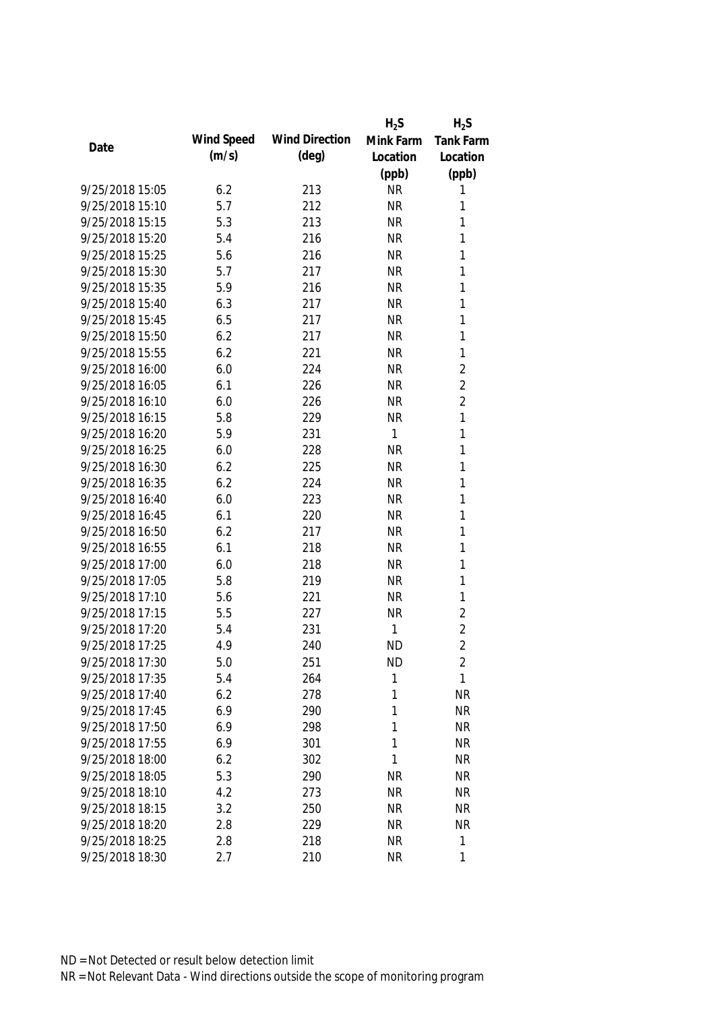|                 |            |                       | $H_2S$    | $H_2S$         |
|-----------------|------------|-----------------------|-----------|----------------|
| Date            | Wind Speed | <b>Wind Direction</b> | Mink Farm | Tank Farm      |
|                 | (m/s)      | $(\text{deg})$        | Location  | Location       |
|                 |            |                       | (ppb)     | (ppb)          |
| 9/25/2018 15:05 | 6.2        | 213                   | <b>NR</b> | 1              |
| 9/25/2018 15:10 | 5.7        | 212                   | <b>NR</b> | 1              |
| 9/25/2018 15:15 | 5.3        | 213                   | <b>NR</b> | 1              |
| 9/25/2018 15:20 | 5.4        | 216                   | <b>NR</b> | 1              |
| 9/25/2018 15:25 | 5.6        | 216                   | <b>NR</b> | 1              |
| 9/25/2018 15:30 | 5.7        | 217                   | <b>NR</b> | 1              |
| 9/25/2018 15:35 | 5.9        | 216                   | <b>NR</b> | 1              |
| 9/25/2018 15:40 | 6.3        | 217                   | <b>NR</b> | 1              |
| 9/25/2018 15:45 | 6.5        | 217                   | <b>NR</b> | $\mathbf{1}$   |
| 9/25/2018 15:50 | 6.2        | 217                   | <b>NR</b> | 1              |
| 9/25/2018 15:55 | 6.2        | 221                   | <b>NR</b> | $\mathbf{1}$   |
| 9/25/2018 16:00 | 6.0        | 224                   | <b>NR</b> | $\overline{2}$ |
| 9/25/2018 16:05 | 6.1        | 226                   | <b>NR</b> | $\overline{2}$ |
| 9/25/2018 16:10 | 6.0        | 226                   | <b>NR</b> | $\overline{2}$ |
| 9/25/2018 16:15 | 5.8        | 229                   | <b>NR</b> | $\mathbf{1}$   |
| 9/25/2018 16:20 | 5.9        | 231                   | 1         | $\mathbf{1}$   |
| 9/25/2018 16:25 | 6.0        | 228                   | <b>NR</b> | 1              |
| 9/25/2018 16:30 | 6.2        | 225                   | <b>NR</b> | $\mathbf{1}$   |
| 9/25/2018 16:35 | 6.2        | 224                   | <b>NR</b> | 1              |
| 9/25/2018 16:40 | 6.0        | 223                   | <b>NR</b> | $\mathbf{1}$   |
| 9/25/2018 16:45 | 6.1        | 220                   | <b>NR</b> | 1              |
| 9/25/2018 16:50 | 6.2        | 217                   | <b>NR</b> | 1              |
| 9/25/2018 16:55 | 6.1        | 218                   | <b>NR</b> | 1              |
| 9/25/2018 17:00 | 6.0        | 218                   | <b>NR</b> | 1              |
| 9/25/2018 17:05 | 5.8        | 219                   | <b>NR</b> | 1              |
| 9/25/2018 17:10 | 5.6        | 221                   | <b>NR</b> | 1              |
| 9/25/2018 17:15 | 5.5        | 227                   | <b>NR</b> | $\overline{2}$ |
| 9/25/2018 17:20 | 5.4        | 231                   | 1         | $\overline{2}$ |
| 9/25/2018 17:25 | 4.9        | 240                   | <b>ND</b> | $\overline{2}$ |
| 9/25/2018 17:30 | 5.0        | 251                   | <b>ND</b> | $\overline{2}$ |
| 9/25/2018 17:35 | 5.4        | 264                   | 1         | $\mathbf{1}$   |
| 9/25/2018 17:40 | 6.2        | 278                   | 1         | <b>NR</b>      |
| 9/25/2018 17:45 | 6.9        | 290                   | 1         | <b>NR</b>      |
| 9/25/2018 17:50 | 6.9        | 298                   | 1         | <b>NR</b>      |
| 9/25/2018 17:55 | 6.9        | 301                   | 1         | <b>NR</b>      |
| 9/25/2018 18:00 | 6.2        | 302                   | 1         | <b>NR</b>      |
| 9/25/2018 18:05 | 5.3        | 290                   | <b>NR</b> | <b>NR</b>      |
| 9/25/2018 18:10 | 4.2        | 273                   | <b>NR</b> | <b>NR</b>      |
| 9/25/2018 18:15 | 3.2        | 250                   | <b>NR</b> | <b>NR</b>      |
| 9/25/2018 18:20 | 2.8        | 229                   | <b>NR</b> | <b>NR</b>      |
| 9/25/2018 18:25 | 2.8        | 218                   | <b>NR</b> | $\mathbf{1}$   |
| 9/25/2018 18:30 | 2.7        | 210                   | <b>NR</b> | 1              |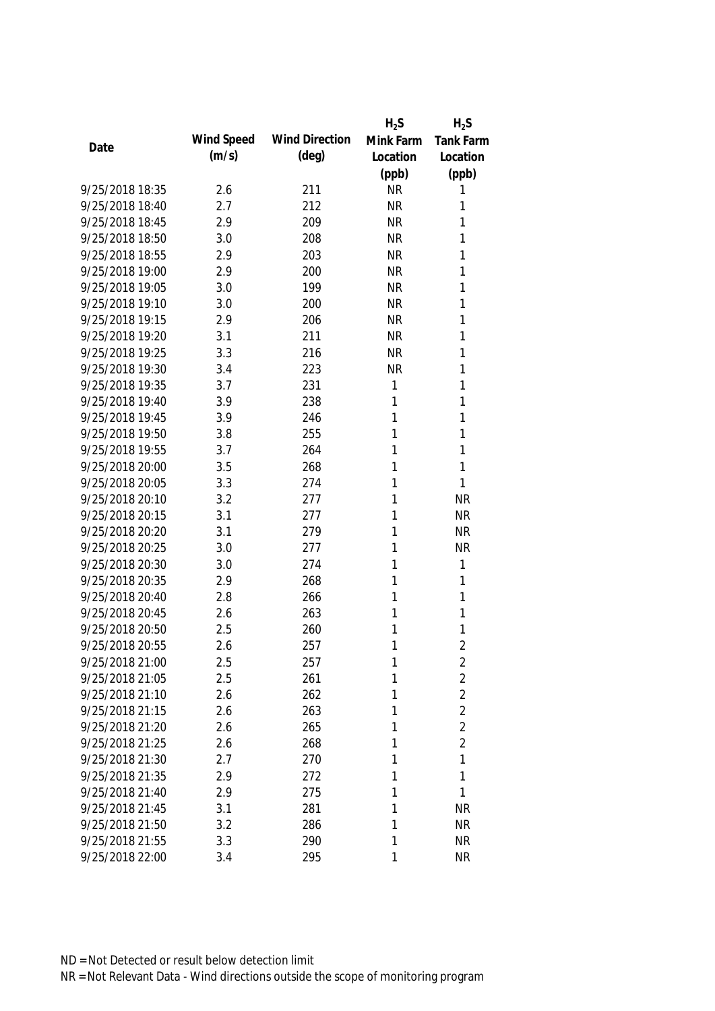|                 |            |                       | $H_2S$    | $H_2S$         |
|-----------------|------------|-----------------------|-----------|----------------|
| Date            | Wind Speed | <b>Wind Direction</b> | Mink Farm | Tank Farm      |
|                 | (m/s)      | $(\text{deg})$        | Location  | Location       |
|                 |            |                       | (ppb)     | (ppb)          |
| 9/25/2018 18:35 | 2.6        | 211                   | <b>NR</b> | 1              |
| 9/25/2018 18:40 | 2.7        | 212                   | <b>NR</b> | 1              |
| 9/25/2018 18:45 | 2.9        | 209                   | <b>NR</b> | 1              |
| 9/25/2018 18:50 | 3.0        | 208                   | <b>NR</b> | 1              |
| 9/25/2018 18:55 | 2.9        | 203                   | <b>NR</b> | 1              |
| 9/25/2018 19:00 | 2.9        | 200                   | <b>NR</b> | 1              |
| 9/25/2018 19:05 | 3.0        | 199                   | <b>NR</b> | 1              |
| 9/25/2018 19:10 | 3.0        | 200                   | <b>NR</b> | 1              |
| 9/25/2018 19:15 | 2.9        | 206                   | <b>NR</b> | 1              |
| 9/25/2018 19:20 | 3.1        | 211                   | <b>NR</b> | 1              |
| 9/25/2018 19:25 | 3.3        | 216                   | <b>NR</b> | 1              |
| 9/25/2018 19:30 | 3.4        | 223                   | <b>NR</b> | 1              |
| 9/25/2018 19:35 | 3.7        | 231                   | 1         | 1              |
| 9/25/2018 19:40 | 3.9        | 238                   | 1         | 1              |
| 9/25/2018 19:45 | 3.9        | 246                   | 1         | 1              |
| 9/25/2018 19:50 | 3.8        | 255                   | 1         | 1              |
| 9/25/2018 19:55 | 3.7        | 264                   | 1         | 1              |
| 9/25/2018 20:00 | 3.5        | 268                   | 1         | $\mathbf{1}$   |
| 9/25/2018 20:05 | 3.3        | 274                   | 1         | $\mathbf{1}$   |
| 9/25/2018 20:10 | 3.2        | 277                   | 1         | <b>NR</b>      |
| 9/25/2018 20:15 | 3.1        | 277                   | 1         | <b>NR</b>      |
| 9/25/2018 20:20 | 3.1        | 279                   | 1         | <b>NR</b>      |
| 9/25/2018 20:25 | 3.0        | 277                   | 1         | <b>NR</b>      |
| 9/25/2018 20:30 | 3.0        | 274                   | 1         | 1              |
| 9/25/2018 20:35 | 2.9        | 268                   | 1         | 1              |
| 9/25/2018 20:40 | 2.8        | 266                   | 1         | 1              |
| 9/25/2018 20:45 | 2.6        | 263                   | 1         | 1              |
| 9/25/2018 20:50 | 2.5        | 260                   | 1         | 1              |
| 9/25/2018 20:55 | 2.6        | 257                   | 1         | $\overline{2}$ |
| 9/25/2018 21:00 | 2.5        | 257                   | 1         | 2              |
| 9/25/2018 21:05 | 2.5        | 261                   | 1         | $\overline{2}$ |
| 9/25/2018 21:10 | 2.6        | 262                   | 1         | $\overline{2}$ |
| 9/25/2018 21:15 | 2.6        | 263                   | 1         | $\overline{2}$ |
| 9/25/2018 21:20 | 2.6        | 265                   | 1         | $\overline{2}$ |
| 9/25/2018 21:25 | 2.6        | 268                   | 1         | $\overline{2}$ |
| 9/25/2018 21:30 | 2.7        | 270                   | 1         | 1              |
| 9/25/2018 21:35 | 2.9        | 272                   | 1         | 1              |
| 9/25/2018 21:40 | 2.9        | 275                   | 1         | 1              |
| 9/25/2018 21:45 | 3.1        | 281                   | 1         | <b>NR</b>      |
| 9/25/2018 21:50 | 3.2        | 286                   | 1         | <b>NR</b>      |
| 9/25/2018 21:55 | 3.3        | 290                   | 1         | <b>NR</b>      |
| 9/25/2018 22:00 | 3.4        | 295                   | 1         | <b>NR</b>      |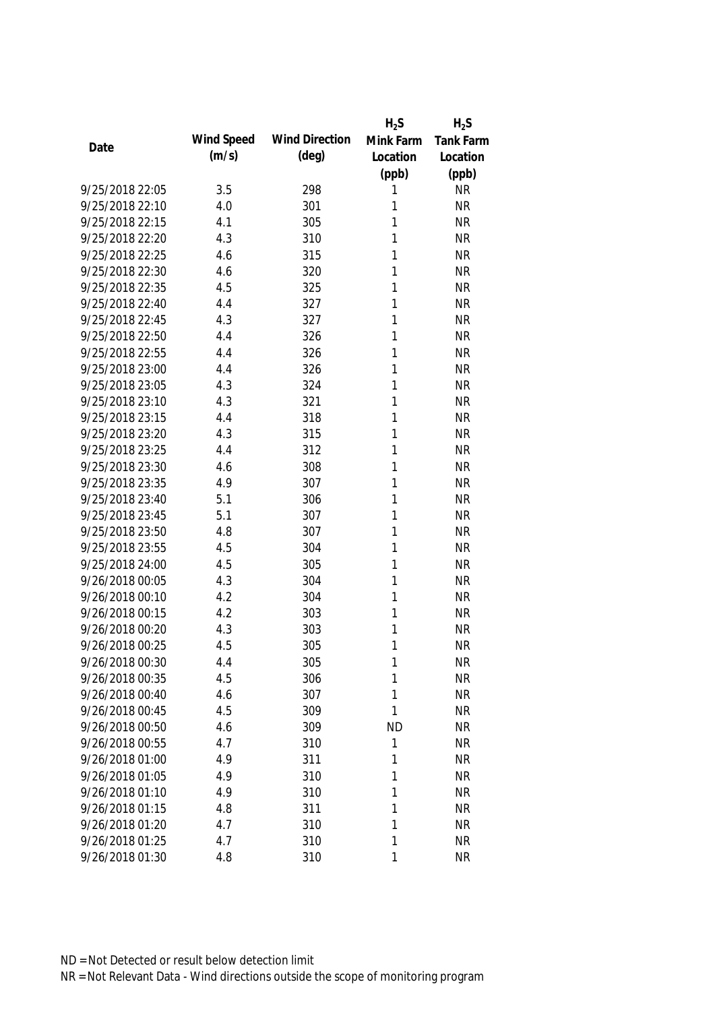|                 |            |                       | $H_2S$    | $H_2S$    |
|-----------------|------------|-----------------------|-----------|-----------|
| Date            | Wind Speed | <b>Wind Direction</b> | Mink Farm | Tank Farm |
|                 | (m/s)      | $(\text{deg})$        | Location  | Location  |
|                 |            |                       | (ppb)     | (ppb)     |
| 9/25/2018 22:05 | 3.5        | 298                   | 1         | <b>NR</b> |
| 9/25/2018 22:10 | 4.0        | 301                   | 1         | <b>NR</b> |
| 9/25/2018 22:15 | 4.1        | 305                   | 1         | <b>NR</b> |
| 9/25/2018 22:20 | 4.3        | 310                   | 1         | <b>NR</b> |
| 9/25/2018 22:25 | 4.6        | 315                   | 1         | <b>NR</b> |
| 9/25/2018 22:30 | 4.6        | 320                   | 1         | <b>NR</b> |
| 9/25/2018 22:35 | 4.5        | 325                   | 1         | <b>NR</b> |
| 9/25/2018 22:40 | 4.4        | 327                   | 1         | <b>NR</b> |
| 9/25/2018 22:45 | 4.3        | 327                   | 1         | <b>NR</b> |
| 9/25/2018 22:50 | 4.4        | 326                   | 1         | <b>NR</b> |
| 9/25/2018 22:55 | 4.4        | 326                   | 1         | <b>NR</b> |
| 9/25/2018 23:00 | 4.4        | 326                   | 1         | <b>NR</b> |
| 9/25/2018 23:05 | 4.3        | 324                   | 1         | <b>NR</b> |
| 9/25/2018 23:10 | 4.3        | 321                   | 1         | <b>NR</b> |
| 9/25/2018 23:15 | 4.4        | 318                   | 1         | <b>NR</b> |
| 9/25/2018 23:20 | 4.3        | 315                   | 1         | <b>NR</b> |
| 9/25/2018 23:25 | 4.4        | 312                   | 1         | <b>NR</b> |
| 9/25/2018 23:30 | 4.6        | 308                   | 1         | <b>NR</b> |
| 9/25/2018 23:35 | 4.9        | 307                   | 1         | <b>NR</b> |
| 9/25/2018 23:40 | 5.1        | 306                   | 1         | <b>NR</b> |
| 9/25/2018 23:45 | 5.1        | 307                   | 1         | <b>NR</b> |
| 9/25/2018 23:50 | 4.8        | 307                   | 1         | <b>NR</b> |
| 9/25/2018 23:55 | 4.5        | 304                   | 1         | <b>NR</b> |
| 9/25/2018 24:00 | 4.5        | 305                   | 1         | <b>NR</b> |
| 9/26/2018 00:05 | 4.3        | 304                   | 1         | <b>NR</b> |
| 9/26/2018 00:10 | 4.2        | 304                   | 1         | <b>NR</b> |
| 9/26/2018 00:15 | 4.2        | 303                   | 1         | <b>NR</b> |
| 9/26/2018 00:20 | 4.3        | 303                   | 1         | <b>NR</b> |
| 9/26/2018 00:25 | 4.5        | 305                   | 1         | <b>NR</b> |
| 9/26/2018 00:30 | 4.4        | 305                   | 1         | <b>NR</b> |
| 9/26/2018 00:35 | 4.5        | 306                   | 1         | <b>NR</b> |
| 9/26/2018 00:40 | 4.6        | 307                   | 1         | <b>NR</b> |
| 9/26/2018 00:45 | 4.5        | 309                   | 1         | <b>NR</b> |
| 9/26/2018 00:50 | 4.6        | 309                   | <b>ND</b> | <b>NR</b> |
| 9/26/2018 00:55 | 4.7        | 310                   | 1         | <b>NR</b> |
| 9/26/2018 01:00 | 4.9        | 311                   | 1         | <b>NR</b> |
| 9/26/2018 01:05 | 4.9        | 310                   | 1         | <b>NR</b> |
| 9/26/2018 01:10 | 4.9        | 310                   | 1         | <b>NR</b> |
| 9/26/2018 01:15 | 4.8        | 311                   | 1         | <b>NR</b> |
| 9/26/2018 01:20 | 4.7        | 310                   | 1         | <b>NR</b> |
| 9/26/2018 01:25 | 4.7        | 310                   | 1         | <b>NR</b> |
| 9/26/2018 01:30 | 4.8        | 310                   | 1         | <b>NR</b> |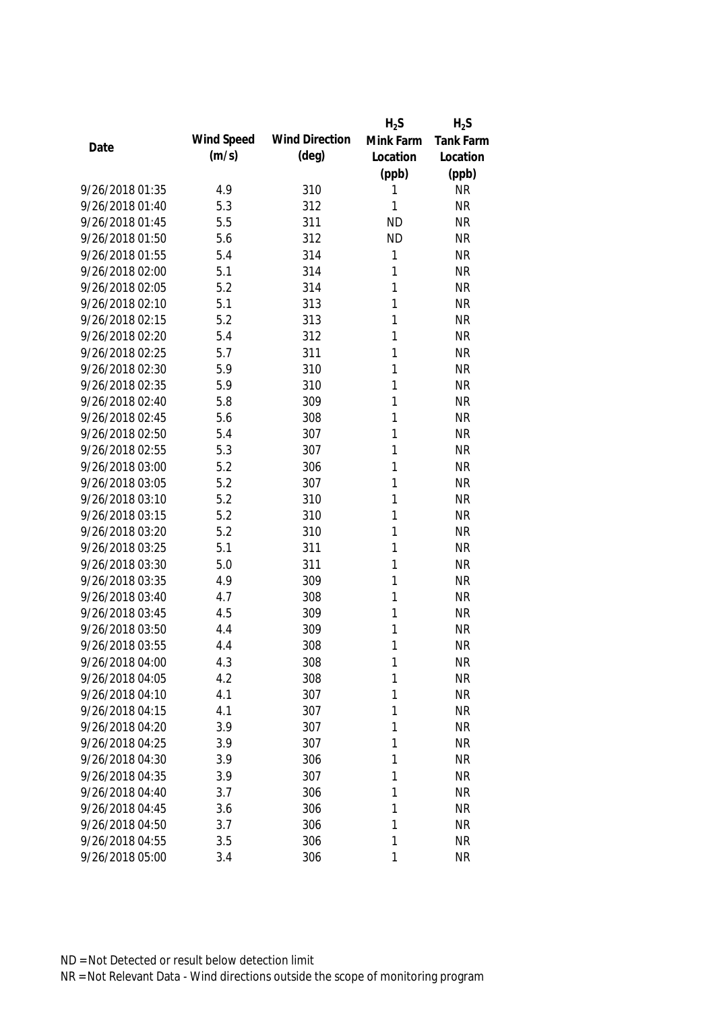|                 |            |                       | $H_2S$    | $H_2S$    |
|-----------------|------------|-----------------------|-----------|-----------|
| Date            | Wind Speed | <b>Wind Direction</b> | Mink Farm | Tank Farm |
|                 | (m/s)      | $(\text{deg})$        | Location  | Location  |
|                 |            |                       | (ppb)     | (ppb)     |
| 9/26/2018 01:35 | 4.9        | 310                   | 1         | <b>NR</b> |
| 9/26/2018 01:40 | 5.3        | 312                   | 1         | <b>NR</b> |
| 9/26/2018 01:45 | 5.5        | 311                   | <b>ND</b> | <b>NR</b> |
| 9/26/2018 01:50 | 5.6        | 312                   | <b>ND</b> | <b>NR</b> |
| 9/26/2018 01:55 | 5.4        | 314                   | 1         | <b>NR</b> |
| 9/26/2018 02:00 | 5.1        | 314                   | 1         | <b>NR</b> |
| 9/26/2018 02:05 | 5.2        | 314                   | 1         | <b>NR</b> |
| 9/26/2018 02:10 | 5.1        | 313                   | 1         | <b>NR</b> |
| 9/26/2018 02:15 | 5.2        | 313                   | 1         | <b>NR</b> |
| 9/26/2018 02:20 | 5.4        | 312                   | 1         | <b>NR</b> |
| 9/26/2018 02:25 | 5.7        | 311                   | 1         | <b>NR</b> |
| 9/26/2018 02:30 | 5.9        | 310                   | 1         | <b>NR</b> |
| 9/26/2018 02:35 | 5.9        | 310                   | 1         | <b>NR</b> |
| 9/26/2018 02:40 | 5.8        | 309                   | 1         | <b>NR</b> |
| 9/26/2018 02:45 | 5.6        | 308                   | 1         | <b>NR</b> |
| 9/26/2018 02:50 | 5.4        | 307                   | 1         | <b>NR</b> |
| 9/26/2018 02:55 | 5.3        | 307                   | 1         | <b>NR</b> |
| 9/26/2018 03:00 | 5.2        | 306                   | 1         | <b>NR</b> |
| 9/26/2018 03:05 | 5.2        | 307                   | 1         | <b>NR</b> |
| 9/26/2018 03:10 | 5.2        | 310                   | 1         | <b>NR</b> |
| 9/26/2018 03:15 | 5.2        | 310                   | 1         | <b>NR</b> |
| 9/26/2018 03:20 | 5.2        | 310                   | 1         | <b>NR</b> |
| 9/26/2018 03:25 | 5.1        | 311                   | 1         | <b>NR</b> |
| 9/26/2018 03:30 | 5.0        | 311                   | 1         | <b>NR</b> |
| 9/26/2018 03:35 | 4.9        | 309                   | 1         | <b>NR</b> |
| 9/26/2018 03:40 | 4.7        | 308                   | 1         | <b>NR</b> |
| 9/26/2018 03:45 | 4.5        | 309                   | 1         | <b>NR</b> |
| 9/26/2018 03:50 | 4.4        | 309                   | 1         | <b>NR</b> |
| 9/26/2018 03:55 | 4.4        | 308                   | 1         | <b>NR</b> |
| 9/26/2018 04:00 | 4.3        | 308                   | 1         | <b>NR</b> |
| 9/26/2018 04:05 | 4.2        | 308                   | 1         | <b>NR</b> |
| 9/26/2018 04:10 | 4.1        | 307                   | 1         | <b>NR</b> |
| 9/26/2018 04:15 | 4.1        | 307                   | 1         | <b>NR</b> |
| 9/26/2018 04:20 | 3.9        | 307                   | 1         | <b>NR</b> |
| 9/26/2018 04:25 | 3.9        | 307                   | 1         | <b>NR</b> |
| 9/26/2018 04:30 | 3.9        | 306                   | 1         | <b>NR</b> |
| 9/26/2018 04:35 | 3.9        | 307                   | 1         | <b>NR</b> |
| 9/26/2018 04:40 | 3.7        | 306                   | 1         | <b>NR</b> |
| 9/26/2018 04:45 | 3.6        | 306                   | 1         | <b>NR</b> |
| 9/26/2018 04:50 | 3.7        | 306                   | 1         | <b>NR</b> |
| 9/26/2018 04:55 | 3.5        | 306                   | 1         | <b>NR</b> |
| 9/26/2018 05:00 | 3.4        | 306                   | 1         | <b>NR</b> |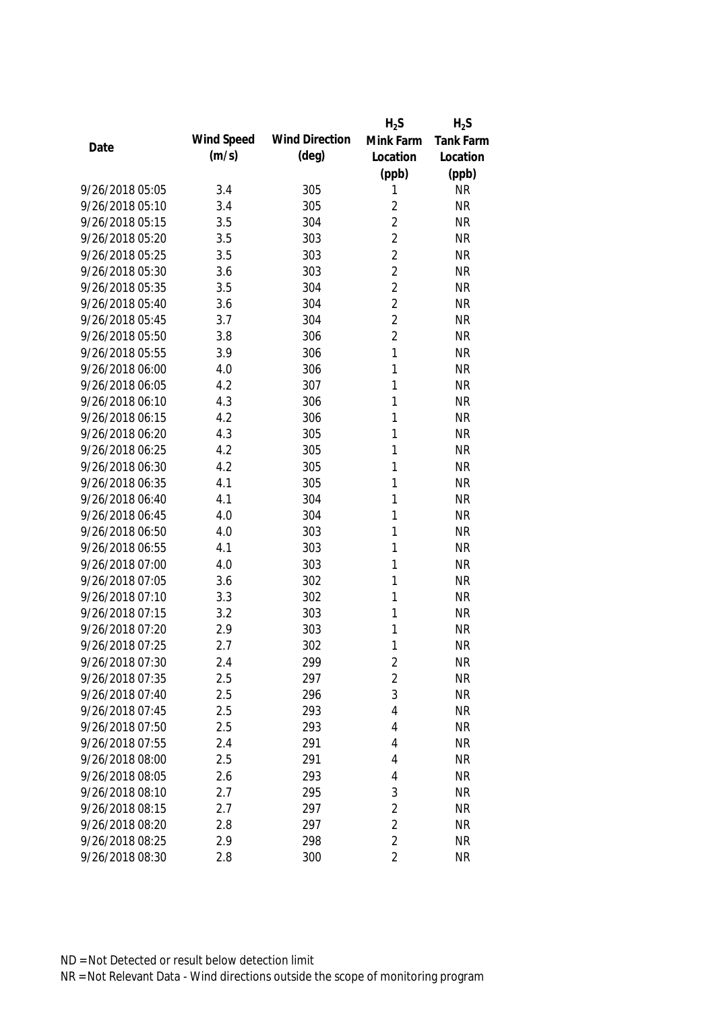|                 |            |                       | $H_2S$         | $H_2S$           |
|-----------------|------------|-----------------------|----------------|------------------|
| Date            | Wind Speed | <b>Wind Direction</b> | Mink Farm      | <b>Tank Farm</b> |
|                 | (m/s)      | $(\text{deg})$        | Location       | Location         |
|                 |            |                       | (ppb)          | (ppb)            |
| 9/26/2018 05:05 | 3.4        | 305                   | 1              | <b>NR</b>        |
| 9/26/2018 05:10 | 3.4        | 305                   | $\overline{2}$ | <b>NR</b>        |
| 9/26/2018 05:15 | 3.5        | 304                   | $\overline{2}$ | <b>NR</b>        |
| 9/26/2018 05:20 | 3.5        | 303                   | $\overline{2}$ | <b>NR</b>        |
| 9/26/2018 05:25 | 3.5        | 303                   | $\overline{2}$ | <b>NR</b>        |
| 9/26/2018 05:30 | 3.6        | 303                   | $\overline{2}$ | <b>NR</b>        |
| 9/26/2018 05:35 | 3.5        | 304                   | $\overline{2}$ | <b>NR</b>        |
| 9/26/2018 05:40 | 3.6        | 304                   | $\overline{2}$ | <b>NR</b>        |
| 9/26/2018 05:45 | 3.7        | 304                   | $\overline{2}$ | <b>NR</b>        |
| 9/26/2018 05:50 | 3.8        | 306                   | $\overline{2}$ | <b>NR</b>        |
| 9/26/2018 05:55 | 3.9        | 306                   | $\mathbf{1}$   | <b>NR</b>        |
| 9/26/2018 06:00 | 4.0        | 306                   | 1              | <b>NR</b>        |
| 9/26/2018 06:05 | 4.2        | 307                   | 1              | <b>NR</b>        |
| 9/26/2018 06:10 | 4.3        | 306                   | 1              | <b>NR</b>        |
| 9/26/2018 06:15 | 4.2        | 306                   | 1              | <b>NR</b>        |
| 9/26/2018 06:20 | 4.3        | 305                   | 1              | <b>NR</b>        |
| 9/26/2018 06:25 | 4.2        | 305                   | 1              | <b>NR</b>        |
| 9/26/2018 06:30 | 4.2        | 305                   | 1              | <b>NR</b>        |
| 9/26/2018 06:35 | 4.1        | 305                   | 1              | <b>NR</b>        |
| 9/26/2018 06:40 | 4.1        | 304                   | 1              | <b>NR</b>        |
| 9/26/2018 06:45 | 4.0        | 304                   | 1              | <b>NR</b>        |
| 9/26/2018 06:50 | 4.0        | 303                   | 1              | <b>NR</b>        |
| 9/26/2018 06:55 | 4.1        | 303                   | 1              | <b>NR</b>        |
| 9/26/2018 07:00 | 4.0        | 303                   | 1              | <b>NR</b>        |
| 9/26/2018 07:05 | 3.6        | 302                   | 1              | <b>NR</b>        |
| 9/26/2018 07:10 | 3.3        | 302                   | 1              | <b>NR</b>        |
| 9/26/2018 07:15 | 3.2        | 303                   | 1              | <b>NR</b>        |
| 9/26/2018 07:20 | 2.9        | 303                   | 1              | <b>NR</b>        |
| 9/26/2018 07:25 | 2.7        | 302                   | 1              | <b>NR</b>        |
| 9/26/2018 07:30 | 2.4        | 299                   | 2              | <b>NR</b>        |
| 9/26/2018 07:35 | 2.5        | 297                   | 2              | <b>NR</b>        |
| 9/26/2018 07:40 | 2.5        | 296                   | 3              | <b>NR</b>        |
| 9/26/2018 07:45 | 2.5        | 293                   | 4              | <b>NR</b>        |
| 9/26/2018 07:50 | 2.5        | 293                   | 4              | <b>NR</b>        |
| 9/26/2018 07:55 | 2.4        | 291                   | 4              | <b>NR</b>        |
| 9/26/2018 08:00 | 2.5        | 291                   | 4              | <b>NR</b>        |
| 9/26/2018 08:05 | 2.6        | 293                   | 4              | <b>NR</b>        |
| 9/26/2018 08:10 | 2.7        | 295                   | 3              | <b>NR</b>        |
| 9/26/2018 08:15 | 2.7        | 297                   | $\overline{2}$ | <b>NR</b>        |
| 9/26/2018 08:20 | 2.8        | 297                   | $\overline{2}$ | <b>NR</b>        |
| 9/26/2018 08:25 | 2.9        | 298                   | $\overline{2}$ | <b>NR</b>        |
| 9/26/2018 08:30 | 2.8        | 300                   | $\overline{2}$ | <b>NR</b>        |
|                 |            |                       |                |                  |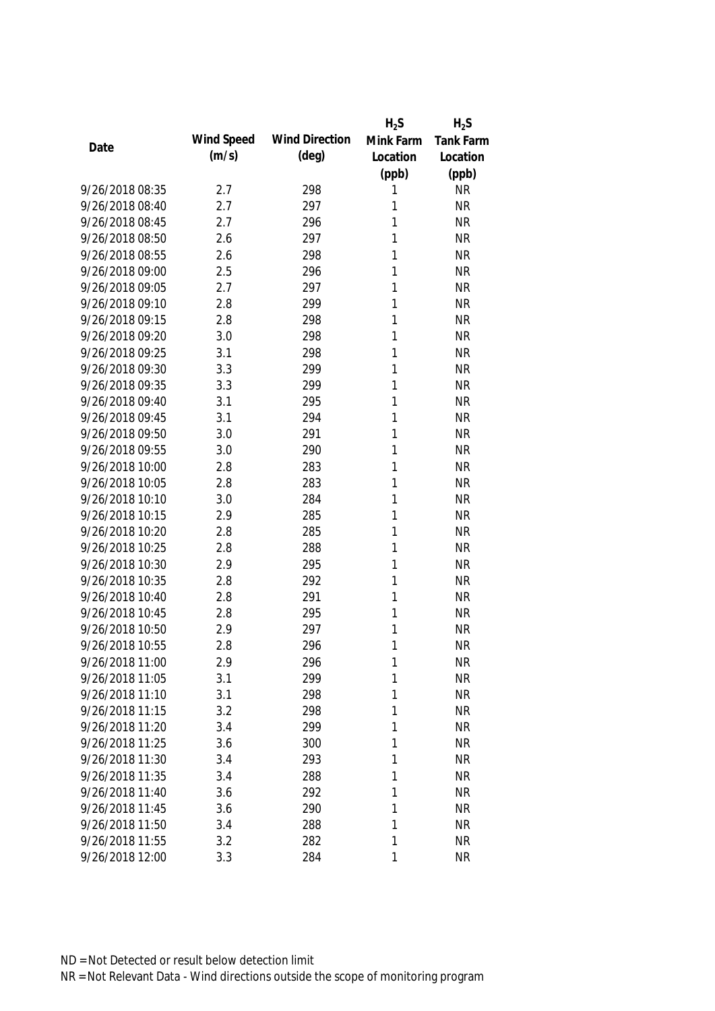|                 |            |                       | $H_2S$    | $H_2S$           |
|-----------------|------------|-----------------------|-----------|------------------|
| Date            | Wind Speed | <b>Wind Direction</b> | Mink Farm | <b>Tank Farm</b> |
|                 | (m/s)      | $(\text{deg})$        | Location  | Location         |
|                 |            |                       | (ppb)     | (ppb)            |
| 9/26/2018 08:35 | 2.7        | 298                   | 1         | <b>NR</b>        |
| 9/26/2018 08:40 | 2.7        | 297                   | 1         | <b>NR</b>        |
| 9/26/2018 08:45 | 2.7        | 296                   | 1         | <b>NR</b>        |
| 9/26/2018 08:50 | 2.6        | 297                   | 1         | <b>NR</b>        |
| 9/26/2018 08:55 | 2.6        | 298                   | 1         | <b>NR</b>        |
| 9/26/2018 09:00 | 2.5        | 296                   | 1         | <b>NR</b>        |
| 9/26/2018 09:05 | 2.7        | 297                   | 1         | <b>NR</b>        |
| 9/26/2018 09:10 | 2.8        | 299                   | 1         | <b>NR</b>        |
| 9/26/2018 09:15 | 2.8        | 298                   | 1         | <b>NR</b>        |
| 9/26/2018 09:20 | 3.0        | 298                   | 1         | <b>NR</b>        |
| 9/26/2018 09:25 | 3.1        | 298                   | 1         | <b>NR</b>        |
| 9/26/2018 09:30 | 3.3        | 299                   | 1         | <b>NR</b>        |
| 9/26/2018 09:35 | 3.3        | 299                   | 1         | <b>NR</b>        |
| 9/26/2018 09:40 | 3.1        | 295                   | 1         | <b>NR</b>        |
| 9/26/2018 09:45 | 3.1        | 294                   | 1         | <b>NR</b>        |
| 9/26/2018 09:50 | 3.0        | 291                   | 1         | <b>NR</b>        |
| 9/26/2018 09:55 | 3.0        | 290                   | 1         | <b>NR</b>        |
| 9/26/2018 10:00 | 2.8        | 283                   | 1         | <b>NR</b>        |
| 9/26/2018 10:05 | 2.8        | 283                   | 1         | <b>NR</b>        |
| 9/26/2018 10:10 | 3.0        | 284                   | 1         | <b>NR</b>        |
| 9/26/2018 10:15 | 2.9        | 285                   | 1         | <b>NR</b>        |
| 9/26/2018 10:20 | 2.8        | 285                   | 1         | <b>NR</b>        |
| 9/26/2018 10:25 | 2.8        | 288                   | 1         | <b>NR</b>        |
| 9/26/2018 10:30 | 2.9        | 295                   | 1         | <b>NR</b>        |
| 9/26/2018 10:35 | 2.8        | 292                   | 1         | <b>NR</b>        |
| 9/26/2018 10:40 | 2.8        | 291                   | 1         | <b>NR</b>        |
| 9/26/2018 10:45 | 2.8        | 295                   | 1         | <b>NR</b>        |
| 9/26/2018 10:50 | 2.9        | 297                   | 1         | <b>NR</b>        |
| 9/26/2018 10:55 | 2.8        | 296                   | 1         | <b>NR</b>        |
| 9/26/2018 11:00 | 2.9        | 296                   | 1         | <b>NR</b>        |
| 9/26/2018 11:05 | 3.1        | 299                   | 1         | <b>NR</b>        |
| 9/26/2018 11:10 | 3.1        | 298                   | 1         | <b>NR</b>        |
| 9/26/2018 11:15 | 3.2        | 298                   | 1         | <b>NR</b>        |
| 9/26/2018 11:20 | 3.4        | 299                   | 1         | <b>NR</b>        |
| 9/26/2018 11:25 | 3.6        | 300                   | 1         | <b>NR</b>        |
| 9/26/2018 11:30 | 3.4        | 293                   | 1         | <b>NR</b>        |
| 9/26/2018 11:35 | 3.4        | 288                   | 1         | <b>NR</b>        |
| 9/26/2018 11:40 | 3.6        | 292                   | 1         | <b>NR</b>        |
| 9/26/2018 11:45 | 3.6        | 290                   | 1         | <b>NR</b>        |
| 9/26/2018 11:50 | 3.4        | 288                   | 1         | <b>NR</b>        |
| 9/26/2018 11:55 | 3.2        | 282                   | 1         | <b>NR</b>        |
| 9/26/2018 12:00 | 3.3        | 284                   | 1         | <b>NR</b>        |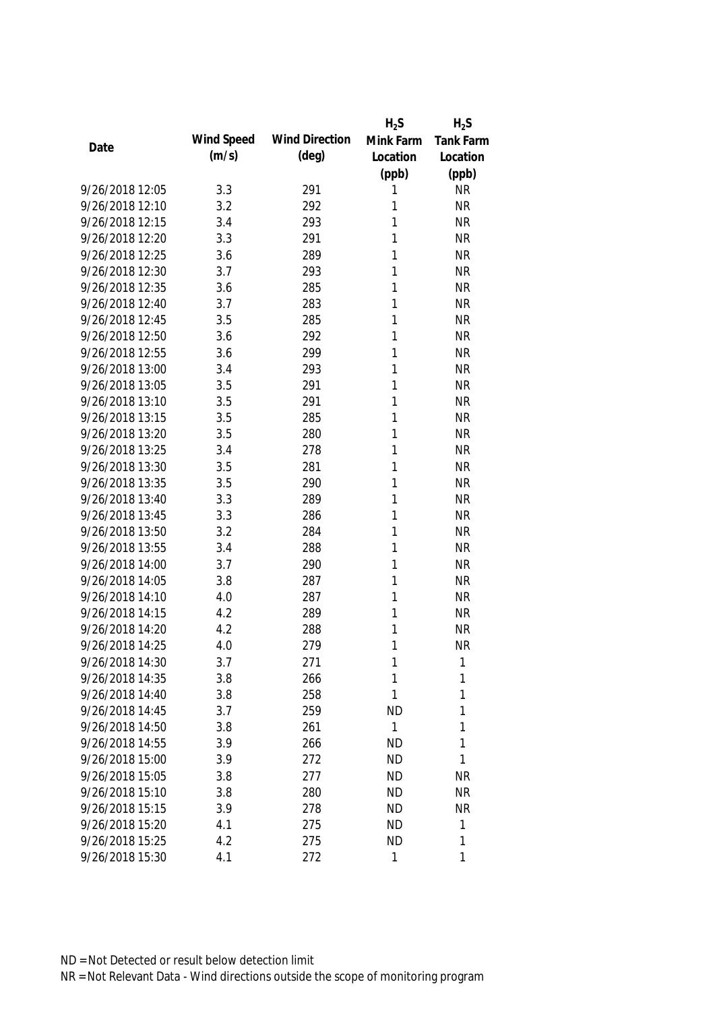|                 |            |                       | $H_2S$       | $H_2S$    |
|-----------------|------------|-----------------------|--------------|-----------|
| Date            | Wind Speed | <b>Wind Direction</b> | Mink Farm    | Tank Farm |
|                 | (m/s)      | $(\text{deg})$        | Location     | Location  |
|                 |            |                       | (ppb)        | (ppb)     |
| 9/26/2018 12:05 | 3.3        | 291                   | 1            | <b>NR</b> |
| 9/26/2018 12:10 | 3.2        | 292                   | 1            | <b>NR</b> |
| 9/26/2018 12:15 | 3.4        | 293                   | 1            | <b>NR</b> |
| 9/26/2018 12:20 | 3.3        | 291                   | 1            | <b>NR</b> |
| 9/26/2018 12:25 | 3.6        | 289                   | 1            | <b>NR</b> |
| 9/26/2018 12:30 | 3.7        | 293                   | 1            | <b>NR</b> |
| 9/26/2018 12:35 | 3.6        | 285                   | 1            | <b>NR</b> |
| 9/26/2018 12:40 | 3.7        | 283                   | 1            | <b>NR</b> |
| 9/26/2018 12:45 | 3.5        | 285                   | 1            | <b>NR</b> |
| 9/26/2018 12:50 | 3.6        | 292                   | 1            | <b>NR</b> |
| 9/26/2018 12:55 | 3.6        | 299                   | 1            | <b>NR</b> |
| 9/26/2018 13:00 | 3.4        | 293                   | 1            | <b>NR</b> |
| 9/26/2018 13:05 | 3.5        | 291                   | 1            | <b>NR</b> |
| 9/26/2018 13:10 | 3.5        | 291                   | 1            | <b>NR</b> |
| 9/26/2018 13:15 | 3.5        | 285                   | 1            | <b>NR</b> |
| 9/26/2018 13:20 | 3.5        | 280                   | 1            | <b>NR</b> |
| 9/26/2018 13:25 | 3.4        | 278                   | 1            | <b>NR</b> |
| 9/26/2018 13:30 | 3.5        | 281                   | 1            | <b>NR</b> |
| 9/26/2018 13:35 | 3.5        | 290                   | 1            | <b>NR</b> |
| 9/26/2018 13:40 | 3.3        | 289                   | 1            | <b>NR</b> |
| 9/26/2018 13:45 | 3.3        | 286                   | 1            | <b>NR</b> |
| 9/26/2018 13:50 | 3.2        | 284                   | 1            | <b>NR</b> |
| 9/26/2018 13:55 | 3.4        | 288                   | 1            | <b>NR</b> |
| 9/26/2018 14:00 | 3.7        | 290                   | 1            | <b>NR</b> |
| 9/26/2018 14:05 | 3.8        | 287                   | 1            | <b>NR</b> |
| 9/26/2018 14:10 | 4.0        | 287                   | 1            | <b>NR</b> |
| 9/26/2018 14:15 | 4.2        | 289                   | 1            | <b>NR</b> |
| 9/26/2018 14:20 | 4.2        | 288                   | 1            | <b>NR</b> |
| 9/26/2018 14:25 | 4.0        | 279                   | 1            | <b>NR</b> |
| 9/26/2018 14:30 | 3.7        | 271                   | 1            | 1         |
| 9/26/2018 14:35 | 3.8        | 266                   | 1            | 1         |
| 9/26/2018 14:40 | 3.8        | 258                   | 1            | 1         |
| 9/26/2018 14:45 | 3.7        | 259                   | <b>ND</b>    | 1         |
| 9/26/2018 14:50 | 3.8        | 261                   | $\mathbf{1}$ | 1         |
| 9/26/2018 14:55 | 3.9        | 266                   | <b>ND</b>    | 1         |
| 9/26/2018 15:00 | 3.9        | 272                   | <b>ND</b>    | 1         |
| 9/26/2018 15:05 | 3.8        | 277                   | <b>ND</b>    | <b>NR</b> |
| 9/26/2018 15:10 | 3.8        | 280                   | <b>ND</b>    | <b>NR</b> |
| 9/26/2018 15:15 | 3.9        | 278                   | <b>ND</b>    | <b>NR</b> |
| 9/26/2018 15:20 | 4.1        | 275                   | <b>ND</b>    | 1         |
| 9/26/2018 15:25 | 4.2        | 275                   | <b>ND</b>    | 1         |
| 9/26/2018 15:30 | 4.1        | 272                   | 1            | 1         |
|                 |            |                       |              |           |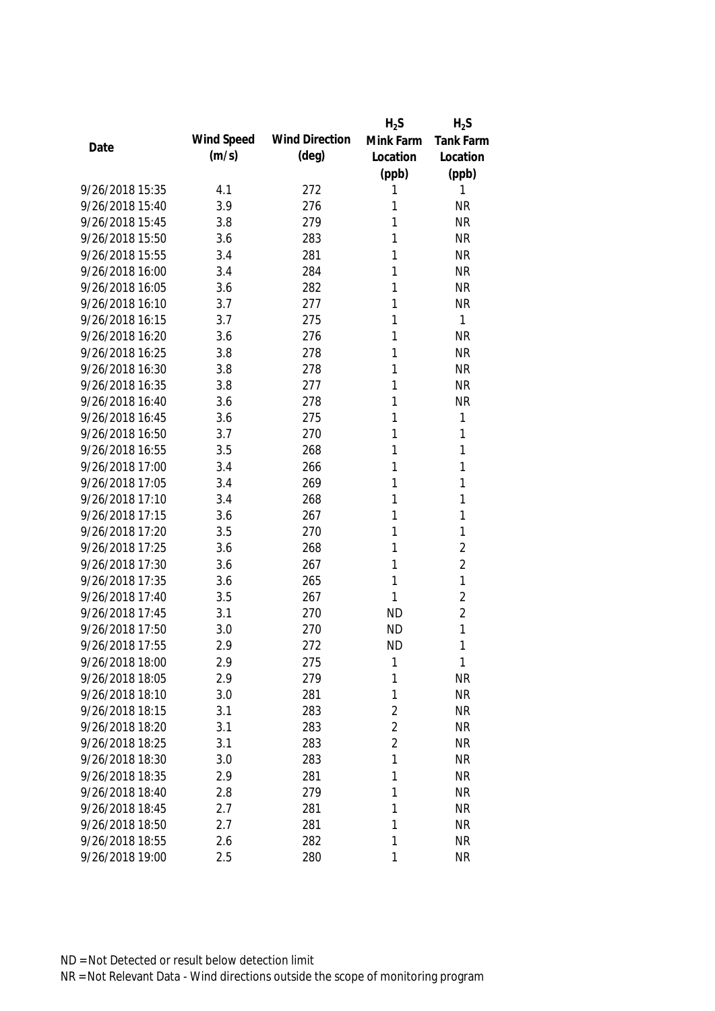|                 |            |                       | $H_2S$         | $H_2S$         |
|-----------------|------------|-----------------------|----------------|----------------|
| Date            | Wind Speed | <b>Wind Direction</b> | Mink Farm      | Tank Farm      |
|                 | (m/s)      | $(\text{deg})$        | Location       | Location       |
|                 |            |                       | (ppb)          | (ppb)          |
| 9/26/2018 15:35 | 4.1        | 272                   | 1              | 1              |
| 9/26/2018 15:40 | 3.9        | 276                   | 1              | <b>NR</b>      |
| 9/26/2018 15:45 | 3.8        | 279                   | 1              | <b>NR</b>      |
| 9/26/2018 15:50 | 3.6        | 283                   | 1              | <b>NR</b>      |
| 9/26/2018 15:55 | 3.4        | 281                   | 1              | <b>NR</b>      |
| 9/26/2018 16:00 | 3.4        | 284                   | 1              | <b>NR</b>      |
| 9/26/2018 16:05 | 3.6        | 282                   | 1              | <b>NR</b>      |
| 9/26/2018 16:10 | 3.7        | 277                   | 1              | <b>NR</b>      |
| 9/26/2018 16:15 | 3.7        | 275                   | 1              | 1              |
| 9/26/2018 16:20 | 3.6        | 276                   | 1              | <b>NR</b>      |
| 9/26/2018 16:25 | 3.8        | 278                   | 1              | <b>NR</b>      |
| 9/26/2018 16:30 | 3.8        | 278                   | 1              | <b>NR</b>      |
| 9/26/2018 16:35 | 3.8        | 277                   | 1              | <b>NR</b>      |
| 9/26/2018 16:40 | 3.6        | 278                   | 1              | <b>NR</b>      |
| 9/26/2018 16:45 | 3.6        | 275                   | 1              | $\mathbf{1}$   |
| 9/26/2018 16:50 | 3.7        | 270                   | 1              | $\mathbf{1}$   |
| 9/26/2018 16:55 | 3.5        | 268                   | 1              | 1              |
| 9/26/2018 17:00 | 3.4        | 266                   | 1              | 1              |
| 9/26/2018 17:05 | 3.4        | 269                   | 1              | 1              |
| 9/26/2018 17:10 | 3.4        | 268                   | 1              | 1              |
| 9/26/2018 17:15 | 3.6        | 267                   | 1              | 1              |
| 9/26/2018 17:20 | 3.5        | 270                   | 1              | 1              |
| 9/26/2018 17:25 | 3.6        | 268                   | 1              | $\overline{2}$ |
| 9/26/2018 17:30 | 3.6        | 267                   | 1              | $\overline{2}$ |
| 9/26/2018 17:35 | 3.6        | 265                   | 1              | 1              |
| 9/26/2018 17:40 | 3.5        | 267                   | 1              | $\overline{2}$ |
| 9/26/2018 17:45 | 3.1        | 270                   | <b>ND</b>      | $\overline{2}$ |
| 9/26/2018 17:50 | 3.0        | 270                   | <b>ND</b>      | 1              |
| 9/26/2018 17:55 | 2.9        | 272                   | <b>ND</b>      | 1              |
| 9/26/2018 18:00 | 2.9        | 275                   | 1              | 1              |
| 9/26/2018 18:05 | 2.9        | 279                   | 1              | <b>NR</b>      |
| 9/26/2018 18:10 | 3.0        | 281                   | 1              | <b>NR</b>      |
| 9/26/2018 18:15 | 3.1        | 283                   | $\overline{2}$ | <b>NR</b>      |
| 9/26/2018 18:20 | 3.1        | 283                   | $\overline{2}$ | <b>NR</b>      |
| 9/26/2018 18:25 | 3.1        | 283                   | $\overline{2}$ | <b>NR</b>      |
| 9/26/2018 18:30 | 3.0        | 283                   | 1              | <b>NR</b>      |
| 9/26/2018 18:35 | 2.9        | 281                   | 1              | <b>NR</b>      |
| 9/26/2018 18:40 | 2.8        | 279                   | 1              | <b>NR</b>      |
| 9/26/2018 18:45 | 2.7        | 281                   | 1              | <b>NR</b>      |
| 9/26/2018 18:50 | 2.7        | 281                   | 1              | <b>NR</b>      |
| 9/26/2018 18:55 | 2.6        | 282                   | 1              | <b>NR</b>      |
| 9/26/2018 19:00 | 2.5        | 280                   | 1              | <b>NR</b>      |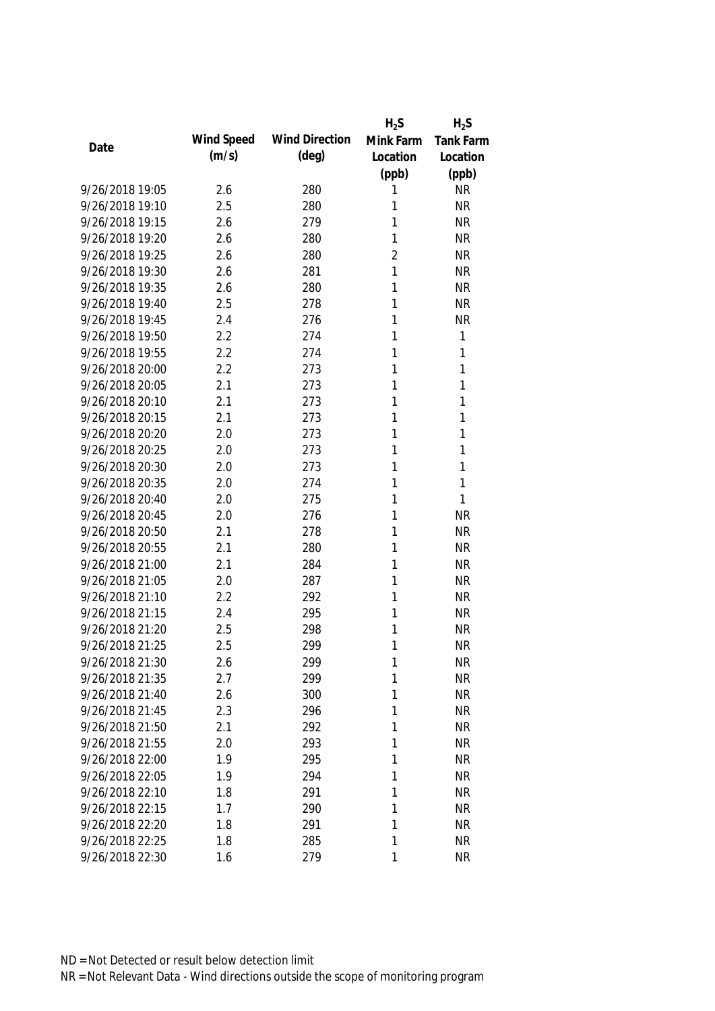|                 |            |                       | $H_2S$         | $H_2S$    |
|-----------------|------------|-----------------------|----------------|-----------|
| Date            | Wind Speed | <b>Wind Direction</b> | Mink Farm      | Tank Farm |
|                 | (m/s)      | $(\text{deg})$        | Location       | Location  |
|                 |            |                       | (ppb)          | (ppb)     |
| 9/26/2018 19:05 | 2.6        | 280                   | 1              | <b>NR</b> |
| 9/26/2018 19:10 | 2.5        | 280                   | 1              | <b>NR</b> |
| 9/26/2018 19:15 | 2.6        | 279                   | 1              | <b>NR</b> |
| 9/26/2018 19:20 | 2.6        | 280                   | 1              | <b>NR</b> |
| 9/26/2018 19:25 | 2.6        | 280                   | $\overline{2}$ | <b>NR</b> |
| 9/26/2018 19:30 | 2.6        | 281                   | 1              | <b>NR</b> |
| 9/26/2018 19:35 | 2.6        | 280                   | 1              | <b>NR</b> |
| 9/26/2018 19:40 | 2.5        | 278                   | 1              | <b>NR</b> |
| 9/26/2018 19:45 | 2.4        | 276                   | 1              | <b>NR</b> |
| 9/26/2018 19:50 | 2.2        | 274                   | 1              | 1         |
| 9/26/2018 19:55 | 2.2        | 274                   | 1              | 1         |
| 9/26/2018 20:00 | 2.2        | 273                   | 1              | 1         |
| 9/26/2018 20:05 | 2.1        | 273                   | 1              | 1         |
| 9/26/2018 20:10 | 2.1        | 273                   | 1              | 1         |
| 9/26/2018 20:15 | 2.1        | 273                   | 1              | 1         |
| 9/26/2018 20:20 | 2.0        | 273                   | 1              | 1         |
| 9/26/2018 20:25 | 2.0        | 273                   | 1              | 1         |
| 9/26/2018 20:30 | 2.0        | 273                   | 1              | 1         |
| 9/26/2018 20:35 | 2.0        | 274                   | 1              | 1         |
| 9/26/2018 20:40 | 2.0        | 275                   | 1              | 1         |
| 9/26/2018 20:45 | 2.0        | 276                   | 1              | <b>NR</b> |
| 9/26/2018 20:50 | 2.1        | 278                   | 1              | <b>NR</b> |
| 9/26/2018 20:55 | 2.1        | 280                   | 1              | <b>NR</b> |
| 9/26/2018 21:00 | 2.1        | 284                   | 1              | <b>NR</b> |
| 9/26/2018 21:05 | 2.0        | 287                   | 1              | <b>NR</b> |
| 9/26/2018 21:10 | 2.2        | 292                   | 1              | <b>NR</b> |
| 9/26/2018 21:15 | 2.4        | 295                   | 1              | <b>NR</b> |
| 9/26/2018 21:20 | 2.5        | 298                   | 1              | <b>NR</b> |
| 9/26/2018 21:25 | 2.5        | 299                   | 1              | <b>NR</b> |
| 9/26/2018 21:30 | 2.6        | 299                   | 1              | <b>NR</b> |
| 9/26/2018 21:35 | 2.7        | 299                   | 1              | <b>NR</b> |
| 9/26/2018 21:40 | 2.6        | 300                   | 1              | <b>NR</b> |
| 9/26/2018 21:45 | 2.3        | 296                   | 1              | <b>NR</b> |
| 9/26/2018 21:50 | 2.1        | 292                   | 1              | <b>NR</b> |
| 9/26/2018 21:55 | 2.0        | 293                   | 1              | <b>NR</b> |
| 9/26/2018 22:00 | 1.9        | 295                   | 1              | <b>NR</b> |
| 9/26/2018 22:05 | 1.9        | 294                   | 1              | <b>NR</b> |
| 9/26/2018 22:10 | 1.8        | 291                   | 1              | <b>NR</b> |
| 9/26/2018 22:15 | 1.7        | 290                   | 1              | <b>NR</b> |
| 9/26/2018 22:20 | 1.8        | 291                   | 1              | <b>NR</b> |
| 9/26/2018 22:25 | 1.8        | 285                   | 1              | <b>NR</b> |
| 9/26/2018 22:30 | 1.6        | 279                   | 1              | <b>NR</b> |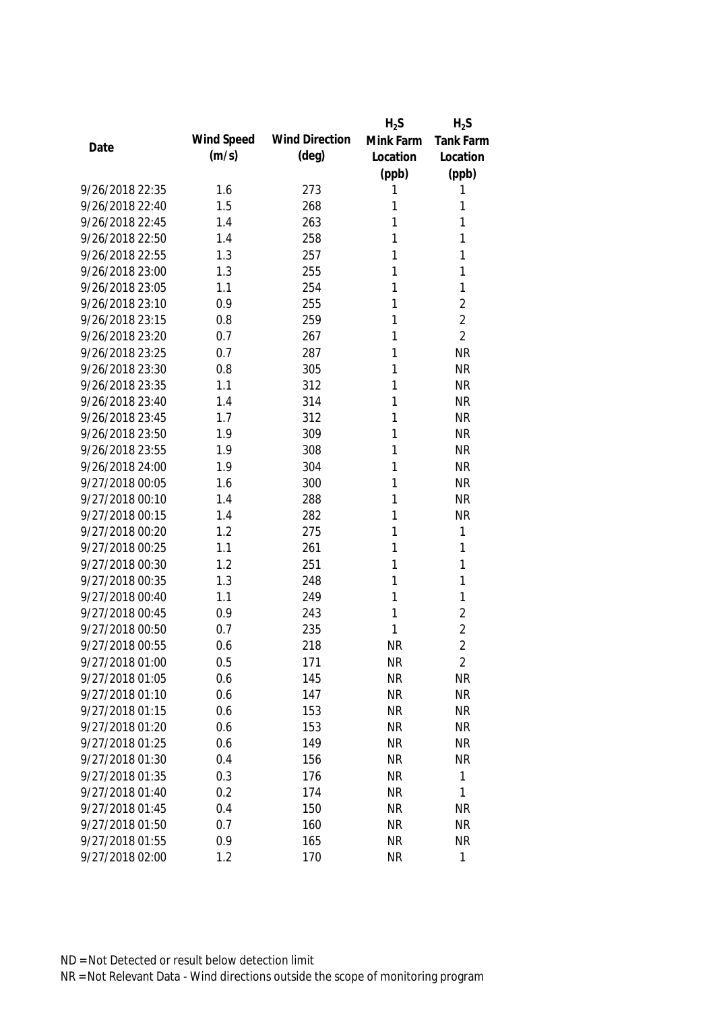|                 |            |                       | $H_2S$    | $H_2S$         |
|-----------------|------------|-----------------------|-----------|----------------|
| Date            | Wind Speed | <b>Wind Direction</b> | Mink Farm | Tank Farm      |
|                 | (m/s)      | $(\text{deg})$        | Location  | Location       |
|                 |            |                       | (ppb)     | (ppb)          |
| 9/26/2018 22:35 | 1.6        | 273                   | 1         | 1              |
| 9/26/2018 22:40 | 1.5        | 268                   | 1         | 1              |
| 9/26/2018 22:45 | 1.4        | 263                   | 1         | 1              |
| 9/26/2018 22:50 | 1.4        | 258                   | 1         | 1              |
| 9/26/2018 22:55 | 1.3        | 257                   | 1         | 1              |
| 9/26/2018 23:00 | 1.3        | 255                   | 1         | 1              |
| 9/26/2018 23:05 | 1.1        | 254                   | 1         | $\mathbf{1}$   |
| 9/26/2018 23:10 | 0.9        | 255                   | 1         | $\overline{2}$ |
| 9/26/2018 23:15 | 0.8        | 259                   | 1         | $\overline{2}$ |
| 9/26/2018 23:20 | 0.7        | 267                   | 1         | $\overline{2}$ |
| 9/26/2018 23:25 | 0.7        | 287                   | 1         | <b>NR</b>      |
| 9/26/2018 23:30 | 0.8        | 305                   | 1         | <b>NR</b>      |
| 9/26/2018 23:35 | 1.1        | 312                   | 1         | <b>NR</b>      |
| 9/26/2018 23:40 | 1.4        | 314                   | 1         | <b>NR</b>      |
| 9/26/2018 23:45 | 1.7        | 312                   | 1         | <b>NR</b>      |
| 9/26/2018 23:50 | 1.9        | 309                   | 1         | <b>NR</b>      |
| 9/26/2018 23:55 | 1.9        | 308                   | 1         | <b>NR</b>      |
| 9/26/2018 24:00 | 1.9        | 304                   | 1         | <b>NR</b>      |
| 9/27/2018 00:05 | 1.6        | 300                   | 1         | <b>NR</b>      |
| 9/27/2018 00:10 | 1.4        | 288                   | 1         | <b>NR</b>      |
| 9/27/2018 00:15 | 1.4        | 282                   | 1         | <b>NR</b>      |
| 9/27/2018 00:20 | 1.2        | 275                   | 1         | $\mathbf{1}$   |
| 9/27/2018 00:25 | 1.1        | 261                   | 1         | 1              |
| 9/27/2018 00:30 | 1.2        | 251                   | 1         | $\mathbf{1}$   |
| 9/27/2018 00:35 | 1.3        | 248                   | 1         | 1              |
| 9/27/2018 00:40 | 1.1        | 249                   | 1         | 1              |
| 9/27/2018 00:45 | 0.9        | 243                   | 1         | $\overline{2}$ |
| 9/27/2018 00:50 | 0.7        | 235                   | 1         | $\overline{2}$ |
| 9/27/2018 00:55 | 0.6        | 218                   | <b>NR</b> | $\overline{2}$ |
| 9/27/2018 01:00 | 0.5        | 171                   | <b>NR</b> | $\overline{2}$ |
| 9/27/2018 01:05 | 0.6        | 145                   | <b>NR</b> | <b>NR</b>      |
| 9/27/2018 01:10 | 0.6        | 147                   | <b>NR</b> | <b>NR</b>      |
| 9/27/2018 01:15 | 0.6        | 153                   | <b>NR</b> | <b>NR</b>      |
| 9/27/2018 01:20 | 0.6        | 153                   | <b>NR</b> | <b>NR</b>      |
| 9/27/2018 01:25 | 0.6        | 149                   | <b>NR</b> | <b>NR</b>      |
| 9/27/2018 01:30 | 0.4        | 156                   | <b>NR</b> | <b>NR</b>      |
| 9/27/2018 01:35 | 0.3        | 176                   | <b>NR</b> | $\mathbf{1}$   |
| 9/27/2018 01:40 | 0.2        | 174                   | <b>NR</b> | $\mathbf{1}$   |
| 9/27/2018 01:45 | 0.4        | 150                   | <b>NR</b> | <b>NR</b>      |
| 9/27/2018 01:50 | 0.7        | 160                   | <b>NR</b> | <b>NR</b>      |
| 9/27/2018 01:55 | 0.9        | 165                   | <b>NR</b> | <b>NR</b>      |
| 9/27/2018 02:00 | 1.2        | 170                   | <b>NR</b> | 1              |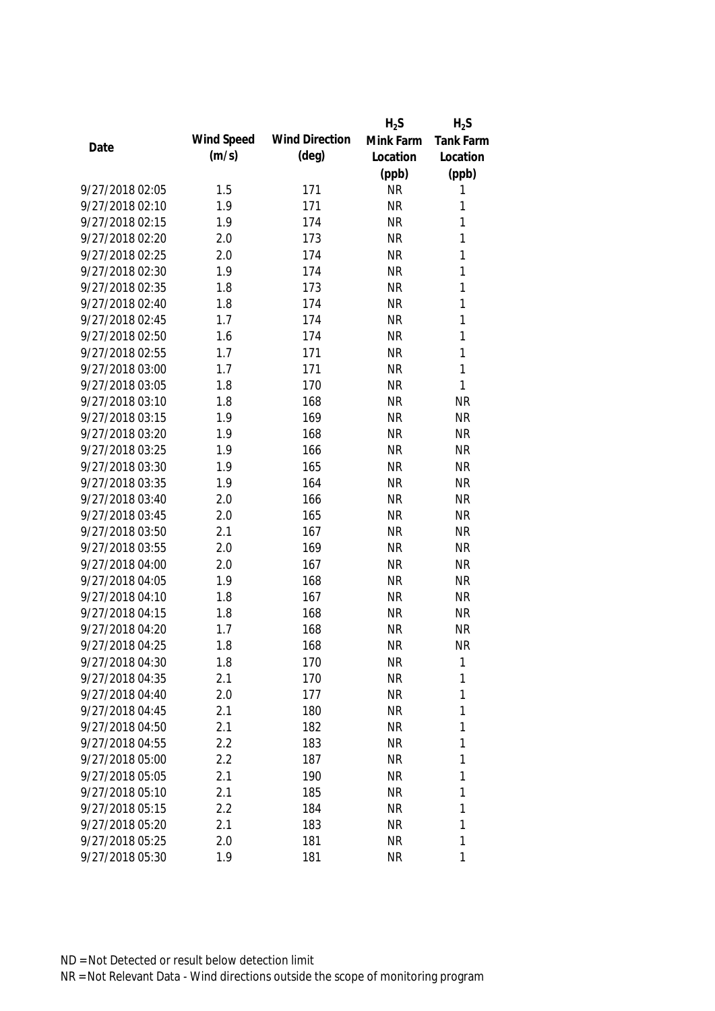|                 |            |                       | $H_2S$    | $H_2S$           |
|-----------------|------------|-----------------------|-----------|------------------|
| Date            | Wind Speed | <b>Wind Direction</b> | Mink Farm | <b>Tank Farm</b> |
|                 | (m/s)      | $(\text{deg})$        | Location  | Location         |
|                 |            |                       | (ppb)     | (ppb)            |
| 9/27/2018 02:05 | 1.5        | 171                   | <b>NR</b> | 1                |
| 9/27/2018 02:10 | 1.9        | 171                   | <b>NR</b> | 1                |
| 9/27/2018 02:15 | 1.9        | 174                   | <b>NR</b> | $\mathbf{1}$     |
| 9/27/2018 02:20 | 2.0        | 173                   | <b>NR</b> | $\mathbf{1}$     |
| 9/27/2018 02:25 | 2.0        | 174                   | <b>NR</b> | $\mathbf{1}$     |
| 9/27/2018 02:30 | 1.9        | 174                   | <b>NR</b> | $\mathbf{1}$     |
| 9/27/2018 02:35 | 1.8        | 173                   | <b>NR</b> | $\mathbf{1}$     |
| 9/27/2018 02:40 | 1.8        | 174                   | <b>NR</b> | $\mathbf{1}$     |
| 9/27/2018 02:45 | 1.7        | 174                   | <b>NR</b> | $\mathbf{1}$     |
| 9/27/2018 02:50 | 1.6        | 174                   | <b>NR</b> | $\mathbf{1}$     |
| 9/27/2018 02:55 | 1.7        | 171                   | <b>NR</b> | $\mathbf{1}$     |
| 9/27/2018 03:00 | 1.7        | 171                   | <b>NR</b> | $\mathbf{1}$     |
| 9/27/2018 03:05 | 1.8        | 170                   | <b>NR</b> | $\mathbf{1}$     |
| 9/27/2018 03:10 | 1.8        | 168                   | <b>NR</b> | <b>NR</b>        |
| 9/27/2018 03:15 | 1.9        | 169                   | <b>NR</b> | <b>NR</b>        |
| 9/27/2018 03:20 | 1.9        | 168                   | <b>NR</b> | <b>NR</b>        |
| 9/27/2018 03:25 | 1.9        | 166                   | <b>NR</b> | <b>NR</b>        |
| 9/27/2018 03:30 | 1.9        | 165                   | <b>NR</b> | <b>NR</b>        |
| 9/27/2018 03:35 | 1.9        | 164                   | <b>NR</b> | <b>NR</b>        |
| 9/27/2018 03:40 | 2.0        | 166                   | <b>NR</b> | <b>NR</b>        |
| 9/27/2018 03:45 | 2.0        | 165                   | <b>NR</b> | <b>NR</b>        |
| 9/27/2018 03:50 | 2.1        | 167                   | <b>NR</b> | <b>NR</b>        |
| 9/27/2018 03:55 | 2.0        | 169                   | <b>NR</b> | <b>NR</b>        |
| 9/27/2018 04:00 | 2.0        | 167                   | <b>NR</b> | <b>NR</b>        |
| 9/27/2018 04:05 | 1.9        | 168                   | <b>NR</b> | <b>NR</b>        |
| 9/27/2018 04:10 | 1.8        | 167                   | <b>NR</b> | <b>NR</b>        |
| 9/27/2018 04:15 | 1.8        | 168                   | <b>NR</b> | <b>NR</b>        |
| 9/27/2018 04:20 | 1.7        | 168                   | <b>NR</b> | <b>NR</b>        |
| 9/27/2018 04:25 | 1.8        | 168                   | <b>NR</b> | <b>NR</b>        |
| 9/27/2018 04:30 | 1.8        | 170                   | <b>NR</b> | 1                |
| 9/27/2018 04:35 | 2.1        | 170                   | <b>NR</b> | 1                |
| 9/27/2018 04:40 | 2.0        | 177                   | <b>NR</b> | 1                |
| 9/27/2018 04:45 | 2.1        | 180                   | <b>NR</b> | 1                |
| 9/27/2018 04:50 | 2.1        | 182                   | <b>NR</b> | 1                |
| 9/27/2018 04:55 | 2.2        | 183                   | <b>NR</b> | 1                |
| 9/27/2018 05:00 | 2.2        | 187                   | <b>NR</b> | 1                |
| 9/27/2018 05:05 | 2.1        | 190                   | <b>NR</b> | 1                |
| 9/27/2018 05:10 | 2.1        | 185                   | <b>NR</b> | 1                |
| 9/27/2018 05:15 | 2.2        | 184                   | <b>NR</b> | 1                |
| 9/27/2018 05:20 | 2.1        | 183                   | <b>NR</b> | 1                |
| 9/27/2018 05:25 | 2.0        | 181                   | <b>NR</b> | 1                |
| 9/27/2018 05:30 | 1.9        | 181                   | <b>NR</b> | 1                |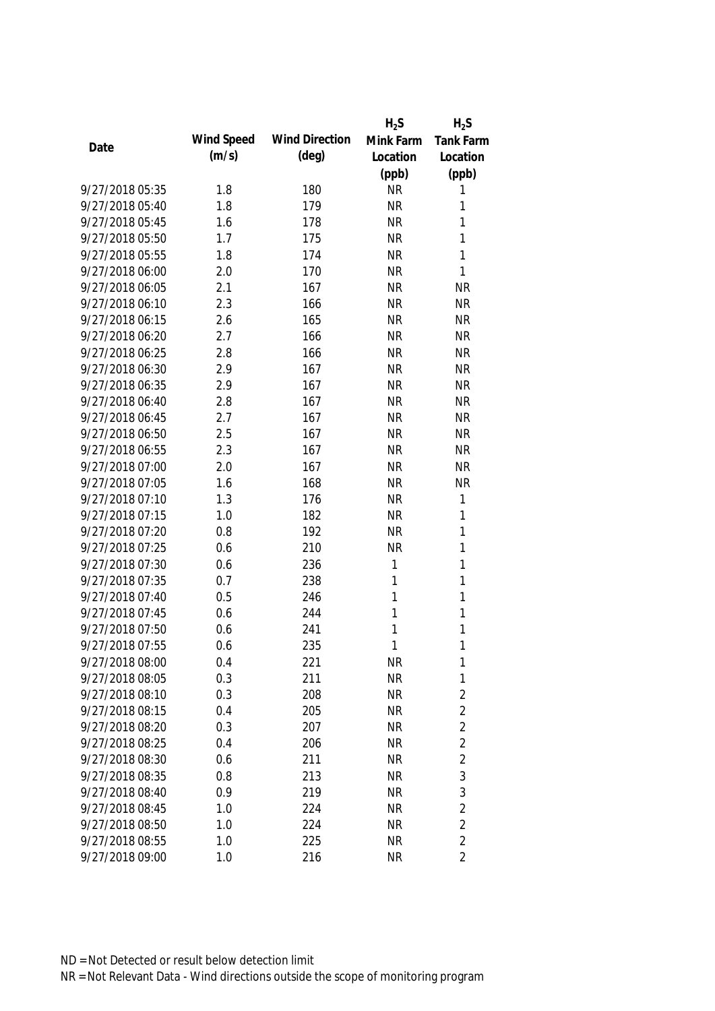|                 |            |                       | $H_2S$    | $H_2S$           |
|-----------------|------------|-----------------------|-----------|------------------|
| Date            | Wind Speed | <b>Wind Direction</b> | Mink Farm | <b>Tank Farm</b> |
|                 | (m/s)      | (deg)                 | Location  | Location         |
|                 |            |                       | (ppb)     | (ppb)            |
| 9/27/2018 05:35 | 1.8        | 180                   | <b>NR</b> | 1                |
| 9/27/2018 05:40 | 1.8        | 179                   | <b>NR</b> | 1                |
| 9/27/2018 05:45 | 1.6        | 178                   | <b>NR</b> | 1                |
| 9/27/2018 05:50 | 1.7        | 175                   | <b>NR</b> | 1                |
| 9/27/2018 05:55 | 1.8        | 174                   | <b>NR</b> | 1                |
| 9/27/2018 06:00 | 2.0        | 170                   | <b>NR</b> | 1                |
| 9/27/2018 06:05 | 2.1        | 167                   | <b>NR</b> | <b>NR</b>        |
| 9/27/2018 06:10 | 2.3        | 166                   | <b>NR</b> | <b>NR</b>        |
| 9/27/2018 06:15 | 2.6        | 165                   | <b>NR</b> | <b>NR</b>        |
| 9/27/2018 06:20 | 2.7        | 166                   | <b>NR</b> | <b>NR</b>        |
| 9/27/2018 06:25 | 2.8        | 166                   | <b>NR</b> | <b>NR</b>        |
| 9/27/2018 06:30 | 2.9        | 167                   | <b>NR</b> | <b>NR</b>        |
| 9/27/2018 06:35 | 2.9        | 167                   | <b>NR</b> | <b>NR</b>        |
| 9/27/2018 06:40 | 2.8        | 167                   | <b>NR</b> | <b>NR</b>        |
| 9/27/2018 06:45 | 2.7        | 167                   | <b>NR</b> | <b>NR</b>        |
| 9/27/2018 06:50 | 2.5        | 167                   | <b>NR</b> | <b>NR</b>        |
| 9/27/2018 06:55 | 2.3        | 167                   | <b>NR</b> | <b>NR</b>        |
| 9/27/2018 07:00 | 2.0        | 167                   | <b>NR</b> | <b>NR</b>        |
| 9/27/2018 07:05 | 1.6        | 168                   | <b>NR</b> | <b>NR</b>        |
| 9/27/2018 07:10 | 1.3        | 176                   | <b>NR</b> | 1                |
| 9/27/2018 07:15 | 1.0        | 182                   | <b>NR</b> | 1                |
| 9/27/2018 07:20 | 0.8        | 192                   | <b>NR</b> | $\mathbf{1}$     |
| 9/27/2018 07:25 | 0.6        | 210                   | <b>NR</b> | $\mathbf{1}$     |
| 9/27/2018 07:30 | 0.6        | 236                   | 1         | $\mathbf{1}$     |
| 9/27/2018 07:35 | 0.7        | 238                   | 1         | $\mathbf{1}$     |
| 9/27/2018 07:40 | 0.5        | 246                   | 1         | $\mathbf{1}$     |
| 9/27/2018 07:45 | 0.6        | 244                   | 1         | $\mathbf{1}$     |
| 9/27/2018 07:50 | 0.6        | 241                   | 1         | 1                |
| 9/27/2018 07:55 | 0.6        | 235                   | 1         | 1                |
| 9/27/2018 08:00 | 0.4        | 221                   | <b>NR</b> | $\mathbf{1}$     |
| 9/27/2018 08:05 | 0.3        | 211                   | <b>NR</b> | $\mathbf 1$      |
| 9/27/2018 08:10 | 0.3        | 208                   | <b>NR</b> | $\overline{2}$   |
| 9/27/2018 08:15 | 0.4        | 205                   | <b>NR</b> | $\overline{2}$   |
| 9/27/2018 08:20 | 0.3        | 207                   | <b>NR</b> | $\overline{2}$   |
| 9/27/2018 08:25 | 0.4        | 206                   | <b>NR</b> | $\overline{2}$   |
| 9/27/2018 08:30 | 0.6        | 211                   | <b>NR</b> | $\overline{2}$   |
| 9/27/2018 08:35 | 0.8        | 213                   | <b>NR</b> | $\mathfrak{Z}$   |
| 9/27/2018 08:40 | 0.9        | 219                   | <b>NR</b> | 3                |
| 9/27/2018 08:45 | 1.0        | 224                   | <b>NR</b> | $\overline{2}$   |
| 9/27/2018 08:50 | 1.0        | 224                   | <b>NR</b> | 2                |
| 9/27/2018 08:55 | 1.0        | 225                   | <b>NR</b> | $\overline{2}$   |
| 9/27/2018 09:00 | 1.0        | 216                   | <b>NR</b> | $\overline{2}$   |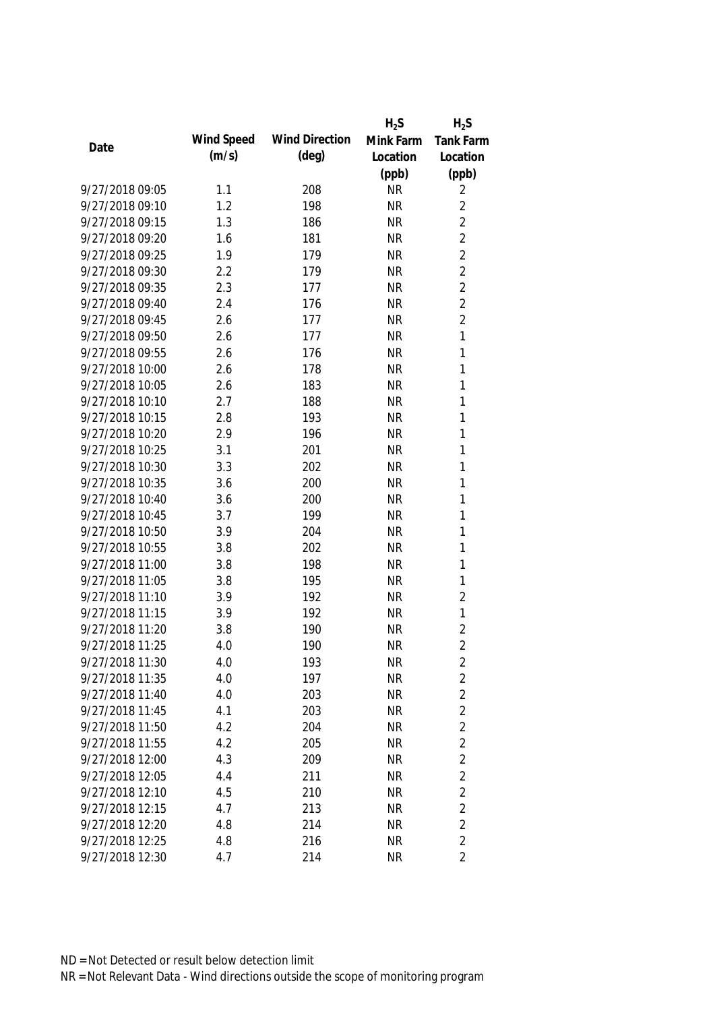|                 |            |                       | $H_2S$    | $H_2S$           |
|-----------------|------------|-----------------------|-----------|------------------|
| Date            | Wind Speed | <b>Wind Direction</b> | Mink Farm | <b>Tank Farm</b> |
|                 | (m/s)      | $(\text{deg})$        | Location  | Location         |
|                 |            |                       | (ppb)     | (ppb)            |
| 9/27/2018 09:05 | 1.1        | 208                   | <b>NR</b> | 2                |
| 9/27/2018 09:10 | 1.2        | 198                   | <b>NR</b> | $\overline{2}$   |
| 9/27/2018 09:15 | 1.3        | 186                   | <b>NR</b> | $\overline{2}$   |
| 9/27/2018 09:20 | 1.6        | 181                   | <b>NR</b> | $\overline{2}$   |
| 9/27/2018 09:25 | 1.9        | 179                   | <b>NR</b> | $\overline{2}$   |
| 9/27/2018 09:30 | 2.2        | 179                   | <b>NR</b> | $\overline{2}$   |
| 9/27/2018 09:35 | 2.3        | 177                   | <b>NR</b> | $\overline{2}$   |
| 9/27/2018 09:40 | 2.4        | 176                   | <b>NR</b> | $\overline{2}$   |
| 9/27/2018 09:45 | 2.6        | 177                   | <b>NR</b> | $\overline{2}$   |
| 9/27/2018 09:50 | 2.6        | 177                   | <b>NR</b> | 1                |
| 9/27/2018 09:55 | 2.6        | 176                   | <b>NR</b> | 1                |
| 9/27/2018 10:00 | 2.6        | 178                   | <b>NR</b> | 1                |
| 9/27/2018 10:05 | 2.6        | 183                   | <b>NR</b> | 1                |
| 9/27/2018 10:10 | 2.7        | 188                   | <b>NR</b> | 1                |
| 9/27/2018 10:15 | 2.8        | 193                   | <b>NR</b> | $\mathbf{1}$     |
| 9/27/2018 10:20 | 2.9        | 196                   | <b>NR</b> | $\mathbf{1}$     |
| 9/27/2018 10:25 | 3.1        | 201                   | <b>NR</b> | 1                |
| 9/27/2018 10:30 | 3.3        | 202                   | <b>NR</b> | 1                |
| 9/27/2018 10:35 | 3.6        | 200                   | <b>NR</b> | 1                |
| 9/27/2018 10:40 | 3.6        | 200                   | <b>NR</b> | 1                |
| 9/27/2018 10:45 | 3.7        | 199                   | <b>NR</b> | 1                |
| 9/27/2018 10:50 | 3.9        | 204                   | <b>NR</b> | 1                |
| 9/27/2018 10:55 | 3.8        | 202                   | <b>NR</b> | 1                |
| 9/27/2018 11:00 | 3.8        | 198                   | <b>NR</b> | 1                |
| 9/27/2018 11:05 | 3.8        | 195                   | <b>NR</b> | 1                |
| 9/27/2018 11:10 | 3.9        | 192                   | <b>NR</b> | $\overline{2}$   |
| 9/27/2018 11:15 | 3.9        | 192                   | <b>NR</b> | $\mathbf{1}$     |
| 9/27/2018 11:20 | 3.8        | 190                   | <b>NR</b> | $\overline{2}$   |
| 9/27/2018 11:25 | 4.0        | 190                   | <b>NR</b> | $\overline{2}$   |
| 9/27/2018 11:30 | 4.0        | 193                   | <b>NR</b> | 2                |
| 9/27/2018 11:35 | 4.0        | 197                   | <b>NR</b> | $\overline{2}$   |
| 9/27/2018 11:40 | 4.0        | 203                   | <b>NR</b> | $\overline{2}$   |
| 9/27/2018 11:45 | 4.1        | 203                   | <b>NR</b> | $\overline{2}$   |
| 9/27/2018 11:50 | 4.2        | 204                   | <b>NR</b> | $\overline{2}$   |
| 9/27/2018 11:55 | 4.2        | 205                   | <b>NR</b> | $\overline{2}$   |
| 9/27/2018 12:00 | 4.3        | 209                   | <b>NR</b> | $\overline{2}$   |
| 9/27/2018 12:05 | 4.4        | 211                   | <b>NR</b> | $\overline{2}$   |
| 9/27/2018 12:10 | 4.5        | 210                   | <b>NR</b> | $\overline{2}$   |
| 9/27/2018 12:15 | 4.7        | 213                   | <b>NR</b> | $\overline{2}$   |
| 9/27/2018 12:20 | 4.8        | 214                   | <b>NR</b> | $\overline{2}$   |
| 9/27/2018 12:25 | 4.8        | 216                   | <b>NR</b> | $\overline{2}$   |
| 9/27/2018 12:30 | 4.7        | 214                   | <b>NR</b> | $\overline{2}$   |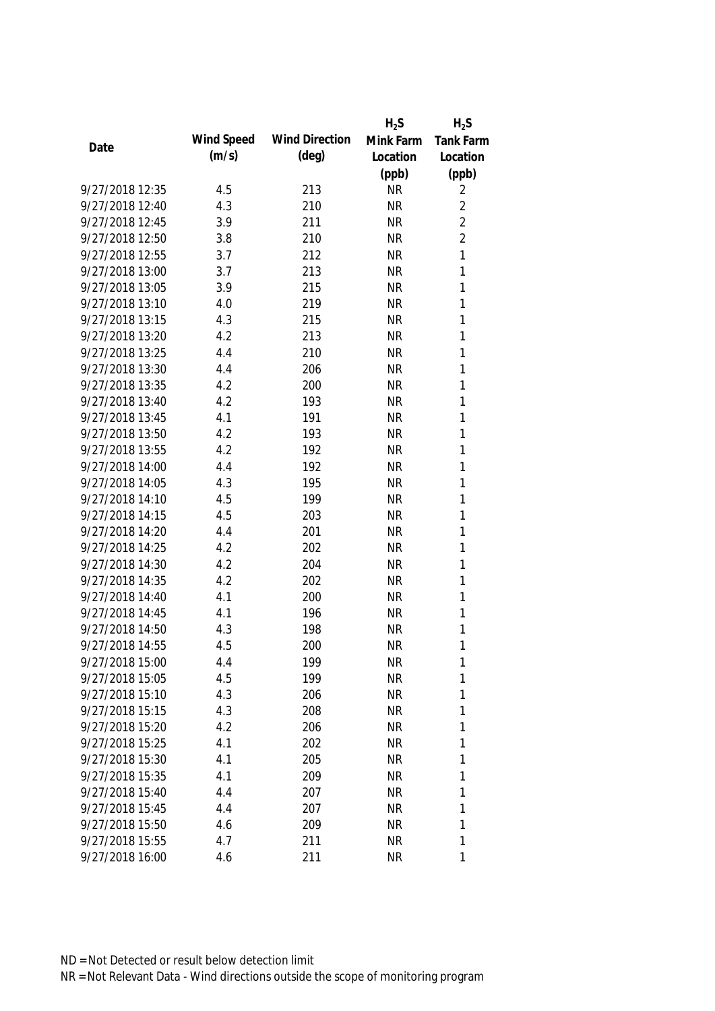|                 |            |                       | $H_2S$    | $H_2S$           |
|-----------------|------------|-----------------------|-----------|------------------|
| Date            | Wind Speed | <b>Wind Direction</b> | Mink Farm | <b>Tank Farm</b> |
|                 | (m/s)      | $(\text{deg})$        | Location  | Location         |
|                 |            |                       | (ppb)     | (ppb)            |
| 9/27/2018 12:35 | 4.5        | 213                   | <b>NR</b> | 2                |
| 9/27/2018 12:40 | 4.3        | 210                   | <b>NR</b> | $\overline{2}$   |
| 9/27/2018 12:45 | 3.9        | 211                   | <b>NR</b> | $\overline{2}$   |
| 9/27/2018 12:50 | 3.8        | 210                   | <b>NR</b> | $\overline{2}$   |
| 9/27/2018 12:55 | 3.7        | 212                   | <b>NR</b> | 1                |
| 9/27/2018 13:00 | 3.7        | 213                   | <b>NR</b> | 1                |
| 9/27/2018 13:05 | 3.9        | 215                   | <b>NR</b> | 1                |
| 9/27/2018 13:10 | 4.0        | 219                   | <b>NR</b> | 1                |
| 9/27/2018 13:15 | 4.3        | 215                   | <b>NR</b> | 1                |
| 9/27/2018 13:20 | 4.2        | 213                   | <b>NR</b> | 1                |
| 9/27/2018 13:25 | 4.4        | 210                   | <b>NR</b> | 1                |
| 9/27/2018 13:30 | 4.4        | 206                   | <b>NR</b> | 1                |
| 9/27/2018 13:35 | 4.2        | 200                   | <b>NR</b> | 1                |
| 9/27/2018 13:40 | 4.2        | 193                   | <b>NR</b> | 1                |
| 9/27/2018 13:45 | 4.1        | 191                   | <b>NR</b> | 1                |
| 9/27/2018 13:50 | 4.2        | 193                   | <b>NR</b> | 1                |
| 9/27/2018 13:55 | 4.2        | 192                   | <b>NR</b> | 1                |
| 9/27/2018 14:00 | 4.4        | 192                   | <b>NR</b> | 1                |
| 9/27/2018 14:05 | 4.3        | 195                   | <b>NR</b> | 1                |
| 9/27/2018 14:10 | 4.5        | 199                   | <b>NR</b> | 1                |
| 9/27/2018 14:15 | 4.5        | 203                   | <b>NR</b> | 1                |
| 9/27/2018 14:20 | 4.4        | 201                   | <b>NR</b> | 1                |
| 9/27/2018 14:25 | 4.2        | 202                   | <b>NR</b> | 1                |
| 9/27/2018 14:30 | 4.2        | 204                   | <b>NR</b> | 1                |
| 9/27/2018 14:35 | 4.2        | 202                   | <b>NR</b> | 1                |
| 9/27/2018 14:40 | 4.1        | 200                   | <b>NR</b> | 1                |
| 9/27/2018 14:45 | 4.1        | 196                   | <b>NR</b> | 1                |
| 9/27/2018 14:50 | 4.3        | 198                   | <b>NR</b> | 1                |
| 9/27/2018 14:55 | 4.5        | 200                   | <b>NR</b> | 1                |
| 9/27/2018 15:00 | 4.4        | 199                   | <b>NR</b> | 1                |
| 9/27/2018 15:05 | 4.5        | 199                   | <b>NR</b> | 1                |
| 9/27/2018 15:10 | 4.3        | 206                   | <b>NR</b> | 1                |
| 9/27/2018 15:15 | 4.3        | 208                   | <b>NR</b> | 1                |
| 9/27/2018 15:20 | 4.2        | 206                   | <b>NR</b> | 1                |
| 9/27/2018 15:25 | 4.1        | 202                   | <b>NR</b> | 1                |
| 9/27/2018 15:30 | 4.1        | 205                   | <b>NR</b> | 1                |
| 9/27/2018 15:35 | 4.1        | 209                   | <b>NR</b> | 1                |
| 9/27/2018 15:40 | 4.4        | 207                   | <b>NR</b> | 1                |
| 9/27/2018 15:45 | 4.4        | 207                   | <b>NR</b> | 1                |
| 9/27/2018 15:50 | 4.6        | 209                   | <b>NR</b> | 1                |
| 9/27/2018 15:55 | 4.7        | 211                   | <b>NR</b> | 1                |
|                 |            |                       |           | 1                |
| 9/27/2018 16:00 | 4.6        | 211                   | <b>NR</b> |                  |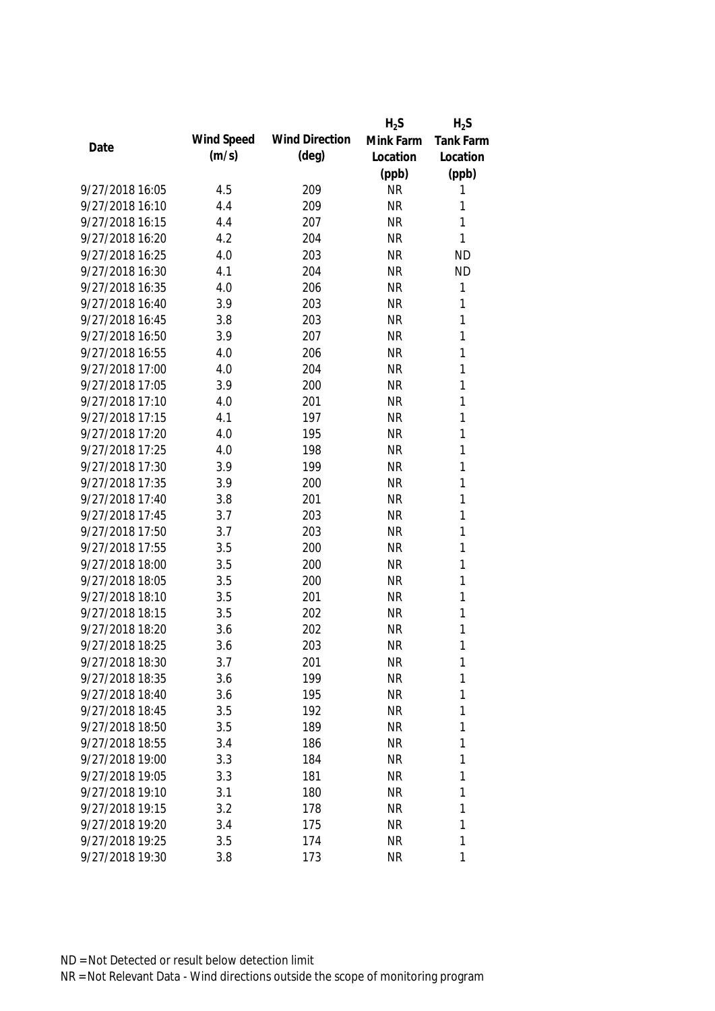|                 |            |                       | $H_2S$    | $H_2S$           |
|-----------------|------------|-----------------------|-----------|------------------|
| Date            | Wind Speed | <b>Wind Direction</b> | Mink Farm | <b>Tank Farm</b> |
|                 | (m/s)      | $(\text{deg})$        | Location  | Location         |
|                 |            |                       | (ppb)     | (ppb)            |
| 9/27/2018 16:05 | 4.5        | 209                   | <b>NR</b> | 1                |
| 9/27/2018 16:10 | 4.4        | 209                   | <b>NR</b> | 1                |
| 9/27/2018 16:15 | 4.4        | 207                   | <b>NR</b> | 1                |
| 9/27/2018 16:20 | 4.2        | 204                   | <b>NR</b> | 1                |
| 9/27/2018 16:25 | 4.0        | 203                   | <b>NR</b> | <b>ND</b>        |
| 9/27/2018 16:30 | 4.1        | 204                   | <b>NR</b> | <b>ND</b>        |
| 9/27/2018 16:35 | 4.0        | 206                   | <b>NR</b> | $\mathbf{1}$     |
| 9/27/2018 16:40 | 3.9        | 203                   | <b>NR</b> | $\mathbf{1}$     |
| 9/27/2018 16:45 | 3.8        | 203                   | <b>NR</b> | 1                |
| 9/27/2018 16:50 | 3.9        | 207                   | <b>NR</b> | 1                |
| 9/27/2018 16:55 | 4.0        | 206                   | <b>NR</b> | 1                |
| 9/27/2018 17:00 | 4.0        | 204                   | <b>NR</b> | 1                |
| 9/27/2018 17:05 | 3.9        | 200                   | <b>NR</b> | 1                |
| 9/27/2018 17:10 | 4.0        | 201                   | <b>NR</b> | 1                |
| 9/27/2018 17:15 | 4.1        | 197                   | <b>NR</b> | 1                |
| 9/27/2018 17:20 | 4.0        | 195                   | <b>NR</b> | $\mathbf{1}$     |
| 9/27/2018 17:25 | 4.0        | 198                   | <b>NR</b> | 1                |
| 9/27/2018 17:30 | 3.9        | 199                   | <b>NR</b> | 1                |
| 9/27/2018 17:35 | 3.9        | 200                   | <b>NR</b> | 1                |
| 9/27/2018 17:40 | 3.8        | 201                   | <b>NR</b> | 1                |
| 9/27/2018 17:45 | 3.7        | 203                   | <b>NR</b> | 1                |
| 9/27/2018 17:50 | 3.7        | 203                   | <b>NR</b> | 1                |
| 9/27/2018 17:55 | 3.5        | 200                   | <b>NR</b> | 1                |
| 9/27/2018 18:00 | 3.5        | 200                   | <b>NR</b> | $\mathbf{1}$     |
| 9/27/2018 18:05 | 3.5        | 200                   | <b>NR</b> | 1                |
| 9/27/2018 18:10 | 3.5        | 201                   | <b>NR</b> | 1                |
| 9/27/2018 18:15 | 3.5        | 202                   | <b>NR</b> | 1                |
| 9/27/2018 18:20 | 3.6        | 202                   | <b>NR</b> | 1                |
| 9/27/2018 18:25 | 3.6        | 203                   | <b>NR</b> | 1                |
| 9/27/2018 18:30 | 3.7        | 201                   | <b>NR</b> | 1                |
| 9/27/2018 18:35 | 3.6        | 199                   | <b>NR</b> | 1                |
| 9/27/2018 18:40 | 3.6        | 195                   | <b>NR</b> | 1                |
| 9/27/2018 18:45 | 3.5        | 192                   | <b>NR</b> | 1                |
| 9/27/2018 18:50 | 3.5        | 189                   | <b>NR</b> | 1                |
| 9/27/2018 18:55 | 3.4        | 186                   | <b>NR</b> | 1                |
| 9/27/2018 19:00 | 3.3        | 184                   | <b>NR</b> | 1                |
| 9/27/2018 19:05 | 3.3        | 181                   | <b>NR</b> | 1                |
| 9/27/2018 19:10 | 3.1        | 180                   | <b>NR</b> | 1                |
| 9/27/2018 19:15 | 3.2        | 178                   | <b>NR</b> | 1                |
| 9/27/2018 19:20 | 3.4        | 175                   | <b>NR</b> | 1                |
| 9/27/2018 19:25 | 3.5        | 174                   | <b>NR</b> | 1                |
| 9/27/2018 19:30 | 3.8        | 173                   | <b>NR</b> | 1                |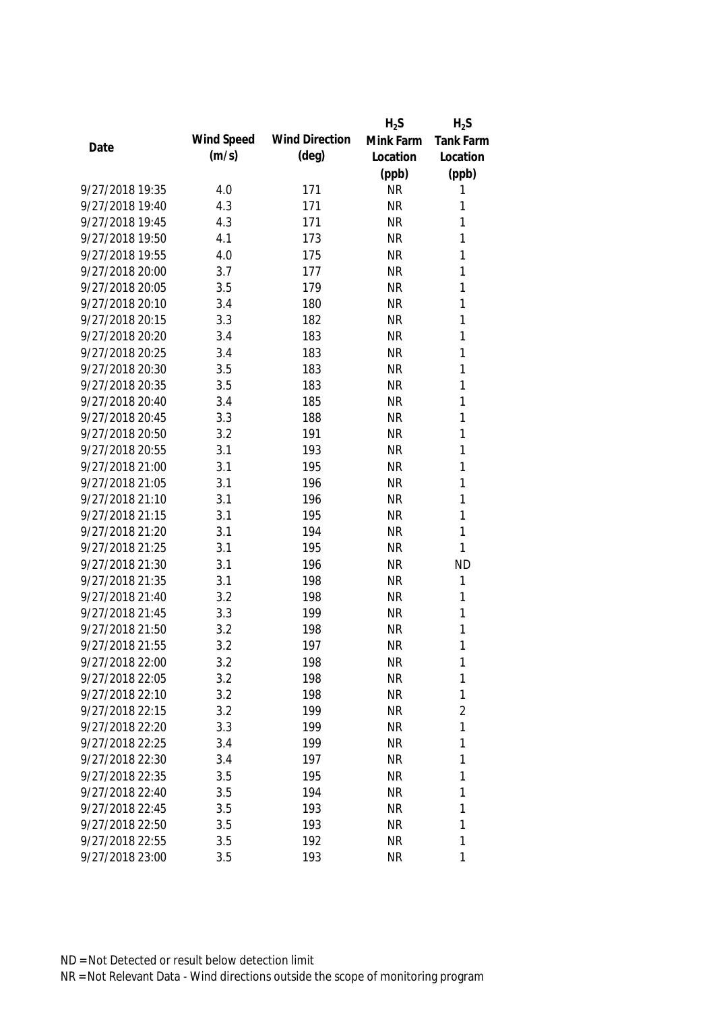|                 |            |                       | $H_2S$    | $H_2S$           |
|-----------------|------------|-----------------------|-----------|------------------|
| Date            | Wind Speed | <b>Wind Direction</b> | Mink Farm | <b>Tank Farm</b> |
|                 | (m/s)      | $(\text{deg})$        | Location  | Location         |
|                 |            |                       | (ppb)     | (ppb)            |
| 9/27/2018 19:35 | 4.0        | 171                   | <b>NR</b> | 1                |
| 9/27/2018 19:40 | 4.3        | 171                   | <b>NR</b> | 1                |
| 9/27/2018 19:45 | 4.3        | 171                   | <b>NR</b> | 1                |
| 9/27/2018 19:50 | 4.1        | 173                   | <b>NR</b> | 1                |
| 9/27/2018 19:55 | 4.0        | 175                   | <b>NR</b> | 1                |
| 9/27/2018 20:00 | 3.7        | 177                   | <b>NR</b> | 1                |
| 9/27/2018 20:05 | 3.5        | 179                   | <b>NR</b> | $\mathbf{1}$     |
| 9/27/2018 20:10 | 3.4        | 180                   | <b>NR</b> | 1                |
| 9/27/2018 20:15 | 3.3        | 182                   | <b>NR</b> | $\mathbf{1}$     |
| 9/27/2018 20:20 | 3.4        | 183                   | <b>NR</b> | 1                |
| 9/27/2018 20:25 | 3.4        | 183                   | <b>NR</b> | 1                |
| 9/27/2018 20:30 | 3.5        | 183                   | <b>NR</b> | $\mathbf{1}$     |
| 9/27/2018 20:35 | 3.5        | 183                   | <b>NR</b> | 1                |
| 9/27/2018 20:40 | 3.4        | 185                   | <b>NR</b> | $\mathbf{1}$     |
| 9/27/2018 20:45 | 3.3        | 188                   | <b>NR</b> | $\mathbf{1}$     |
| 9/27/2018 20:50 | 3.2        | 191                   | <b>NR</b> | $\mathbf{1}$     |
| 9/27/2018 20:55 | 3.1        | 193                   | <b>NR</b> | 1                |
| 9/27/2018 21:00 | 3.1        | 195                   | <b>NR</b> | 1                |
| 9/27/2018 21:05 | 3.1        | 196                   | <b>NR</b> | 1                |
| 9/27/2018 21:10 | 3.1        | 196                   | <b>NR</b> | 1                |
| 9/27/2018 21:15 | 3.1        | 195                   | <b>NR</b> | 1                |
| 9/27/2018 21:20 | 3.1        | 194                   | <b>NR</b> | $\mathbf{1}$     |
| 9/27/2018 21:25 | 3.1        | 195                   | <b>NR</b> | 1                |
| 9/27/2018 21:30 | 3.1        | 196                   | <b>NR</b> | <b>ND</b>        |
| 9/27/2018 21:35 | 3.1        | 198                   | <b>NR</b> | $\mathbf{1}$     |
| 9/27/2018 21:40 | 3.2        | 198                   | <b>NR</b> | 1                |
| 9/27/2018 21:45 | 3.3        | 199                   | <b>NR</b> | 1                |
| 9/27/2018 21:50 | 3.2        | 198                   | <b>NR</b> | 1                |
| 9/27/2018 21:55 | 3.2        | 197                   | <b>NR</b> | 1                |
| 9/27/2018 22:00 | 3.2        | 198                   | <b>NR</b> | 1                |
| 9/27/2018 22:05 | 3.2        | 198                   | <b>NR</b> | 1                |
| 9/27/2018 22:10 | 3.2        | 198                   | <b>NR</b> | 1                |
| 9/27/2018 22:15 | 3.2        | 199                   | <b>NR</b> | 2                |
| 9/27/2018 22:20 | 3.3        | 199                   | <b>NR</b> | 1                |
| 9/27/2018 22:25 | 3.4        | 199                   | <b>NR</b> | 1                |
| 9/27/2018 22:30 | 3.4        | 197                   | <b>NR</b> | 1                |
| 9/27/2018 22:35 | 3.5        | 195                   | <b>NR</b> | 1                |
| 9/27/2018 22:40 | 3.5        | 194                   | <b>NR</b> | 1                |
| 9/27/2018 22:45 | 3.5        | 193                   | <b>NR</b> | 1                |
| 9/27/2018 22:50 | 3.5        | 193                   | <b>NR</b> | 1                |
| 9/27/2018 22:55 | 3.5        | 192                   | <b>NR</b> | 1                |
| 9/27/2018 23:00 | 3.5        | 193                   | <b>NR</b> | 1                |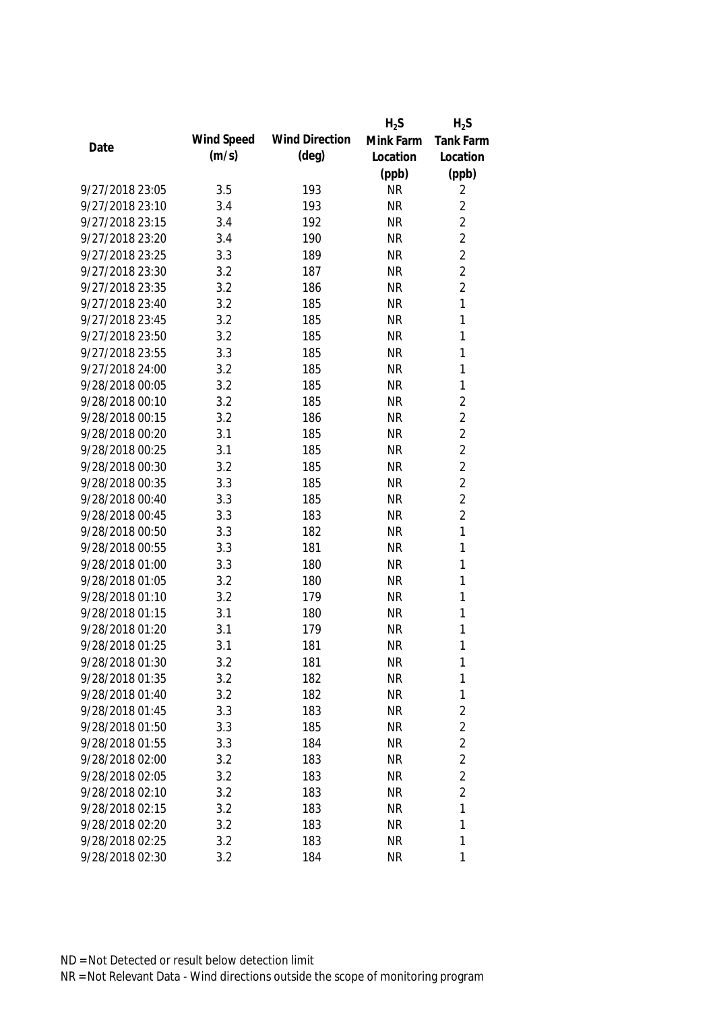|                 |            |                       | $H_2S$    | $H_2S$         |
|-----------------|------------|-----------------------|-----------|----------------|
| Date            | Wind Speed | <b>Wind Direction</b> | Mink Farm | Tank Farm      |
|                 | (m/s)      | (deg)                 | Location  | Location       |
|                 |            |                       | (ppb)     | (ppb)          |
| 9/27/2018 23:05 | 3.5        | 193                   | <b>NR</b> | 2              |
| 9/27/2018 23:10 | 3.4        | 193                   | <b>NR</b> | $\overline{2}$ |
| 9/27/2018 23:15 | 3.4        | 192                   | <b>NR</b> | $\overline{2}$ |
| 9/27/2018 23:20 | 3.4        | 190                   | <b>NR</b> | $\overline{2}$ |
| 9/27/2018 23:25 | 3.3        | 189                   | <b>NR</b> | $\overline{2}$ |
| 9/27/2018 23:30 | 3.2        | 187                   | <b>NR</b> | $\overline{2}$ |
| 9/27/2018 23:35 | 3.2        | 186                   | <b>NR</b> | $\overline{2}$ |
| 9/27/2018 23:40 | 3.2        | 185                   | <b>NR</b> | $\mathbf{1}$   |
| 9/27/2018 23:45 | 3.2        | 185                   | <b>NR</b> | $\mathbf{1}$   |
| 9/27/2018 23:50 | 3.2        | 185                   | <b>NR</b> | 1              |
| 9/27/2018 23:55 | 3.3        | 185                   | <b>NR</b> | $\mathbf{1}$   |
| 9/27/2018 24:00 | 3.2        | 185                   | <b>NR</b> | 1              |
| 9/28/2018 00:05 | 3.2        | 185                   | <b>NR</b> | 1              |
| 9/28/2018 00:10 | 3.2        | 185                   | <b>NR</b> | $\overline{2}$ |
| 9/28/2018 00:15 | 3.2        | 186                   | <b>NR</b> | $\overline{2}$ |
| 9/28/2018 00:20 | 3.1        | 185                   | <b>NR</b> | $\overline{2}$ |
| 9/28/2018 00:25 | 3.1        | 185                   | <b>NR</b> | $\overline{2}$ |
| 9/28/2018 00:30 | 3.2        | 185                   | <b>NR</b> | $\overline{2}$ |
| 9/28/2018 00:35 | 3.3        | 185                   | <b>NR</b> | $\overline{2}$ |
| 9/28/2018 00:40 | 3.3        | 185                   | <b>NR</b> | $\overline{2}$ |
| 9/28/2018 00:45 | 3.3        | 183                   | <b>NR</b> | $\overline{2}$ |
| 9/28/2018 00:50 | 3.3        | 182                   | <b>NR</b> | $\mathbf{1}$   |
| 9/28/2018 00:55 | 3.3        | 181                   | <b>NR</b> | $\mathbf{1}$   |
| 9/28/2018 01:00 | 3.3        | 180                   | <b>NR</b> | 1              |
| 9/28/2018 01:05 | 3.2        | 180                   | <b>NR</b> | $\mathbf{1}$   |
| 9/28/2018 01:10 | 3.2        | 179                   | <b>NR</b> | 1              |
| 9/28/2018 01:15 | 3.1        | 180                   | <b>NR</b> | 1              |
| 9/28/2018 01:20 | 3.1        | 179                   | <b>NR</b> | 1              |
| 9/28/2018 01:25 | 3.1        | 181                   | <b>NR</b> | 1              |
| 9/28/2018 01:30 | 3.2        | 181                   | <b>NR</b> | 1              |
| 9/28/2018 01:35 | 3.2        | 182                   | <b>NR</b> | 1              |
| 9/28/2018 01:40 | 3.2        | 182                   | <b>NR</b> | 1              |
| 9/28/2018 01:45 | 3.3        | 183                   | <b>NR</b> | $\overline{2}$ |
| 9/28/2018 01:50 | 3.3        | 185                   | <b>NR</b> | $\overline{2}$ |
| 9/28/2018 01:55 | 3.3        | 184                   | <b>NR</b> | $\overline{2}$ |
| 9/28/2018 02:00 | 3.2        | 183                   | <b>NR</b> | $\overline{2}$ |
| 9/28/2018 02:05 | 3.2        | 183                   | <b>NR</b> | $\overline{2}$ |
| 9/28/2018 02:10 | 3.2        | 183                   | <b>NR</b> | $\overline{2}$ |
| 9/28/2018 02:15 | 3.2        | 183                   | <b>NR</b> | 1              |
| 9/28/2018 02:20 | 3.2        | 183                   | <b>NR</b> | 1              |
| 9/28/2018 02:25 | 3.2        | 183                   | <b>NR</b> | 1              |
| 9/28/2018 02:30 | 3.2        | 184                   | <b>NR</b> | 1              |
|                 |            |                       |           |                |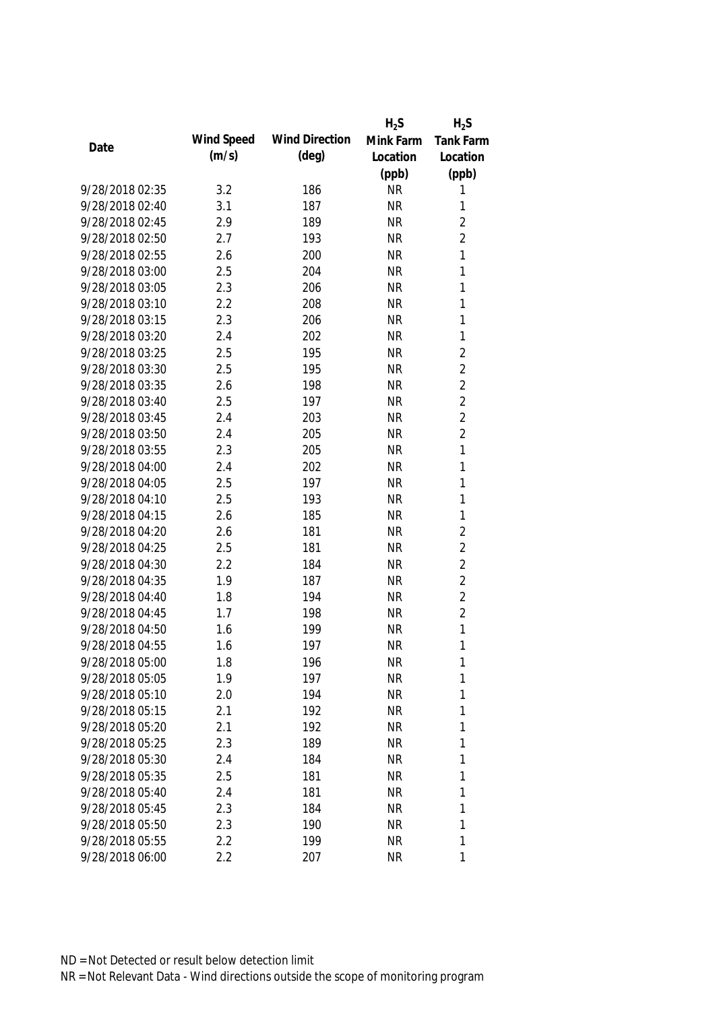|                 |            |                       | $H_2S$    | $H_2S$         |
|-----------------|------------|-----------------------|-----------|----------------|
| Date            | Wind Speed | <b>Wind Direction</b> | Mink Farm | Tank Farm      |
|                 | (m/s)      | (deg)                 | Location  | Location       |
|                 |            |                       | (ppb)     | (ppb)          |
| 9/28/2018 02:35 | 3.2        | 186                   | <b>NR</b> | 1              |
| 9/28/2018 02:40 | 3.1        | 187                   | <b>NR</b> | 1              |
| 9/28/2018 02:45 | 2.9        | 189                   | <b>NR</b> | $\overline{2}$ |
| 9/28/2018 02:50 | 2.7        | 193                   | <b>NR</b> | $\overline{2}$ |
| 9/28/2018 02:55 | 2.6        | 200                   | <b>NR</b> | $\mathbf{1}$   |
| 9/28/2018 03:00 | 2.5        | 204                   | <b>NR</b> | 1              |
| 9/28/2018 03:05 | 2.3        | 206                   | <b>NR</b> | $\mathbf{1}$   |
| 9/28/2018 03:10 | 2.2        | 208                   | <b>NR</b> | 1              |
| 9/28/2018 03:15 | 2.3        | 206                   | <b>NR</b> | $\mathbf{1}$   |
| 9/28/2018 03:20 | 2.4        | 202                   | <b>NR</b> | 1              |
| 9/28/2018 03:25 | 2.5        | 195                   | <b>NR</b> | $\overline{2}$ |
| 9/28/2018 03:30 | 2.5        | 195                   | <b>NR</b> | $\overline{2}$ |
| 9/28/2018 03:35 | 2.6        | 198                   | <b>NR</b> | $\overline{2}$ |
| 9/28/2018 03:40 | 2.5        | 197                   | <b>NR</b> | $\overline{2}$ |
| 9/28/2018 03:45 | 2.4        | 203                   | <b>NR</b> | $\overline{2}$ |
| 9/28/2018 03:50 | 2.4        | 205                   | <b>NR</b> | $\overline{2}$ |
| 9/28/2018 03:55 | 2.3        | 205                   | <b>NR</b> | 1              |
| 9/28/2018 04:00 | 2.4        | 202                   | <b>NR</b> | 1              |
| 9/28/2018 04:05 | 2.5        | 197                   | <b>NR</b> | $\mathbf{1}$   |
| 9/28/2018 04:10 | 2.5        | 193                   | <b>NR</b> | 1              |
| 9/28/2018 04:15 | 2.6        | 185                   | <b>NR</b> | 1              |
| 9/28/2018 04:20 | 2.6        | 181                   | <b>NR</b> | $\overline{2}$ |
| 9/28/2018 04:25 | 2.5        | 181                   | <b>NR</b> | $\overline{2}$ |
| 9/28/2018 04:30 | 2.2        | 184                   | <b>NR</b> | $\overline{2}$ |
| 9/28/2018 04:35 | 1.9        | 187                   | <b>NR</b> | $\overline{2}$ |
| 9/28/2018 04:40 | 1.8        | 194                   | <b>NR</b> | $\overline{2}$ |
| 9/28/2018 04:45 | 1.7        | 198                   | <b>NR</b> | $\overline{2}$ |
| 9/28/2018 04:50 | 1.6        | 199                   | <b>NR</b> | $\mathbf{1}$   |
| 9/28/2018 04:55 | 1.6        | 197                   | <b>NR</b> | 1              |
| 9/28/2018 05:00 | 1.8        | 196                   | <b>NR</b> | 1              |
| 9/28/2018 05:05 | 1.9        | 197                   | <b>NR</b> | 1              |
| 9/28/2018 05:10 | 2.0        | 194                   | <b>NR</b> | 1              |
| 9/28/2018 05:15 | 2.1        | 192                   | <b>NR</b> | 1              |
| 9/28/2018 05:20 | 2.1        | 192                   | <b>NR</b> | 1              |
| 9/28/2018 05:25 | 2.3        | 189                   | <b>NR</b> | 1              |
| 9/28/2018 05:30 | 2.4        | 184                   | <b>NR</b> | 1              |
| 9/28/2018 05:35 | 2.5        | 181                   | <b>NR</b> | 1              |
| 9/28/2018 05:40 | 2.4        | 181                   | <b>NR</b> | 1              |
| 9/28/2018 05:45 | 2.3        | 184                   | <b>NR</b> | 1              |
| 9/28/2018 05:50 | 2.3        | 190                   | <b>NR</b> | 1              |
| 9/28/2018 05:55 | 2.2        | 199                   | <b>NR</b> | 1              |
| 9/28/2018 06:00 | 2.2        | 207                   | <b>NR</b> | 1              |
|                 |            |                       |           |                |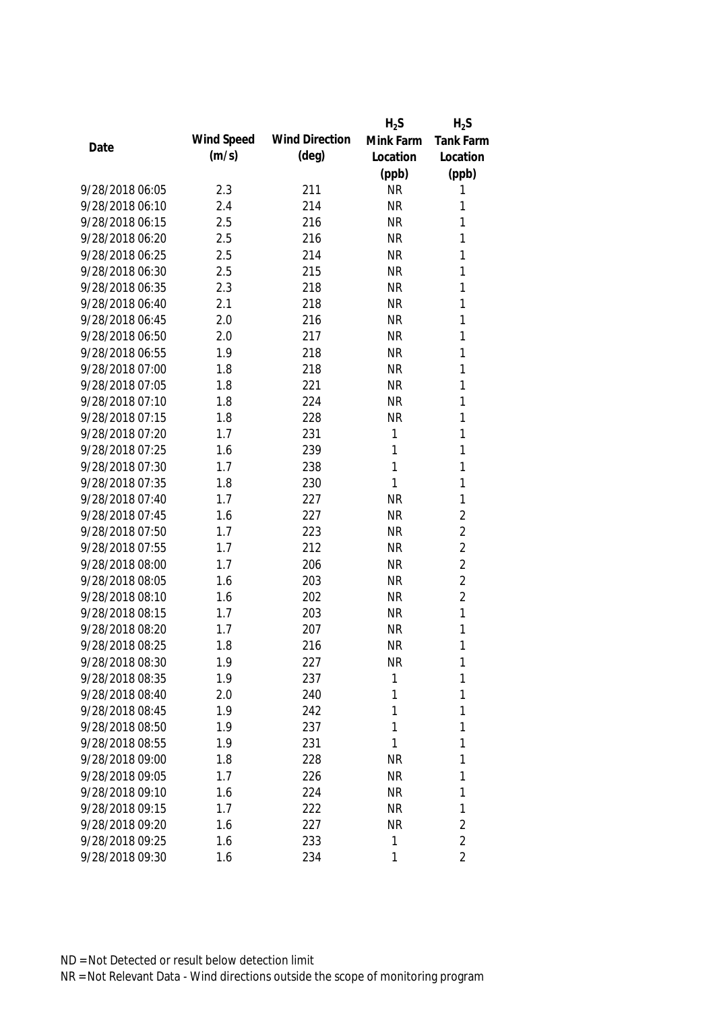|                 |            |                       | $H_2S$    | $H_2S$           |
|-----------------|------------|-----------------------|-----------|------------------|
| Date            | Wind Speed | <b>Wind Direction</b> | Mink Farm | <b>Tank Farm</b> |
|                 | (m/s)      | (deg)                 | Location  | Location         |
|                 |            |                       | (ppb)     | (ppb)            |
| 9/28/2018 06:05 | 2.3        | 211                   | <b>NR</b> | 1                |
| 9/28/2018 06:10 | 2.4        | 214                   | <b>NR</b> | 1                |
| 9/28/2018 06:15 | 2.5        | 216                   | <b>NR</b> | 1                |
| 9/28/2018 06:20 | 2.5        | 216                   | <b>NR</b> | 1                |
| 9/28/2018 06:25 | 2.5        | 214                   | <b>NR</b> | 1                |
| 9/28/2018 06:30 | 2.5        | 215                   | <b>NR</b> | 1                |
| 9/28/2018 06:35 | 2.3        | 218                   | <b>NR</b> | 1                |
| 9/28/2018 06:40 | 2.1        | 218                   | <b>NR</b> | 1                |
| 9/28/2018 06:45 | 2.0        | 216                   | <b>NR</b> | 1                |
| 9/28/2018 06:50 | 2.0        | 217                   | <b>NR</b> | 1                |
| 9/28/2018 06:55 | 1.9        | 218                   | <b>NR</b> | $\mathbf{1}$     |
| 9/28/2018 07:00 | 1.8        | 218                   | <b>NR</b> | 1                |
| 9/28/2018 07:05 | 1.8        | 221                   | <b>NR</b> | 1                |
| 9/28/2018 07:10 | 1.8        | 224                   | <b>NR</b> | $\mathbf{1}$     |
| 9/28/2018 07:15 | 1.8        | 228                   | <b>NR</b> | $\mathbf{1}$     |
| 9/28/2018 07:20 | 1.7        | 231                   | 1         | $\mathbf{1}$     |
| 9/28/2018 07:25 | 1.6        | 239                   | 1         | 1                |
| 9/28/2018 07:30 | 1.7        | 238                   | 1         | 1                |
| 9/28/2018 07:35 | 1.8        | 230                   | 1         | 1                |
| 9/28/2018 07:40 | 1.7        | 227                   | <b>NR</b> | 1                |
| 9/28/2018 07:45 | 1.6        | 227                   | <b>NR</b> | $\overline{2}$   |
| 9/28/2018 07:50 | 1.7        | 223                   | <b>NR</b> | $\overline{2}$   |
| 9/28/2018 07:55 | 1.7        | 212                   | <b>NR</b> | $\overline{2}$   |
| 9/28/2018 08:00 | 1.7        | 206                   | <b>NR</b> | $\overline{2}$   |
| 9/28/2018 08:05 | 1.6        | 203                   | <b>NR</b> | $\overline{2}$   |
| 9/28/2018 08:10 | 1.6        | 202                   | <b>NR</b> | $\overline{2}$   |
| 9/28/2018 08:15 | 1.7        | 203                   | <b>NR</b> | 1                |
| 9/28/2018 08:20 | 1.7        | 207                   | <b>NR</b> | 1                |
| 9/28/2018 08:25 | 1.8        | 216                   | <b>NR</b> | 1                |
| 9/28/2018 08:30 | 1.9        | 227                   | <b>NR</b> | 1                |
| 9/28/2018 08:35 | 1.9        | 237                   | 1         | 1                |
| 9/28/2018 08:40 | 2.0        | 240                   | 1         | 1                |
| 9/28/2018 08:45 | 1.9        | 242                   | 1         | 1                |
| 9/28/2018 08:50 | 1.9        | 237                   | 1         | 1                |
| 9/28/2018 08:55 | 1.9        | 231                   | 1         | 1                |
| 9/28/2018 09:00 | 1.8        | 228                   | <b>NR</b> | 1                |
| 9/28/2018 09:05 | 1.7        | 226                   | <b>NR</b> | 1                |
| 9/28/2018 09:10 | 1.6        | 224                   | <b>NR</b> | 1                |
| 9/28/2018 09:15 | 1.7        | 222                   | <b>NR</b> | 1                |
| 9/28/2018 09:20 | 1.6        | 227                   | <b>NR</b> | $\overline{2}$   |
| 9/28/2018 09:25 | 1.6        | 233                   | 1         | $\overline{2}$   |
| 9/28/2018 09:30 | 1.6        | 234                   | 1         | $\overline{2}$   |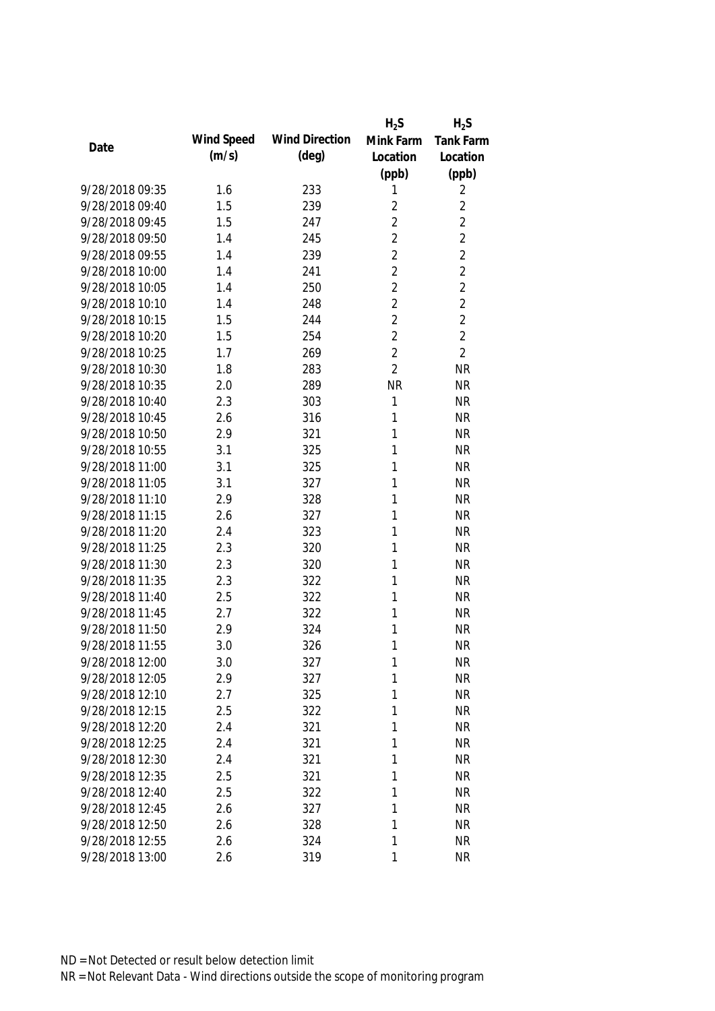|                 |            |                       | $H_2S$         | $H_2S$         |
|-----------------|------------|-----------------------|----------------|----------------|
| Date            | Wind Speed | <b>Wind Direction</b> | Mink Farm      | Tank Farm      |
|                 | (m/s)      | $(\text{deg})$        | Location       | Location       |
|                 |            |                       | (ppb)          | (ppb)          |
| 9/28/2018 09:35 | 1.6        | 233                   | 1              | 2              |
| 9/28/2018 09:40 | 1.5        | 239                   | $\overline{2}$ | $\overline{2}$ |
| 9/28/2018 09:45 | 1.5        | 247                   | $\overline{2}$ | $\overline{2}$ |
| 9/28/2018 09:50 | 1.4        | 245                   | $\overline{2}$ | $\overline{2}$ |
| 9/28/2018 09:55 | 1.4        | 239                   | $\overline{2}$ | $\overline{2}$ |
| 9/28/2018 10:00 | 1.4        | 241                   | $\overline{2}$ | $\overline{2}$ |
| 9/28/2018 10:05 | 1.4        | 250                   | $\overline{2}$ | $\overline{2}$ |
| 9/28/2018 10:10 | 1.4        | 248                   | $\overline{2}$ | $\overline{2}$ |
| 9/28/2018 10:15 | 1.5        | 244                   | $\overline{2}$ | $\overline{2}$ |
| 9/28/2018 10:20 | 1.5        | 254                   | $\overline{2}$ | $\overline{2}$ |
| 9/28/2018 10:25 | 1.7        | 269                   | $\overline{2}$ | $\overline{2}$ |
| 9/28/2018 10:30 | 1.8        | 283                   | $\overline{2}$ | <b>NR</b>      |
| 9/28/2018 10:35 | 2.0        | 289                   | <b>NR</b>      | <b>NR</b>      |
| 9/28/2018 10:40 | 2.3        | 303                   | 1              | <b>NR</b>      |
| 9/28/2018 10:45 | 2.6        | 316                   | 1              | <b>NR</b>      |
| 9/28/2018 10:50 | 2.9        | 321                   | 1              | <b>NR</b>      |
| 9/28/2018 10:55 | 3.1        | 325                   | 1              | <b>NR</b>      |
| 9/28/2018 11:00 | 3.1        | 325                   | 1              | <b>NR</b>      |
| 9/28/2018 11:05 | 3.1        | 327                   | 1              | <b>NR</b>      |
| 9/28/2018 11:10 | 2.9        | 328                   | 1              | <b>NR</b>      |
| 9/28/2018 11:15 | 2.6        | 327                   | 1              | <b>NR</b>      |
| 9/28/2018 11:20 | 2.4        | 323                   | 1              | <b>NR</b>      |
| 9/28/2018 11:25 | 2.3        | 320                   | 1              | <b>NR</b>      |
| 9/28/2018 11:30 | 2.3        | 320                   | 1              | <b>NR</b>      |
| 9/28/2018 11:35 | 2.3        | 322                   | 1              | <b>NR</b>      |
| 9/28/2018 11:40 | 2.5        | 322                   | 1              | <b>NR</b>      |
| 9/28/2018 11:45 | 2.7        | 322                   | 1              | <b>NR</b>      |
| 9/28/2018 11:50 | 2.9        | 324                   | 1              | <b>NR</b>      |
| 9/28/2018 11:55 | 3.0        | 326                   | 1              | <b>NR</b>      |
| 9/28/2018 12:00 | 3.0        | 327                   | 1              | <b>NR</b>      |
| 9/28/2018 12:05 | 2.9        | 327                   | 1              | <b>NR</b>      |
| 9/28/2018 12:10 | 2.7        | 325                   | 1              | <b>NR</b>      |
| 9/28/2018 12:15 | 2.5        | 322                   | 1              | <b>NR</b>      |
| 9/28/2018 12:20 | 2.4        | 321                   | 1              | <b>NR</b>      |
| 9/28/2018 12:25 | 2.4        | 321                   | 1              | <b>NR</b>      |
| 9/28/2018 12:30 | 2.4        | 321                   | 1              | <b>NR</b>      |
| 9/28/2018 12:35 | 2.5        | 321                   | 1              | <b>NR</b>      |
| 9/28/2018 12:40 | 2.5        | 322                   | 1              | <b>NR</b>      |
| 9/28/2018 12:45 | 2.6        | 327                   | 1              | <b>NR</b>      |
| 9/28/2018 12:50 | 2.6        | 328                   | 1              | <b>NR</b>      |
| 9/28/2018 12:55 | 2.6        | 324                   | 1              | <b>NR</b>      |
| 9/28/2018 13:00 | 2.6        | 319                   | 1              | <b>NR</b>      |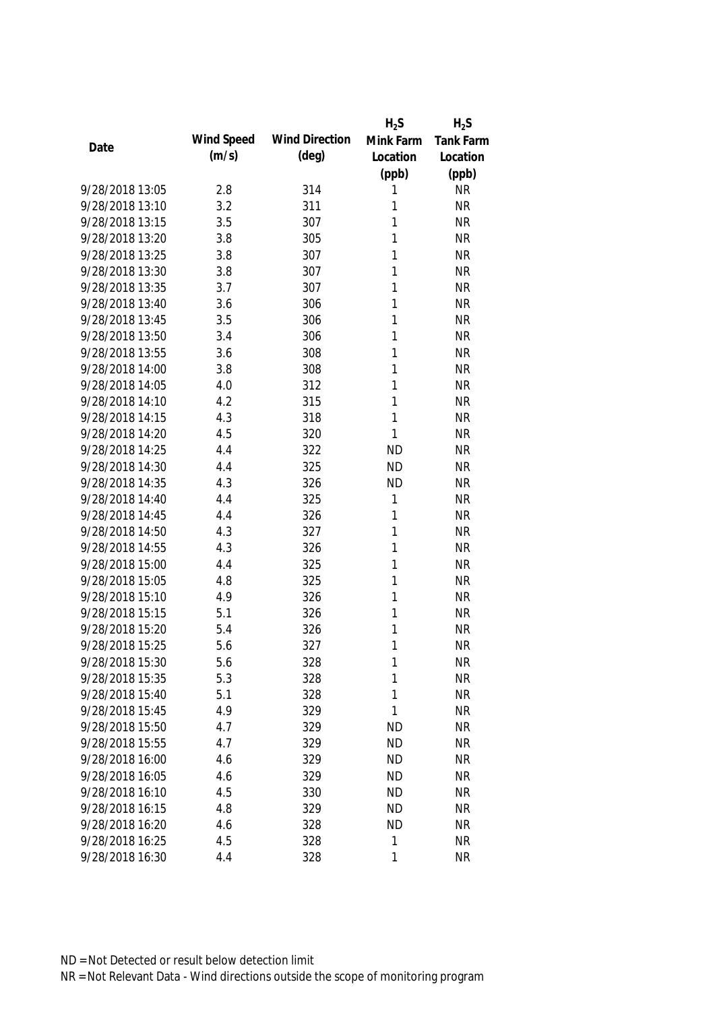|                 |            |                       | $H_2S$    | $H_2S$    |
|-----------------|------------|-----------------------|-----------|-----------|
| Date            | Wind Speed | <b>Wind Direction</b> | Mink Farm | Tank Farm |
|                 | (m/s)      | $(\text{deg})$        | Location  | Location  |
|                 |            |                       | (ppb)     | (ppb)     |
| 9/28/2018 13:05 | 2.8        | 314                   | 1         | <b>NR</b> |
| 9/28/2018 13:10 | 3.2        | 311                   | 1         | <b>NR</b> |
| 9/28/2018 13:15 | 3.5        | 307                   | 1         | <b>NR</b> |
| 9/28/2018 13:20 | 3.8        | 305                   | 1         | <b>NR</b> |
| 9/28/2018 13:25 | 3.8        | 307                   | 1         | <b>NR</b> |
| 9/28/2018 13:30 | 3.8        | 307                   | 1         | <b>NR</b> |
| 9/28/2018 13:35 | 3.7        | 307                   | 1         | <b>NR</b> |
| 9/28/2018 13:40 | 3.6        | 306                   | 1         | <b>NR</b> |
| 9/28/2018 13:45 | 3.5        | 306                   | 1         | <b>NR</b> |
| 9/28/2018 13:50 | 3.4        | 306                   | 1         | <b>NR</b> |
| 9/28/2018 13:55 | 3.6        | 308                   | 1         | <b>NR</b> |
| 9/28/2018 14:00 | 3.8        | 308                   | 1         | <b>NR</b> |
| 9/28/2018 14:05 | 4.0        | 312                   | 1         | <b>NR</b> |
| 9/28/2018 14:10 | 4.2        | 315                   | 1         | <b>NR</b> |
| 9/28/2018 14:15 | 4.3        | 318                   | 1         | <b>NR</b> |
| 9/28/2018 14:20 | 4.5        | 320                   | 1         | <b>NR</b> |
| 9/28/2018 14:25 | 4.4        | 322                   | <b>ND</b> | <b>NR</b> |
| 9/28/2018 14:30 | 4.4        | 325                   | <b>ND</b> | <b>NR</b> |
| 9/28/2018 14:35 | 4.3        | 326                   | <b>ND</b> | <b>NR</b> |
| 9/28/2018 14:40 | 4.4        | 325                   | 1         | <b>NR</b> |
| 9/28/2018 14:45 | 4.4        | 326                   | 1         | <b>NR</b> |
| 9/28/2018 14:50 | 4.3        | 327                   | 1         | <b>NR</b> |
| 9/28/2018 14:55 | 4.3        | 326                   | 1         | <b>NR</b> |
| 9/28/2018 15:00 | 4.4        | 325                   | 1         | <b>NR</b> |
| 9/28/2018 15:05 | 4.8        | 325                   | 1         | <b>NR</b> |
| 9/28/2018 15:10 | 4.9        | 326                   | 1         | <b>NR</b> |
| 9/28/2018 15:15 | 5.1        | 326                   | 1         | <b>NR</b> |
| 9/28/2018 15:20 | 5.4        | 326                   | 1         | <b>NR</b> |
| 9/28/2018 15:25 | 5.6        | 327                   | 1         | <b>NR</b> |
| 9/28/2018 15:30 | 5.6        | 328                   | 1         | <b>NR</b> |
| 9/28/2018 15:35 | 5.3        | 328                   | 1         | <b>NR</b> |
| 9/28/2018 15:40 | 5.1        | 328                   | 1         | <b>NR</b> |
| 9/28/2018 15:45 | 4.9        | 329                   | 1         | <b>NR</b> |
| 9/28/2018 15:50 | 4.7        | 329                   | <b>ND</b> | <b>NR</b> |
| 9/28/2018 15:55 | 4.7        | 329                   | <b>ND</b> | <b>NR</b> |
| 9/28/2018 16:00 | 4.6        | 329                   | <b>ND</b> | <b>NR</b> |
| 9/28/2018 16:05 | 4.6        | 329                   | <b>ND</b> | <b>NR</b> |
| 9/28/2018 16:10 | 4.5        | 330                   | <b>ND</b> | NR        |
| 9/28/2018 16:15 | 4.8        | 329                   | <b>ND</b> | <b>NR</b> |
| 9/28/2018 16:20 | 4.6        | 328                   | <b>ND</b> | <b>NR</b> |
| 9/28/2018 16:25 | 4.5        | 328                   | 1         | <b>NR</b> |
| 9/28/2018 16:30 | 4.4        | 328                   | 1         | <b>NR</b> |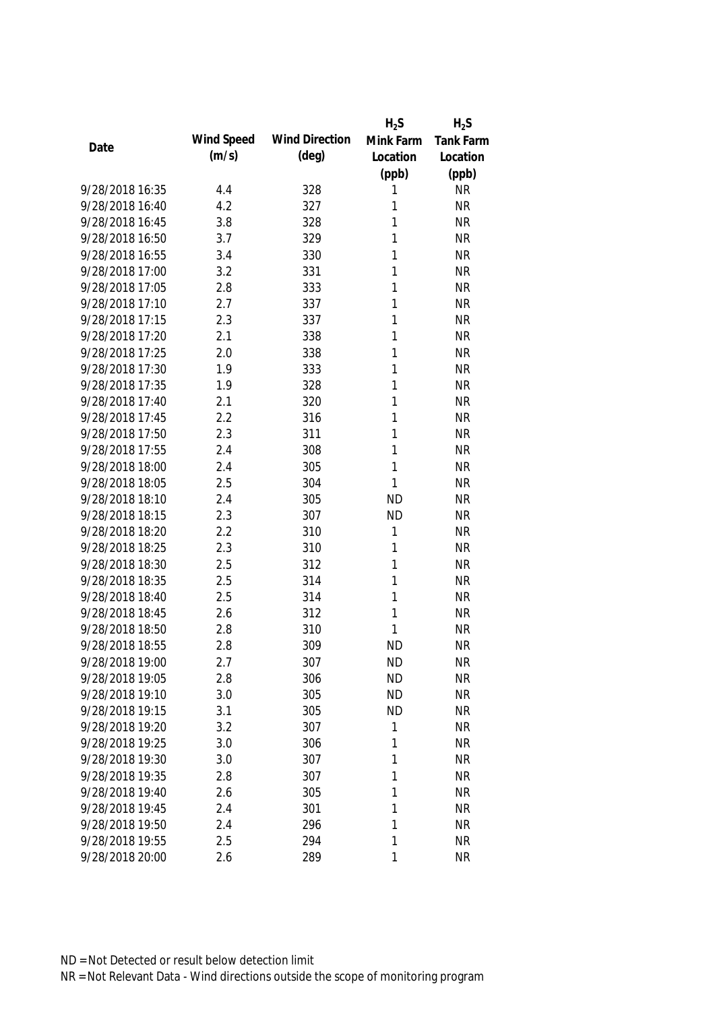|                 |            |                       | $H_2S$    | $H_2S$           |
|-----------------|------------|-----------------------|-----------|------------------|
| Date            | Wind Speed | <b>Wind Direction</b> | Mink Farm | <b>Tank Farm</b> |
|                 | (m/s)      | $(\text{deg})$        | Location  | Location         |
|                 |            |                       | (ppb)     | (ppb)            |
| 9/28/2018 16:35 | 4.4        | 328                   | 1         | <b>NR</b>        |
| 9/28/2018 16:40 | 4.2        | 327                   | 1         | <b>NR</b>        |
| 9/28/2018 16:45 | 3.8        | 328                   | 1         | <b>NR</b>        |
| 9/28/2018 16:50 | 3.7        | 329                   | 1         | <b>NR</b>        |
| 9/28/2018 16:55 | 3.4        | 330                   | 1         | <b>NR</b>        |
| 9/28/2018 17:00 | 3.2        | 331                   | 1         | <b>NR</b>        |
| 9/28/2018 17:05 | 2.8        | 333                   | 1         | <b>NR</b>        |
| 9/28/2018 17:10 | 2.7        | 337                   | 1         | <b>NR</b>        |
| 9/28/2018 17:15 | 2.3        | 337                   | 1         | <b>NR</b>        |
| 9/28/2018 17:20 | 2.1        | 338                   | 1         | <b>NR</b>        |
| 9/28/2018 17:25 | 2.0        | 338                   | 1         | <b>NR</b>        |
| 9/28/2018 17:30 | 1.9        | 333                   | 1         | <b>NR</b>        |
| 9/28/2018 17:35 | 1.9        | 328                   | 1         | <b>NR</b>        |
| 9/28/2018 17:40 | 2.1        | 320                   | 1         | <b>NR</b>        |
| 9/28/2018 17:45 | 2.2        | 316                   | 1         | <b>NR</b>        |
| 9/28/2018 17:50 | 2.3        | 311                   | 1         | <b>NR</b>        |
| 9/28/2018 17:55 | 2.4        | 308                   | 1         | <b>NR</b>        |
| 9/28/2018 18:00 | 2.4        | 305                   | 1         | <b>NR</b>        |
| 9/28/2018 18:05 | 2.5        | 304                   | 1         | <b>NR</b>        |
| 9/28/2018 18:10 | 2.4        | 305                   | <b>ND</b> | <b>NR</b>        |
| 9/28/2018 18:15 | 2.3        | 307                   | <b>ND</b> | <b>NR</b>        |
| 9/28/2018 18:20 | 2.2        | 310                   | 1         | <b>NR</b>        |
| 9/28/2018 18:25 | 2.3        | 310                   | 1         | <b>NR</b>        |
| 9/28/2018 18:30 | 2.5        | 312                   | 1         | <b>NR</b>        |
| 9/28/2018 18:35 | 2.5        | 314                   | 1         | <b>NR</b>        |
| 9/28/2018 18:40 | 2.5        | 314                   | 1         | <b>NR</b>        |
| 9/28/2018 18:45 | 2.6        | 312                   | 1         | <b>NR</b>        |
| 9/28/2018 18:50 | 2.8        | 310                   | 1         | <b>NR</b>        |
| 9/28/2018 18:55 | 2.8        | 309                   | <b>ND</b> | <b>NR</b>        |
| 9/28/2018 19:00 | 2.7        | 307                   | <b>ND</b> | <b>NR</b>        |
| 9/28/2018 19:05 | 2.8        | 306                   | <b>ND</b> | <b>NR</b>        |
| 9/28/2018 19:10 | 3.0        | 305                   | <b>ND</b> | <b>NR</b>        |
| 9/28/2018 19:15 | 3.1        | 305                   | <b>ND</b> | <b>NR</b>        |
| 9/28/2018 19:20 | 3.2        | 307                   | 1         | <b>NR</b>        |
| 9/28/2018 19:25 | 3.0        | 306                   | 1         | <b>NR</b>        |
| 9/28/2018 19:30 | 3.0        | 307                   | 1         | <b>NR</b>        |
| 9/28/2018 19:35 | 2.8        | 307                   | 1         | <b>NR</b>        |
| 9/28/2018 19:40 | 2.6        | 305                   | 1         | <b>NR</b>        |
| 9/28/2018 19:45 | 2.4        | 301                   | 1         | <b>NR</b>        |
| 9/28/2018 19:50 | 2.4        | 296                   | 1         | <b>NR</b>        |
| 9/28/2018 19:55 | 2.5        | 294                   | 1         | <b>NR</b>        |
| 9/28/2018 20:00 | 2.6        | 289                   | 1         | <b>NR</b>        |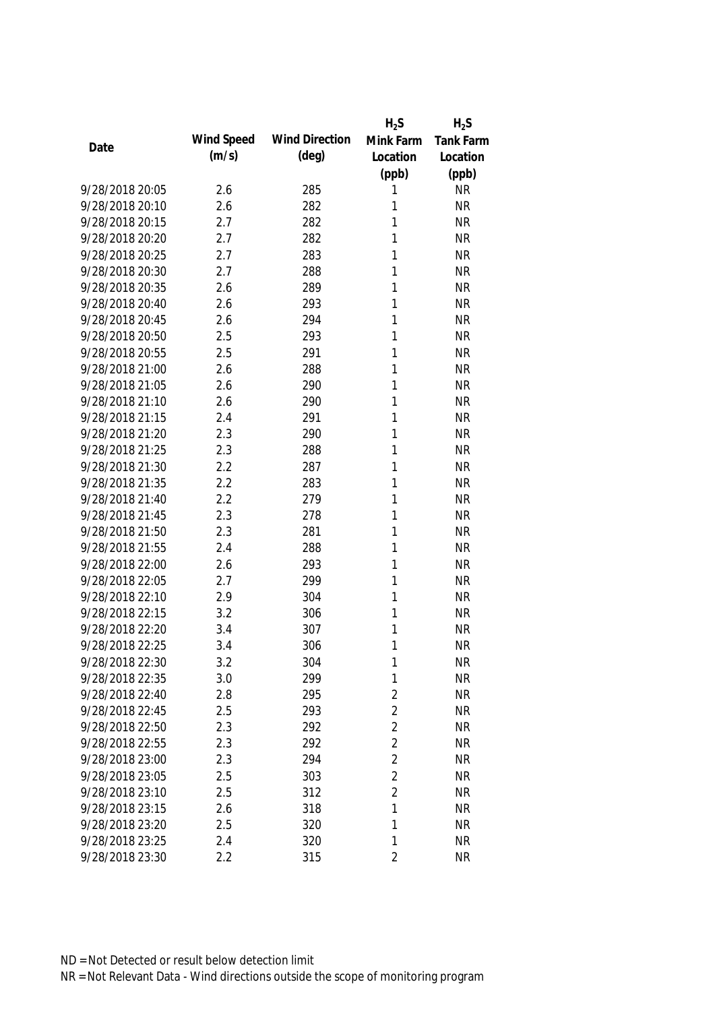|                 |            |                       | $H_2S$         | $H_2S$    |
|-----------------|------------|-----------------------|----------------|-----------|
| Date            | Wind Speed | <b>Wind Direction</b> | Mink Farm      | Tank Farm |
|                 | (m/s)      | $(\text{deg})$        | Location       | Location  |
|                 |            |                       | (ppb)          | (ppb)     |
| 9/28/2018 20:05 | 2.6        | 285                   | 1              | <b>NR</b> |
| 9/28/2018 20:10 | 2.6        | 282                   | 1              | <b>NR</b> |
| 9/28/2018 20:15 | 2.7        | 282                   | 1              | <b>NR</b> |
| 9/28/2018 20:20 | 2.7        | 282                   | 1              | <b>NR</b> |
| 9/28/2018 20:25 | 2.7        | 283                   | 1              | <b>NR</b> |
| 9/28/2018 20:30 | 2.7        | 288                   | 1              | <b>NR</b> |
| 9/28/2018 20:35 | 2.6        | 289                   | 1              | <b>NR</b> |
| 9/28/2018 20:40 | 2.6        | 293                   | 1              | <b>NR</b> |
| 9/28/2018 20:45 | 2.6        | 294                   | 1              | <b>NR</b> |
| 9/28/2018 20:50 | 2.5        | 293                   | 1              | <b>NR</b> |
| 9/28/2018 20:55 | 2.5        | 291                   | 1              | <b>NR</b> |
| 9/28/2018 21:00 | 2.6        | 288                   | 1              | <b>NR</b> |
| 9/28/2018 21:05 | 2.6        | 290                   | 1              | <b>NR</b> |
| 9/28/2018 21:10 | 2.6        | 290                   | 1              | <b>NR</b> |
| 9/28/2018 21:15 | 2.4        | 291                   | 1              | <b>NR</b> |
| 9/28/2018 21:20 | 2.3        | 290                   | 1              | <b>NR</b> |
| 9/28/2018 21:25 | 2.3        | 288                   | 1              | <b>NR</b> |
| 9/28/2018 21:30 | 2.2        | 287                   | 1              | <b>NR</b> |
| 9/28/2018 21:35 | 2.2        | 283                   | 1              | <b>NR</b> |
| 9/28/2018 21:40 | 2.2        | 279                   | 1              | <b>NR</b> |
| 9/28/2018 21:45 | 2.3        | 278                   | 1              | <b>NR</b> |
| 9/28/2018 21:50 | 2.3        | 281                   | 1              | <b>NR</b> |
| 9/28/2018 21:55 | 2.4        | 288                   | 1              | <b>NR</b> |
| 9/28/2018 22:00 | 2.6        | 293                   | 1              | <b>NR</b> |
| 9/28/2018 22:05 | 2.7        | 299                   | 1              | <b>NR</b> |
| 9/28/2018 22:10 | 2.9        | 304                   | 1              | <b>NR</b> |
| 9/28/2018 22:15 | 3.2        | 306                   | 1              | <b>NR</b> |
| 9/28/2018 22:20 | 3.4        | 307                   | 1              | <b>NR</b> |
| 9/28/2018 22:25 | 3.4        | 306                   | 1              | <b>NR</b> |
| 9/28/2018 22:30 | 3.2        | 304                   | 1              | <b>NR</b> |
| 9/28/2018 22:35 | 3.0        | 299                   | 1              | <b>NR</b> |
| 9/28/2018 22:40 | 2.8        | 295                   | $\overline{2}$ | <b>NR</b> |
| 9/28/2018 22:45 | 2.5        | 293                   | $\overline{2}$ | <b>NR</b> |
| 9/28/2018 22:50 | 2.3        | 292                   | $\overline{2}$ | <b>NR</b> |
| 9/28/2018 22:55 | 2.3        | 292                   | $\overline{2}$ | <b>NR</b> |
| 9/28/2018 23:00 | 2.3        | 294                   | $\overline{2}$ | <b>NR</b> |
| 9/28/2018 23:05 | 2.5        | 303                   | $\overline{2}$ | <b>NR</b> |
| 9/28/2018 23:10 | 2.5        | 312                   | $\overline{2}$ | <b>NR</b> |
| 9/28/2018 23:15 | 2.6        | 318                   | 1              | <b>NR</b> |
| 9/28/2018 23:20 | 2.5        | 320                   | 1              | <b>NR</b> |
| 9/28/2018 23:25 | 2.4        | 320                   | 1              | <b>NR</b> |
| 9/28/2018 23:30 | 2.2        | 315                   | $\overline{2}$ | <b>NR</b> |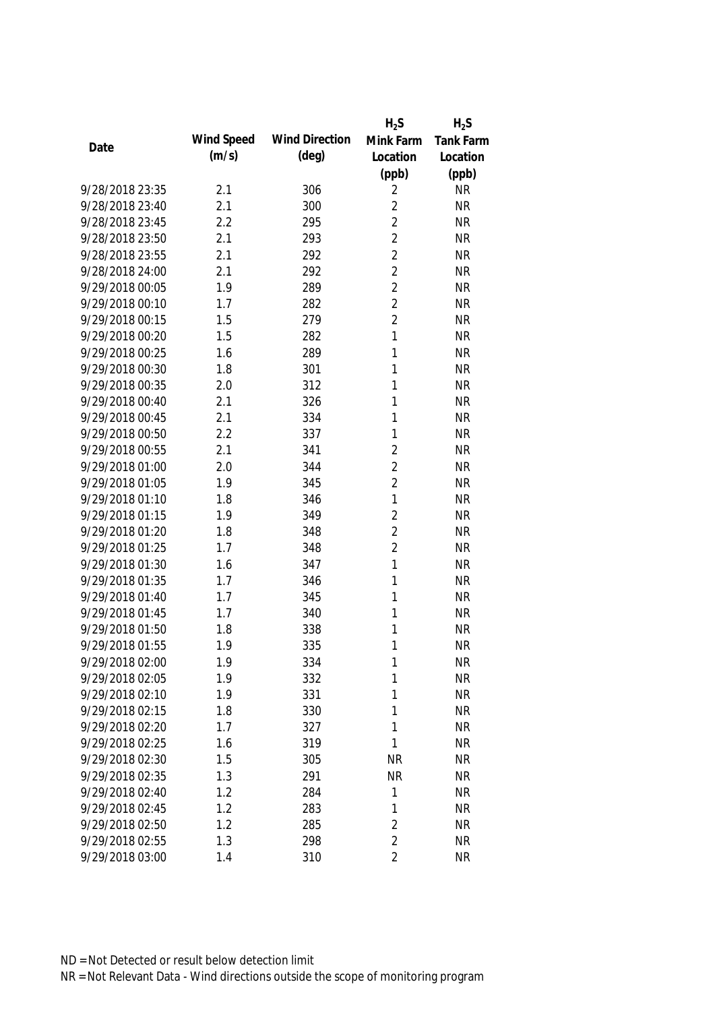|                 |            |                       | $H_2S$         | $H_2S$           |
|-----------------|------------|-----------------------|----------------|------------------|
| Date            | Wind Speed | <b>Wind Direction</b> | Mink Farm      | <b>Tank Farm</b> |
|                 | (m/s)      | $(\text{deg})$        | Location       | Location         |
|                 |            |                       | (ppb)          | (ppb)            |
| 9/28/2018 23:35 | 2.1        | 306                   | 2              | <b>NR</b>        |
| 9/28/2018 23:40 | 2.1        | 300                   | $\overline{2}$ | <b>NR</b>        |
| 9/28/2018 23:45 | 2.2        | 295                   | $\overline{2}$ | <b>NR</b>        |
| 9/28/2018 23:50 | 2.1        | 293                   | $\overline{2}$ | <b>NR</b>        |
| 9/28/2018 23:55 | 2.1        | 292                   | $\overline{2}$ | <b>NR</b>        |
| 9/28/2018 24:00 | 2.1        | 292                   | $\overline{2}$ | <b>NR</b>        |
| 9/29/2018 00:05 | 1.9        | 289                   | $\overline{2}$ | <b>NR</b>        |
| 9/29/2018 00:10 | 1.7        | 282                   | $\overline{2}$ | <b>NR</b>        |
| 9/29/2018 00:15 | 1.5        | 279                   | $\overline{2}$ | <b>NR</b>        |
| 9/29/2018 00:20 | 1.5        | 282                   | $\mathbf{1}$   | <b>NR</b>        |
| 9/29/2018 00:25 | 1.6        | 289                   | 1              | <b>NR</b>        |
| 9/29/2018 00:30 | 1.8        | 301                   | 1              | <b>NR</b>        |
| 9/29/2018 00:35 | 2.0        | 312                   | 1              | <b>NR</b>        |
| 9/29/2018 00:40 | 2.1        | 326                   | 1              | <b>NR</b>        |
| 9/29/2018 00:45 | 2.1        | 334                   | 1              | <b>NR</b>        |
| 9/29/2018 00:50 | 2.2        | 337                   | 1              | <b>NR</b>        |
| 9/29/2018 00:55 | 2.1        | 341                   | $\overline{2}$ | <b>NR</b>        |
| 9/29/2018 01:00 | 2.0        | 344                   | $\overline{2}$ | <b>NR</b>        |
| 9/29/2018 01:05 | 1.9        | 345                   | $\overline{2}$ | <b>NR</b>        |
| 9/29/2018 01:10 | 1.8        | 346                   | $\mathbf{1}$   | <b>NR</b>        |
| 9/29/2018 01:15 | 1.9        | 349                   | $\overline{2}$ | <b>NR</b>        |
| 9/29/2018 01:20 | 1.8        | 348                   | $\overline{2}$ | <b>NR</b>        |
| 9/29/2018 01:25 | 1.7        | 348                   | $\overline{2}$ | <b>NR</b>        |
| 9/29/2018 01:30 | 1.6        | 347                   | $\mathbf{1}$   | <b>NR</b>        |
| 9/29/2018 01:35 | 1.7        | 346                   | 1              | <b>NR</b>        |
| 9/29/2018 01:40 | 1.7        | 345                   | 1              | <b>NR</b>        |
| 9/29/2018 01:45 | 1.7        | 340                   | 1              | <b>NR</b>        |
| 9/29/2018 01:50 | 1.8        | 338                   | 1              | <b>NR</b>        |
| 9/29/2018 01:55 | 1.9        | 335                   | 1              | <b>NR</b>        |
| 9/29/2018 02:00 | 1.9        | 334                   | 1              | <b>NR</b>        |
| 9/29/2018 02:05 | 1.9        | 332                   | 1              | <b>NR</b>        |
| 9/29/2018 02:10 | 1.9        | 331                   | 1              | <b>NR</b>        |
| 9/29/2018 02:15 | 1.8        | 330                   | 1              | <b>NR</b>        |
| 9/29/2018 02:20 | 1.7        | 327                   | 1              | <b>NR</b>        |
| 9/29/2018 02:25 | 1.6        | 319                   | 1              | <b>NR</b>        |
| 9/29/2018 02:30 | 1.5        | 305                   | <b>NR</b>      | <b>NR</b>        |
| 9/29/2018 02:35 | 1.3        | 291                   | <b>NR</b>      | <b>NR</b>        |
| 9/29/2018 02:40 | 1.2        | 284                   | 1              | <b>NR</b>        |
| 9/29/2018 02:45 | 1.2        | 283                   | 1              | <b>NR</b>        |
| 9/29/2018 02:50 | 1.2        | 285                   | $\overline{2}$ | <b>NR</b>        |
| 9/29/2018 02:55 | 1.3        | 298                   | $\overline{2}$ | <b>NR</b>        |
| 9/29/2018 03:00 | 1.4        | 310                   | $\overline{2}$ | <b>NR</b>        |
|                 |            |                       |                |                  |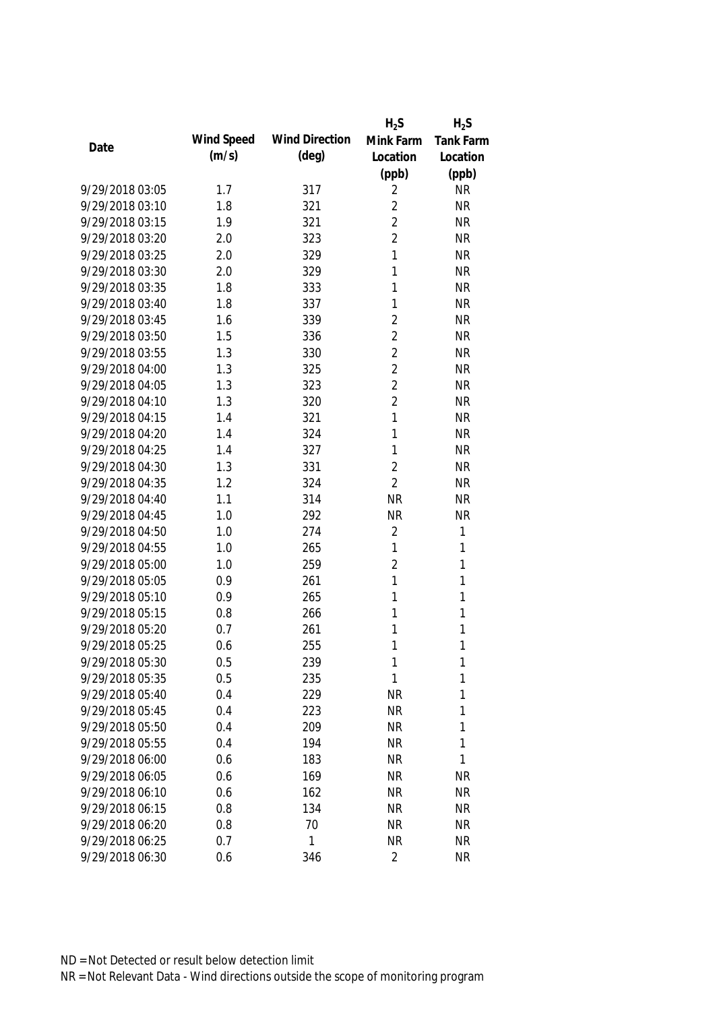|                 |            |                       | $H_2S$         | $H_2S$       |
|-----------------|------------|-----------------------|----------------|--------------|
| Date            | Wind Speed | <b>Wind Direction</b> | Mink Farm      | Tank Farm    |
|                 | (m/s)      | $(\text{deg})$        | Location       | Location     |
|                 |            |                       | (ppb)          | (ppb)        |
| 9/29/2018 03:05 | 1.7        | 317                   | 2              | <b>NR</b>    |
| 9/29/2018 03:10 | 1.8        | 321                   | $\overline{2}$ | <b>NR</b>    |
| 9/29/2018 03:15 | 1.9        | 321                   | $\overline{2}$ | <b>NR</b>    |
| 9/29/2018 03:20 | 2.0        | 323                   | $\overline{2}$ | <b>NR</b>    |
| 9/29/2018 03:25 | 2.0        | 329                   | 1              | <b>NR</b>    |
| 9/29/2018 03:30 | 2.0        | 329                   | 1              | <b>NR</b>    |
| 9/29/2018 03:35 | 1.8        | 333                   | 1              | <b>NR</b>    |
| 9/29/2018 03:40 | 1.8        | 337                   | 1              | <b>NR</b>    |
| 9/29/2018 03:45 | 1.6        | 339                   | $\overline{2}$ | <b>NR</b>    |
| 9/29/2018 03:50 | 1.5        | 336                   | $\overline{2}$ | <b>NR</b>    |
| 9/29/2018 03:55 | 1.3        | 330                   | $\overline{2}$ | <b>NR</b>    |
| 9/29/2018 04:00 | 1.3        | 325                   | $\overline{2}$ | <b>NR</b>    |
| 9/29/2018 04:05 | 1.3        | 323                   | $\overline{2}$ | <b>NR</b>    |
| 9/29/2018 04:10 | 1.3        | 320                   | $\overline{2}$ | <b>NR</b>    |
| 9/29/2018 04:15 | 1.4        | 321                   | 1              | <b>NR</b>    |
| 9/29/2018 04:20 | 1.4        | 324                   | $\mathbf{1}$   | <b>NR</b>    |
| 9/29/2018 04:25 | 1.4        | 327                   | 1              | <b>NR</b>    |
| 9/29/2018 04:30 | 1.3        | 331                   | $\overline{2}$ | <b>NR</b>    |
| 9/29/2018 04:35 | 1.2        | 324                   | $\overline{2}$ | <b>NR</b>    |
| 9/29/2018 04:40 | 1.1        | 314                   | <b>NR</b>      | <b>NR</b>    |
| 9/29/2018 04:45 | 1.0        | 292                   | <b>NR</b>      | <b>NR</b>    |
| 9/29/2018 04:50 | 1.0        | 274                   | $\overline{2}$ | $\mathbf{1}$ |
| 9/29/2018 04:55 | 1.0        | 265                   | $\mathbf{1}$   | $\mathbf{1}$ |
| 9/29/2018 05:00 | 1.0        | 259                   | $\overline{2}$ | $\mathbf{1}$ |
| 9/29/2018 05:05 | 0.9        | 261                   | 1              | 1            |
| 9/29/2018 05:10 | 0.9        | 265                   | 1              | 1            |
| 9/29/2018 05:15 | 0.8        | 266                   | 1              | 1            |
| 9/29/2018 05:20 | 0.7        | 261                   | 1              | 1            |
| 9/29/2018 05:25 | 0.6        | 255                   | 1              | $\mathbf{1}$ |
| 9/29/2018 05:30 | 0.5        | 239                   | 1              | 1            |
| 9/29/2018 05:35 | 0.5        | 235                   | 1              | 1            |
| 9/29/2018 05:40 | 0.4        | 229                   | <b>NR</b>      | 1            |
| 9/29/2018 05:45 | 0.4        | 223                   | <b>NR</b>      | 1            |
| 9/29/2018 05:50 | 0.4        | 209                   | <b>NR</b>      | 1            |
| 9/29/2018 05:55 | 0.4        | 194                   | <b>NR</b>      | $\mathbf{1}$ |
| 9/29/2018 06:00 | 0.6        | 183                   | <b>NR</b>      | 1            |
| 9/29/2018 06:05 | 0.6        | 169                   | <b>NR</b>      | <b>NR</b>    |
| 9/29/2018 06:10 | 0.6        | 162                   | <b>NR</b>      | <b>NR</b>    |
| 9/29/2018 06:15 | 0.8        | 134                   | <b>NR</b>      | <b>NR</b>    |
| 9/29/2018 06:20 | 0.8        | 70                    | <b>NR</b>      | <b>NR</b>    |
| 9/29/2018 06:25 | 0.7        | 1                     | <b>NR</b>      | <b>NR</b>    |
| 9/29/2018 06:30 | 0.6        | 346                   | 2              | <b>NR</b>    |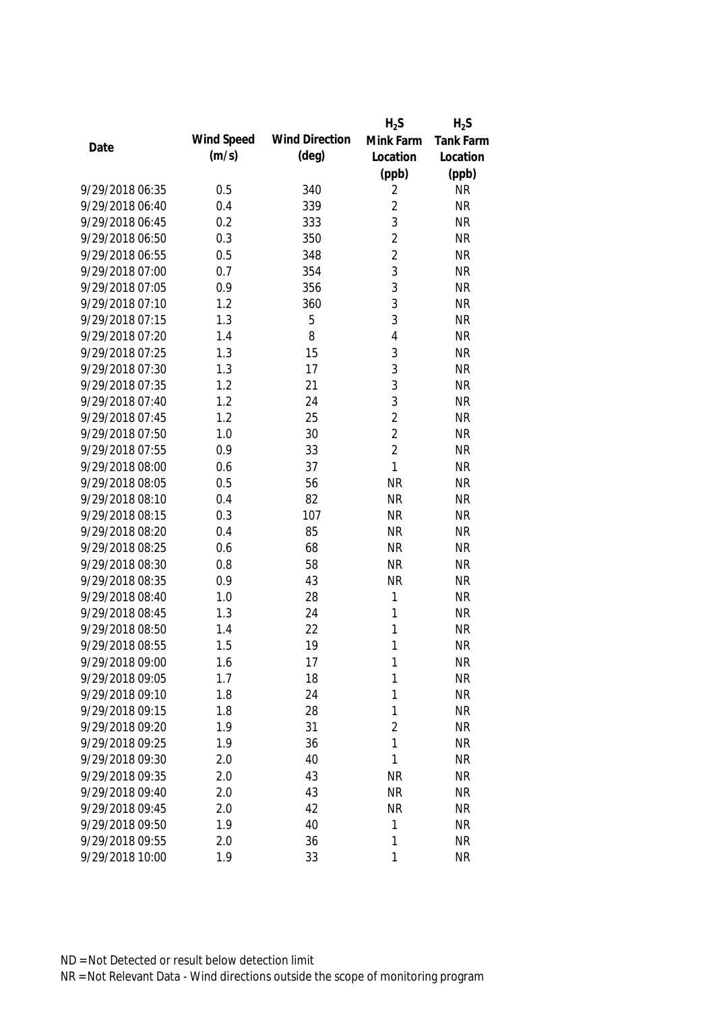|                 |            |                       | $H_2S$         | $H_2S$           |
|-----------------|------------|-----------------------|----------------|------------------|
| Date            | Wind Speed | <b>Wind Direction</b> | Mink Farm      | <b>Tank Farm</b> |
|                 | (m/s)      | $(\text{deg})$        | Location       | Location         |
|                 |            |                       | (ppb)          | (ppb)            |
| 9/29/2018 06:35 | 0.5        | 340                   | 2              | <b>NR</b>        |
| 9/29/2018 06:40 | 0.4        | 339                   | $\overline{2}$ | <b>NR</b>        |
| 9/29/2018 06:45 | 0.2        | 333                   | 3              | <b>NR</b>        |
| 9/29/2018 06:50 | 0.3        | 350                   | $\overline{2}$ | <b>NR</b>        |
| 9/29/2018 06:55 | 0.5        | 348                   | $\overline{2}$ | <b>NR</b>        |
| 9/29/2018 07:00 | 0.7        | 354                   | 3              | <b>NR</b>        |
| 9/29/2018 07:05 | 0.9        | 356                   | 3              | <b>NR</b>        |
| 9/29/2018 07:10 | 1.2        | 360                   | 3              | <b>NR</b>        |
| 9/29/2018 07:15 | 1.3        | 5                     | 3              | <b>NR</b>        |
| 9/29/2018 07:20 | 1.4        | 8                     | 4              | <b>NR</b>        |
| 9/29/2018 07:25 | 1.3        | 15                    | 3              | <b>NR</b>        |
| 9/29/2018 07:30 | 1.3        | 17                    | 3              | <b>NR</b>        |
| 9/29/2018 07:35 | 1.2        | 21                    | 3              | <b>NR</b>        |
| 9/29/2018 07:40 | 1.2        | 24                    | 3              | <b>NR</b>        |
| 9/29/2018 07:45 | 1.2        | 25                    | $\overline{2}$ | <b>NR</b>        |
| 9/29/2018 07:50 | 1.0        | 30                    | $\overline{2}$ | <b>NR</b>        |
| 9/29/2018 07:55 | 0.9        | 33                    | $\overline{2}$ | <b>NR</b>        |
| 9/29/2018 08:00 | 0.6        | 37                    | $\mathbf{1}$   | <b>NR</b>        |
| 9/29/2018 08:05 | 0.5        | 56                    | <b>NR</b>      | <b>NR</b>        |
| 9/29/2018 08:10 | 0.4        | 82                    | <b>NR</b>      | <b>NR</b>        |
| 9/29/2018 08:15 | 0.3        | 107                   | <b>NR</b>      | <b>NR</b>        |
| 9/29/2018 08:20 | 0.4        | 85                    | <b>NR</b>      | <b>NR</b>        |
| 9/29/2018 08:25 | 0.6        | 68                    | <b>NR</b>      | <b>NR</b>        |
| 9/29/2018 08:30 | 0.8        | 58                    | <b>NR</b>      | <b>NR</b>        |
| 9/29/2018 08:35 | 0.9        | 43                    | <b>NR</b>      | <b>NR</b>        |
| 9/29/2018 08:40 | 1.0        | 28                    | 1              | <b>NR</b>        |
| 9/29/2018 08:45 | 1.3        | 24                    | 1              | <b>NR</b>        |
| 9/29/2018 08:50 | 1.4        | 22                    | 1              | <b>NR</b>        |
| 9/29/2018 08:55 | 1.5        | 19                    | 1              | <b>NR</b>        |
| 9/29/2018 09:00 | 1.6        | 17                    | 1              | <b>NR</b>        |
| 9/29/2018 09:05 | 1.7        | 18                    | 1              | <b>NR</b>        |
| 9/29/2018 09:10 | 1.8        | 24                    | 1              | <b>NR</b>        |
| 9/29/2018 09:15 | 1.8        | 28                    | 1              | <b>NR</b>        |
| 9/29/2018 09:20 | 1.9        | 31                    | $\overline{2}$ | <b>NR</b>        |
| 9/29/2018 09:25 | 1.9        | 36                    | 1              | <b>NR</b>        |
| 9/29/2018 09:30 | 2.0        | 40                    | 1              | <b>NR</b>        |
| 9/29/2018 09:35 | 2.0        | 43                    | <b>NR</b>      | <b>NR</b>        |
| 9/29/2018 09:40 | 2.0        | 43                    | <b>NR</b>      | <b>NR</b>        |
| 9/29/2018 09:45 | 2.0        | 42                    | <b>NR</b>      | <b>NR</b>        |
| 9/29/2018 09:50 | 1.9        | 40                    | 1              | <b>NR</b>        |
| 9/29/2018 09:55 | 2.0        | 36                    | 1              | <b>NR</b>        |
| 9/29/2018 10:00 | 1.9        | 33                    | 1              | <b>NR</b>        |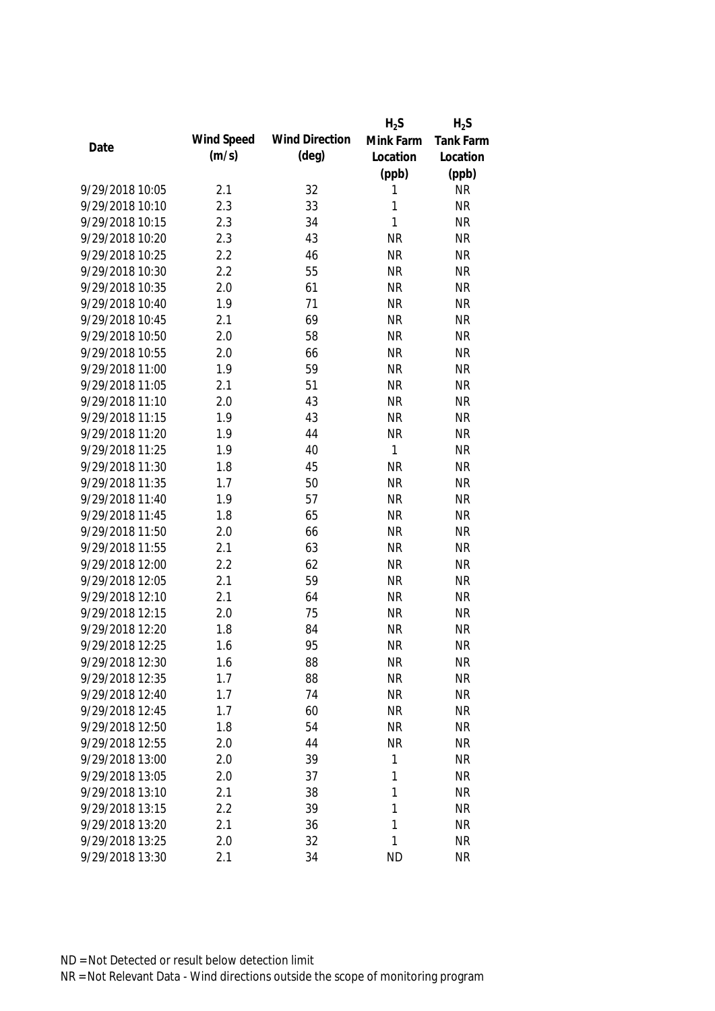|                 |            |                       | $H_2S$    | $H_2S$    |
|-----------------|------------|-----------------------|-----------|-----------|
|                 | Wind Speed | <b>Wind Direction</b> | Mink Farm | Tank Farm |
| Date            | (m/s)      | $(\text{deg})$        | Location  | Location  |
|                 |            |                       | (ppb)     | (ppb)     |
| 9/29/2018 10:05 | 2.1        | 32                    | 1         | <b>NR</b> |
| 9/29/2018 10:10 | 2.3        | 33                    | 1         | <b>NR</b> |
| 9/29/2018 10:15 | 2.3        | 34                    | 1         | <b>NR</b> |
| 9/29/2018 10:20 | 2.3        | 43                    | <b>NR</b> | <b>NR</b> |
| 9/29/2018 10:25 | 2.2        | 46                    | <b>NR</b> | <b>NR</b> |
| 9/29/2018 10:30 | 2.2        | 55                    | <b>NR</b> | <b>NR</b> |
| 9/29/2018 10:35 | 2.0        | 61                    | <b>NR</b> | <b>NR</b> |
| 9/29/2018 10:40 | 1.9        | 71                    | <b>NR</b> | <b>NR</b> |
| 9/29/2018 10:45 | 2.1        | 69                    | <b>NR</b> | <b>NR</b> |
| 9/29/2018 10:50 | 2.0        | 58                    | <b>NR</b> | <b>NR</b> |
| 9/29/2018 10:55 | 2.0        | 66                    | <b>NR</b> | <b>NR</b> |
| 9/29/2018 11:00 | 1.9        | 59                    | <b>NR</b> | <b>NR</b> |
| 9/29/2018 11:05 | 2.1        | 51                    | <b>NR</b> | <b>NR</b> |
| 9/29/2018 11:10 | 2.0        | 43                    | <b>NR</b> | <b>NR</b> |
| 9/29/2018 11:15 | 1.9        | 43                    | <b>NR</b> | <b>NR</b> |
| 9/29/2018 11:20 | 1.9        | 44                    | <b>NR</b> | <b>NR</b> |
| 9/29/2018 11:25 | 1.9        | 40                    | 1         | <b>NR</b> |
| 9/29/2018 11:30 | 1.8        | 45                    | <b>NR</b> | <b>NR</b> |
| 9/29/2018 11:35 | 1.7        | 50                    | <b>NR</b> | <b>NR</b> |
| 9/29/2018 11:40 | 1.9        | 57                    | <b>NR</b> | <b>NR</b> |
| 9/29/2018 11:45 | 1.8        | 65                    | <b>NR</b> | <b>NR</b> |
| 9/29/2018 11:50 | 2.0        | 66                    | <b>NR</b> | <b>NR</b> |
| 9/29/2018 11:55 | 2.1        | 63                    | <b>NR</b> | <b>NR</b> |
| 9/29/2018 12:00 | 2.2        | 62                    | <b>NR</b> | <b>NR</b> |
| 9/29/2018 12:05 | 2.1        | 59                    | <b>NR</b> | <b>NR</b> |
| 9/29/2018 12:10 | 2.1        | 64                    | <b>NR</b> | <b>NR</b> |
| 9/29/2018 12:15 | 2.0        | 75                    | <b>NR</b> | <b>NR</b> |
| 9/29/2018 12:20 | 1.8        | 84                    | <b>NR</b> | <b>NR</b> |
| 9/29/2018 12:25 | 1.6        | 95                    | <b>NR</b> | <b>NR</b> |
| 9/29/2018 12:30 | 1.6        | 88                    | <b>NR</b> | <b>NR</b> |
| 9/29/2018 12:35 | 1.7        | 88                    | <b>NR</b> | <b>NR</b> |
| 9/29/2018 12:40 | 1.7        | 74                    | <b>NR</b> | <b>NR</b> |
| 9/29/2018 12:45 | 1.7        | 60                    | <b>NR</b> | <b>NR</b> |
| 9/29/2018 12:50 | 1.8        | 54                    | <b>NR</b> | <b>NR</b> |
| 9/29/2018 12:55 | 2.0        | 44                    | <b>NR</b> | <b>NR</b> |
| 9/29/2018 13:00 | 2.0        | 39                    | 1         | <b>NR</b> |
| 9/29/2018 13:05 | 2.0        | 37                    | 1         | <b>NR</b> |
| 9/29/2018 13:10 | 2.1        | 38                    | 1         | <b>NR</b> |
| 9/29/2018 13:15 | 2.2        | 39                    | 1         | <b>NR</b> |
| 9/29/2018 13:20 | 2.1        | 36                    | 1         | <b>NR</b> |
| 9/29/2018 13:25 | 2.0        | 32                    | 1         | <b>NR</b> |
|                 |            |                       |           |           |
| 9/29/2018 13:30 | 2.1        | 34                    | <b>ND</b> | <b>NR</b> |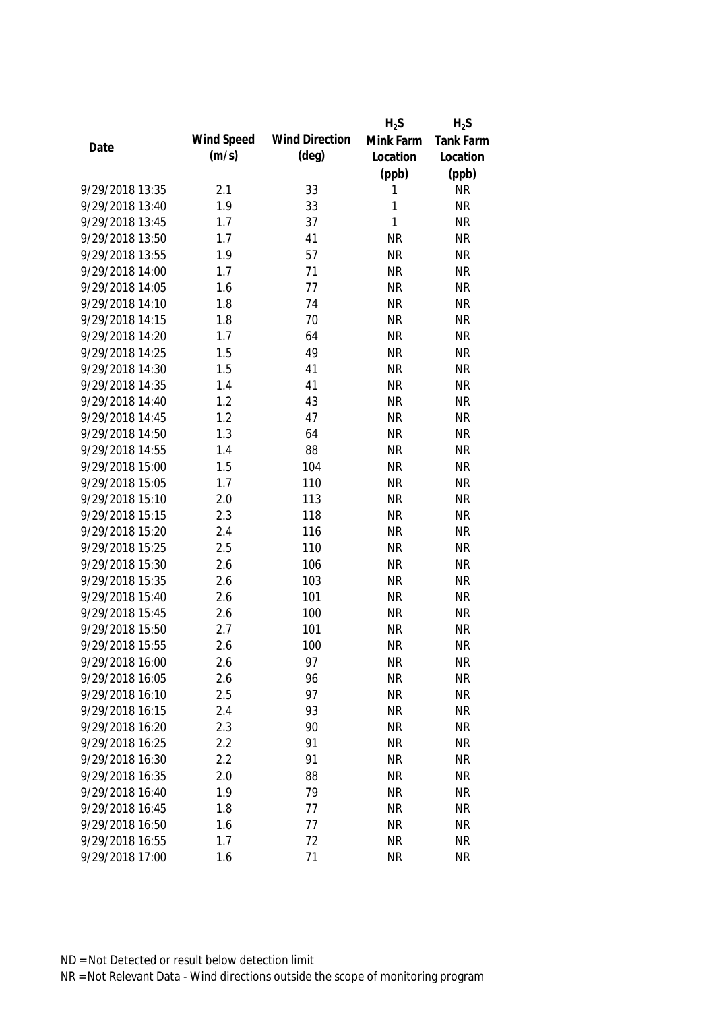|                 |            |                       | $H_2S$    | $H_2S$    |
|-----------------|------------|-----------------------|-----------|-----------|
|                 | Wind Speed | <b>Wind Direction</b> | Mink Farm | Tank Farm |
| Date            | (m/s)      | $(\text{deg})$        | Location  | Location  |
|                 |            |                       | (ppb)     | (ppb)     |
| 9/29/2018 13:35 | 2.1        | 33                    | 1         | <b>NR</b> |
| 9/29/2018 13:40 | 1.9        | 33                    | 1         | <b>NR</b> |
| 9/29/2018 13:45 | 1.7        | 37                    | 1         | <b>NR</b> |
| 9/29/2018 13:50 | 1.7        | 41                    | <b>NR</b> | <b>NR</b> |
| 9/29/2018 13:55 | 1.9        | 57                    | <b>NR</b> | <b>NR</b> |
| 9/29/2018 14:00 | 1.7        | 71                    | <b>NR</b> | <b>NR</b> |
| 9/29/2018 14:05 | 1.6        | 77                    | <b>NR</b> | <b>NR</b> |
| 9/29/2018 14:10 | 1.8        | 74                    | <b>NR</b> | <b>NR</b> |
| 9/29/2018 14:15 | 1.8        | 70                    | <b>NR</b> | <b>NR</b> |
| 9/29/2018 14:20 | 1.7        | 64                    | <b>NR</b> | <b>NR</b> |
| 9/29/2018 14:25 | 1.5        | 49                    | <b>NR</b> | <b>NR</b> |
| 9/29/2018 14:30 | 1.5        | 41                    | <b>NR</b> | <b>NR</b> |
| 9/29/2018 14:35 | 1.4        | 41                    | <b>NR</b> | <b>NR</b> |
| 9/29/2018 14:40 | 1.2        | 43                    | <b>NR</b> | <b>NR</b> |
| 9/29/2018 14:45 | 1.2        | 47                    | <b>NR</b> | <b>NR</b> |
| 9/29/2018 14:50 | 1.3        | 64                    | <b>NR</b> | <b>NR</b> |
| 9/29/2018 14:55 | 1.4        | 88                    | <b>NR</b> | <b>NR</b> |
| 9/29/2018 15:00 | 1.5        | 104                   | <b>NR</b> | <b>NR</b> |
| 9/29/2018 15:05 | 1.7        | 110                   | <b>NR</b> | <b>NR</b> |
| 9/29/2018 15:10 | 2.0        | 113                   | <b>NR</b> | <b>NR</b> |
| 9/29/2018 15:15 | 2.3        | 118                   | <b>NR</b> | <b>NR</b> |
| 9/29/2018 15:20 | 2.4        | 116                   | <b>NR</b> | <b>NR</b> |
| 9/29/2018 15:25 | 2.5        | 110                   | <b>NR</b> | <b>NR</b> |
| 9/29/2018 15:30 | 2.6        | 106                   | <b>NR</b> | <b>NR</b> |
| 9/29/2018 15:35 | 2.6        | 103                   | <b>NR</b> | <b>NR</b> |
| 9/29/2018 15:40 | 2.6        | 101                   | <b>NR</b> | <b>NR</b> |
| 9/29/2018 15:45 | 2.6        | 100                   | <b>NR</b> | <b>NR</b> |
| 9/29/2018 15:50 | 2.7        | 101                   | <b>NR</b> | <b>NR</b> |
| 9/29/2018 15:55 | 2.6        | 100                   | <b>NR</b> | <b>NR</b> |
| 9/29/2018 16:00 | 2.6        | 97                    | <b>NR</b> | <b>NR</b> |
| 9/29/2018 16:05 | 2.6        | 96                    | <b>NR</b> | <b>NR</b> |
| 9/29/2018 16:10 | 2.5        | 97                    | <b>NR</b> | <b>NR</b> |
| 9/29/2018 16:15 | 2.4        | 93                    | <b>NR</b> | <b>NR</b> |
| 9/29/2018 16:20 | 2.3        | 90                    | <b>NR</b> | <b>NR</b> |
| 9/29/2018 16:25 | 2.2        | 91                    | <b>NR</b> | <b>NR</b> |
| 9/29/2018 16:30 | 2.2        | 91                    | <b>NR</b> | <b>NR</b> |
| 9/29/2018 16:35 | 2.0        | 88                    | <b>NR</b> | <b>NR</b> |
| 9/29/2018 16:40 | 1.9        | 79                    | <b>NR</b> | <b>NR</b> |
| 9/29/2018 16:45 | 1.8        | 77                    | <b>NR</b> | <b>NR</b> |
|                 |            | 77                    |           |           |
| 9/29/2018 16:50 | 1.6        |                       | <b>NR</b> | <b>NR</b> |
| 9/29/2018 16:55 | 1.7        | 72                    | <b>NR</b> | <b>NR</b> |
| 9/29/2018 17:00 | 1.6        | 71                    | <b>NR</b> | <b>NR</b> |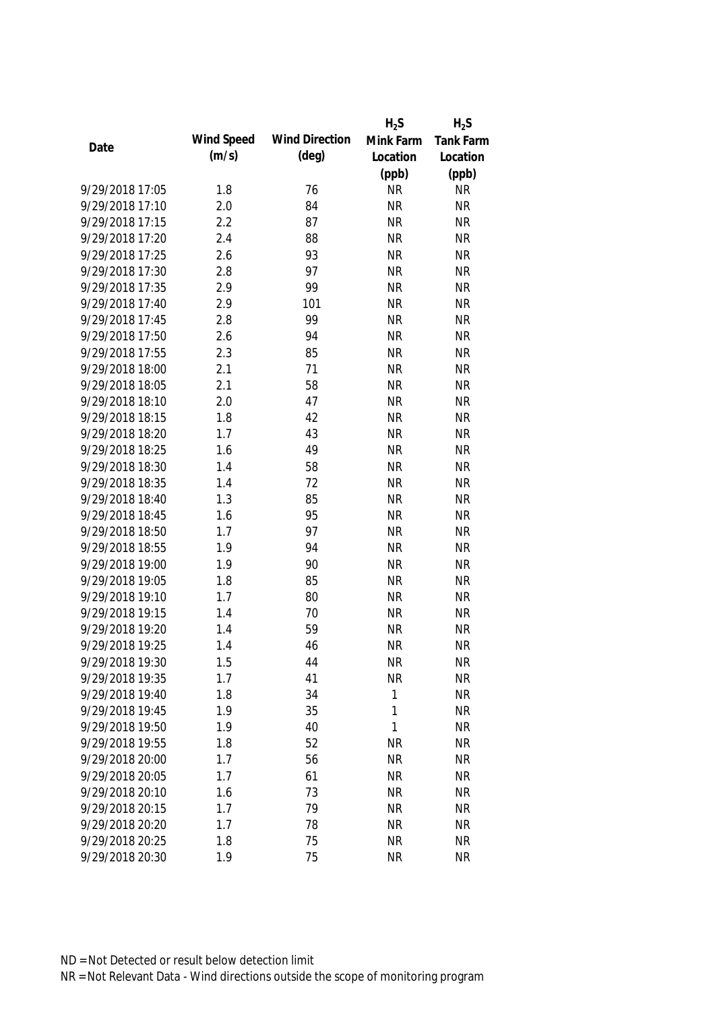|                 |            |                       | $H_2S$    | $H_2S$    |
|-----------------|------------|-----------------------|-----------|-----------|
|                 | Wind Speed | <b>Wind Direction</b> | Mink Farm | Tank Farm |
| Date            | (m/s)      | $(\text{deg})$        | Location  | Location  |
|                 |            |                       | (ppb)     | (ppb)     |
| 9/29/2018 17:05 | 1.8        | 76                    | <b>NR</b> | <b>NR</b> |
| 9/29/2018 17:10 | 2.0        | 84                    | <b>NR</b> | <b>NR</b> |
| 9/29/2018 17:15 | 2.2        | 87                    | <b>NR</b> | <b>NR</b> |
| 9/29/2018 17:20 | 2.4        | 88                    | <b>NR</b> | <b>NR</b> |
| 9/29/2018 17:25 | 2.6        | 93                    | <b>NR</b> | <b>NR</b> |
| 9/29/2018 17:30 | 2.8        | 97                    | <b>NR</b> | <b>NR</b> |
| 9/29/2018 17:35 | 2.9        | 99                    | <b>NR</b> | <b>NR</b> |
| 9/29/2018 17:40 | 2.9        | 101                   | <b>NR</b> | <b>NR</b> |
| 9/29/2018 17:45 | 2.8        | 99                    | <b>NR</b> | <b>NR</b> |
| 9/29/2018 17:50 | 2.6        | 94                    | <b>NR</b> | <b>NR</b> |
| 9/29/2018 17:55 | 2.3        | 85                    | <b>NR</b> | <b>NR</b> |
| 9/29/2018 18:00 | 2.1        | 71                    | <b>NR</b> | <b>NR</b> |
| 9/29/2018 18:05 | 2.1        | 58                    | <b>NR</b> | <b>NR</b> |
| 9/29/2018 18:10 | 2.0        | 47                    | <b>NR</b> | <b>NR</b> |
| 9/29/2018 18:15 | 1.8        | 42                    | <b>NR</b> | <b>NR</b> |
| 9/29/2018 18:20 | 1.7        | 43                    | <b>NR</b> | <b>NR</b> |
| 9/29/2018 18:25 | 1.6        | 49                    | <b>NR</b> | <b>NR</b> |
| 9/29/2018 18:30 | 1.4        | 58                    | <b>NR</b> | <b>NR</b> |
| 9/29/2018 18:35 | 1.4        | 72                    | <b>NR</b> | <b>NR</b> |
| 9/29/2018 18:40 | 1.3        | 85                    | <b>NR</b> | <b>NR</b> |
| 9/29/2018 18:45 | 1.6        | 95                    | <b>NR</b> | <b>NR</b> |
| 9/29/2018 18:50 | 1.7        | 97                    | <b>NR</b> | <b>NR</b> |
| 9/29/2018 18:55 | 1.9        | 94                    | <b>NR</b> | <b>NR</b> |
| 9/29/2018 19:00 | 1.9        | 90                    | <b>NR</b> | <b>NR</b> |
| 9/29/2018 19:05 | 1.8        | 85                    | <b>NR</b> | <b>NR</b> |
| 9/29/2018 19:10 | 1.7        | 80                    | <b>NR</b> | <b>NR</b> |
| 9/29/2018 19:15 | 1.4        | 70                    | <b>NR</b> | <b>NR</b> |
| 9/29/2018 19:20 | 1.4        | 59                    | <b>NR</b> | <b>NR</b> |
| 9/29/2018 19:25 | 1.4        | 46                    | <b>NR</b> | <b>NR</b> |
| 9/29/2018 19:30 | 1.5        | 44                    | <b>NR</b> | <b>NR</b> |
| 9/29/2018 19:35 | 1.7        | 41                    | <b>NR</b> | <b>NR</b> |
| 9/29/2018 19:40 | 1.8        | 34                    | 1         | <b>NR</b> |
| 9/29/2018 19:45 | 1.9        | 35                    | 1         | <b>NR</b> |
| 9/29/2018 19:50 | 1.9        | 40                    | 1         | <b>NR</b> |
| 9/29/2018 19:55 | 1.8        | 52                    | <b>NR</b> | <b>NR</b> |
| 9/29/2018 20:00 | 1.7        | 56                    | <b>NR</b> | <b>NR</b> |
| 9/29/2018 20:05 | 1.7        | 61                    | <b>NR</b> | <b>NR</b> |
| 9/29/2018 20:10 | 1.6        | 73                    | <b>NR</b> | <b>NR</b> |
| 9/29/2018 20:15 | 1.7        | 79                    | <b>NR</b> | <b>NR</b> |
| 9/29/2018 20:20 | 1.7        | 78                    | <b>NR</b> | <b>NR</b> |
| 9/29/2018 20:25 | 1.8        | 75                    | <b>NR</b> | <b>NR</b> |
| 9/29/2018 20:30 | 1.9        | 75                    | <b>NR</b> | <b>NR</b> |
|                 |            |                       |           |           |